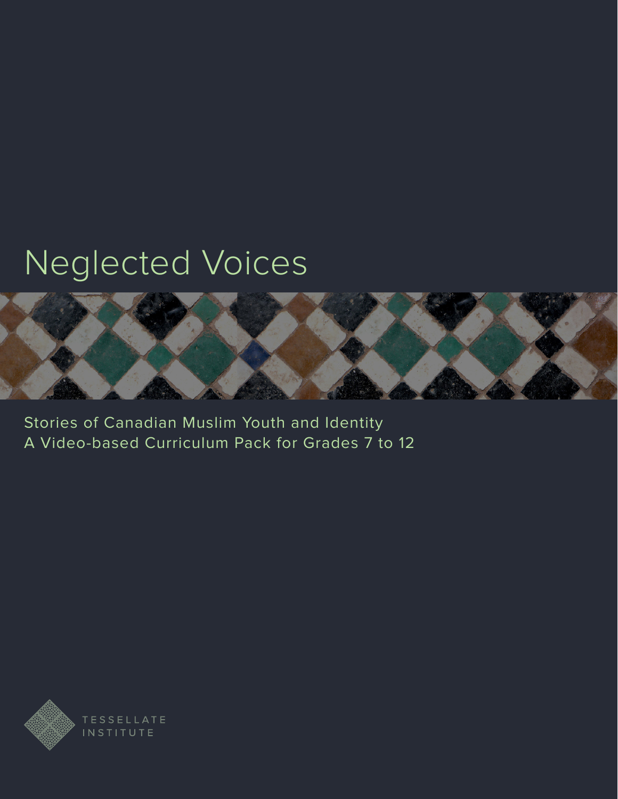# Neglected Voices



Stories of Canadian Muslim Youth and Identity A Video-based Curriculum Pack for Grades 7 to 12

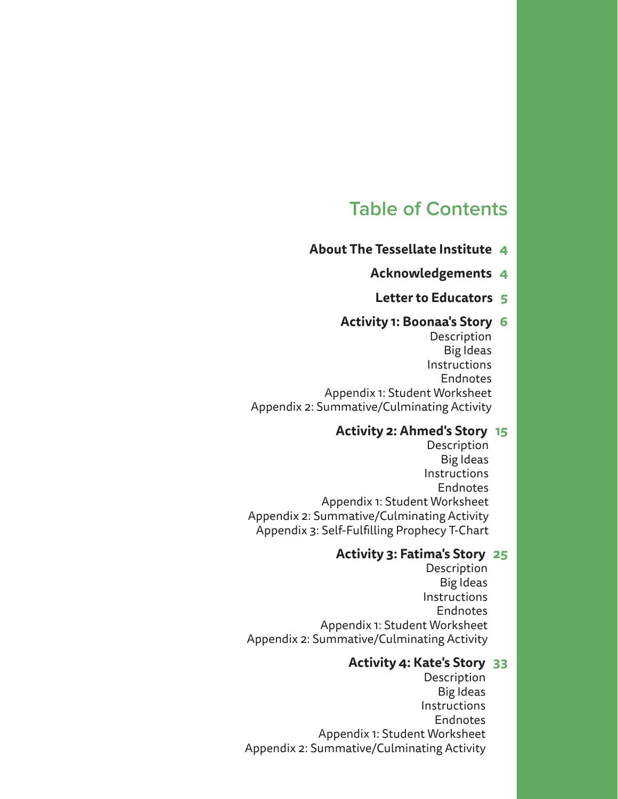## **Table of Contents**

- **[About The Tessellate Institute 4](#page-3-0)**
	- **[Acknowledgements 4](#page-3-0)**
	- **[Letter to Educators 5](#page-4-0)**

#### **[Activity 1: Boonaa's Story 6](#page-5-0)**

[Description](#page-6-0) [Big Ideas](#page-6-0) [Instructions](#page-6-0) [Endnotes](#page-9-0) [Appendix 1: Student Worksheet](#page-10-0) [Appendix 2: Summative/Culminating Activity](#page-12-0)

#### **[Activity 2: Ahmed's Story 15](#page-14-0)**

[Description](#page-15-0) [Big Ideas](#page-15-0) [Instructions](#page-15-0) [Endnotes](#page-18-0) [Appendix 1: Student Worksheet](#page-19-0) [Appendix 2: Summative/Culminating Activity](#page-21-0) [Appendix 3: Self-Fulfilling Prophecy T-Chart](#page-23-0)

#### **[Activity 3: Fatima's Story 25](#page-24-0)**

[Description](#page-25-0) [Big Ideas](#page-25-0) [Instructions](#page-25-0) [Endnotes](#page-28-0) [Appendix 1: Student Worksheet](#page-29-0) [Appendix 2: Summative/Culminating Activity](#page-31-0)

#### **[Activity 4: Kate's Story 33](#page-32-0)**

[Description](#page-33-0) [Big Ideas](#page-33-0) [Instructions](#page-33-0) [Endnotes](#page-35-0) [Appendix 1: Student Worksheet](#page-36-0) [Appendix 2: Summative/Culminating Activity](#page-38-0)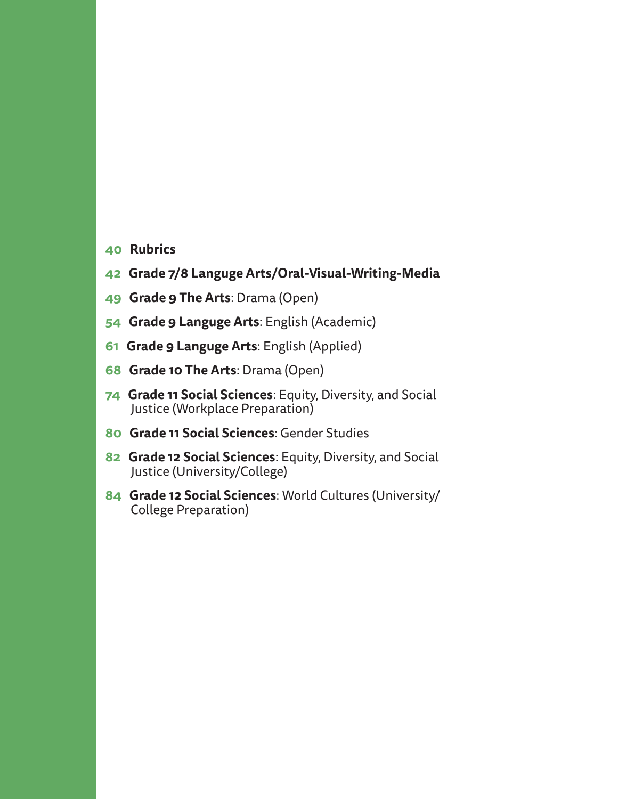- **[40 Rubrics](#page-39-0)**
- **[42 Grade 7/8 Languge Arts/Oral-Visual-Writing-Media](#page-41-0)**
- **[49 Grade 9](#page-48-0) The Arts**[: Drama \(Open\)](#page-48-0)
- **[54 Grade 9](#page-53-0) Languge Arts**[: English \(Academic\)](#page-53-0)
- **[61 Grade 9](#page-60-0) Languge Arts**[: English \(Applied\)](#page-60-0)
- **[68 Grade 10](#page-67-0) The Arts**[: Drama \(Open\)](#page-67-0)
- **[74 Grade 11](#page-73-0) Social Sciences**[: Equity, Diversity, and Social](#page-73-0)  [Justice \(Workplace Preparation\)](#page-73-0)
- **[80 Grade 11](#page-79-0) Social Sciences**[: Gender Studies](#page-79-0)
- **[82 Grade 12](#page-81-0) Social Sciences**[: Equity, Diversity, and Social](#page-81-0)  [Justice \(University/College\)](#page-81-0)
- **[84 Grade 12](#page-83-0) Social Sciences**[: World Cultures \(University/](#page-83-0) [College Preparation\)](#page-83-0)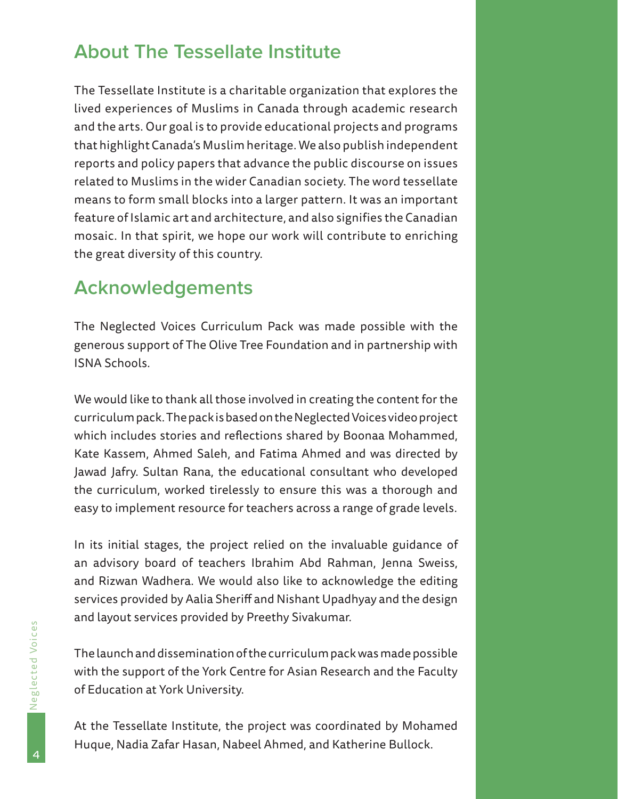## <span id="page-3-0"></span>**About The Tessellate Institute**

The Tessellate Institute is a charitable organization that explores the lived experiences of Muslims in Canada through academic research and the arts. Our goal is to provide educational projects and programs that highlight Canada's Muslim heritage. We also publish independent reports and policy papers that advance the public discourse on issues related to Muslims in the wider Canadian society. The word tessellate means to form small blocks into a larger pattern. It was an important feature of Islamic art and architecture, and also signifies the Canadian mosaic. In that spirit, we hope our work will contribute to enriching the great diversity of this country.

## **Acknowledgements**

The Neglected Voices Curriculum Pack was made possible with the generous support of The Olive Tree Foundation and in partnership with ISNA Schools.

We would like to thank all those involved in creating the content for the curriculum pack. The pack is based on the Neglected Voices video project which includes stories and reflections shared by Boonaa Mohammed, Kate Kassem, Ahmed Saleh, and Fatima Ahmed and was directed by Jawad Jafry. Sultan Rana, the educational consultant who developed the curriculum, worked tirelessly to ensure this was a thorough and easy to implement resource for teachers across a range of grade levels.

In its initial stages, the project relied on the invaluable guidance of an advisory board of teachers Ibrahim Abd Rahman, Jenna Sweiss, and Rizwan Wadhera. We would also like to acknowledge the editing services provided by Aalia Sheriff and Nishant Upadhyay and the design and layout services provided by Preethy Sivakumar.

The launch and dissemination of the curriculum pack was made possible with the support of the York Centre for Asian Research and the Faculty of Education at York University.

At the Tessellate Institute, the project was coordinated by Mohamed Huque, Nadia Zafar Hasan, Nabeel Ahmed, and Katherine Bullock.

4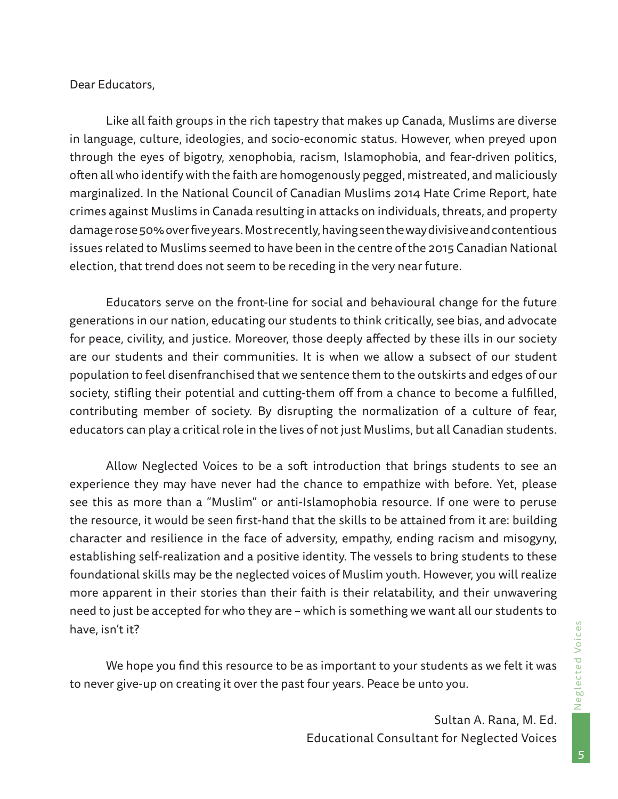#### <span id="page-4-0"></span>Dear Educators,

Like all faith groups in the rich tapestry that makes up Canada, Muslims are diverse in language, culture, ideologies, and socio-economic status. However, when preyed upon through the eyes of bigotry, xenophobia, racism, Islamophobia, and fear-driven politics, often all who identify with the faith are homogenously pegged, mistreated, and maliciously marginalized. In the National Council of Canadian Muslims 2014 Hate Crime Report, hate crimes against Muslims in Canada resulting in attacks on individuals, threats, and property damage rose 50% over five years. Most recently, having seen the way divisive and contentious issues related to Muslims seemed to have been in the centre of the 2015 Canadian National election, that trend does not seem to be receding in the very near future.

Educators serve on the front-line for social and behavioural change for the future generations in our nation, educating our students to think critically, see bias, and advocate for peace, civility, and justice. Moreover, those deeply affected by these ills in our society are our students and their communities. It is when we allow a subsect of our student population to feel disenfranchised that we sentence them to the outskirts and edges of our society, stifling their potential and cutting-them off from a chance to become a fulfilled, contributing member of society. By disrupting the normalization of a culture of fear, educators can play a critical role in the lives of not just Muslims, but all Canadian students.

Allow Neglected Voices to be a soft introduction that brings students to see an experience they may have never had the chance to empathize with before. Yet, please see this as more than a "Muslim" or anti-Islamophobia resource. If one were to peruse the resource, it would be seen first-hand that the skills to be attained from it are: building character and resilience in the face of adversity, empathy, ending racism and misogyny, establishing self-realization and a positive identity. The vessels to bring students to these foundational skills may be the neglected voices of Muslim youth. However, you will realize more apparent in their stories than their faith is their relatability, and their unwavering need to just be accepted for who they are – which is something we want all our students to have, isn't it?

We hope you find this resource to be as important to your students as we felt it was to never give-up on creating it over the past four years. Peace be unto you.

> Sultan A. Rana, M. Ed. Educational Consultant for Neglected Voices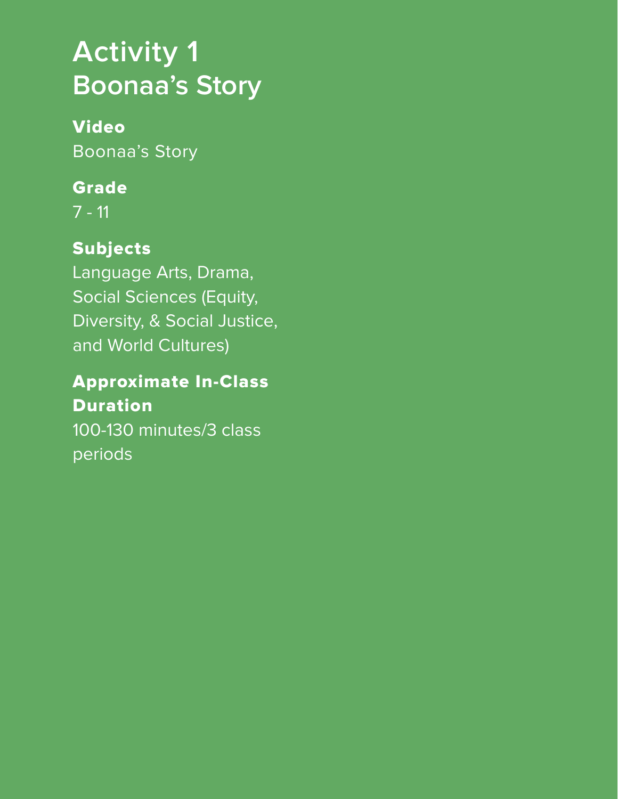# <span id="page-5-0"></span>**Activity 1 Boonaa's Story**

## Video Boonaa's Story

## Grade

7 - 11

## Subjects

Language Arts, Drama, Social Sciences (Equity, Diversity, & Social Justice, and World Cultures)

## Approximate In-Class **Duration**

100-130 minutes/3 class periods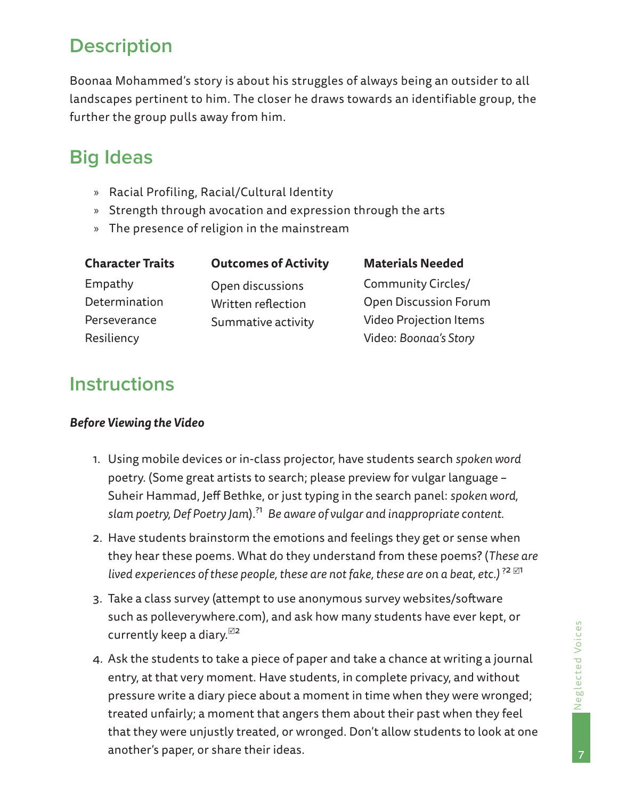## <span id="page-6-0"></span>**Description**

Boonaa Mohammed's story is about his struggles of always being an outsider to all landscapes pertinent to him. The closer he draws towards an identifiable group, the further the group pulls away from him.

## **Big Ideas**

- » Racial Profiling, Racial/Cultural Identity
- » Strength through avocation and expression through the arts
- » The presence of religion in the mainstream

| <b>Character Traits</b> | <b>Outcomes of Activity</b> | <b>Materials Needed</b>       |
|-------------------------|-----------------------------|-------------------------------|
| Empathy                 | Open discussions            | <b>Community Circles/</b>     |
| Determination           | Written reflection          | <b>Open Discussion Forum</b>  |
| Perseverance            | Summative activity          | <b>Video Projection Items</b> |
| Resiliency              |                             | Video: Boonaa's Story         |

## **Instructions**

#### *Before Viewing the Video*

- 1. Using mobile devices or in-class projector, have students search *spoken word* poetry. (Some great artists to search; please preview for vulgar language – Suheir Hammad, Jeff Bethke, or just typing in the search panel: *spoken word, slam poetry, Def Poetry Jam*).?1 *Be aware of vulgar and inappropriate content.*
- 2. Have students brainstorm the emotions and feelings they get or sense when they hear these poems. What do they understand from these poems? (*These are lived experiences of these people, these are not fake, these are on a beat, etc.*)<sup>?2 $\boxtimes$ <sup>1</sup></sup>
- 3. Take a class survey (attempt to use anonymous survey websites/software such as polleverywhere.com), and ask how many students have ever kept, or currently keep a diary. $\mathbb{Z}^2$
- 4. Ask the students to take a piece of paper and take a chance at writing a journal entry, at that very moment. Have students, in complete privacy, and without pressure write a diary piece about a moment in time when they were wronged; treated unfairly; a moment that angers them about their past when they feel that they were unjustly treated, or wronged. Don't allow students to look at one another's paper, or share their ideas.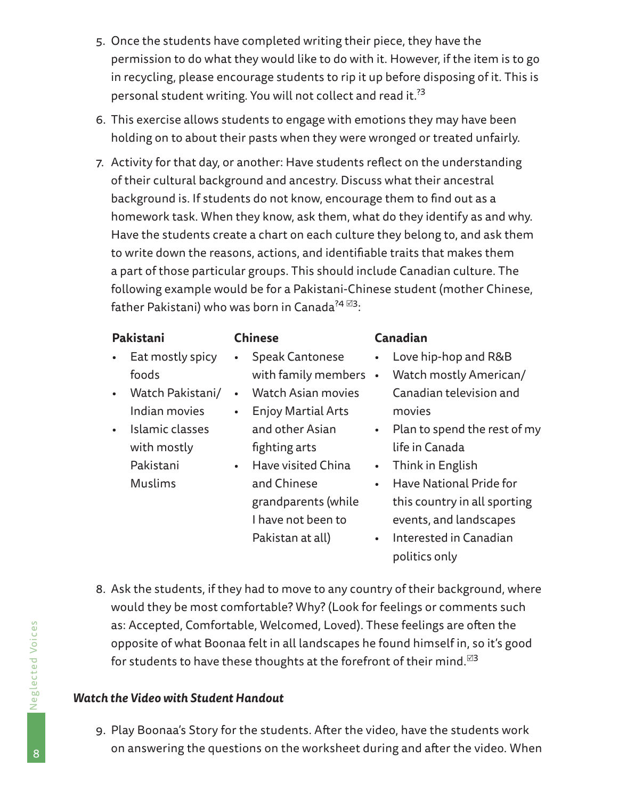- 5. Once the students have completed writing their piece, they have the permission to do what they would like to do with it. However, if the item is to go in recycling, please encourage students to rip it up before disposing of it. This is personal student writing. You will not collect and read it.?3
- 6. This exercise allows students to engage with emotions they may have been holding on to about their pasts when they were wronged or treated unfairly.
- 7. Activity for that day, or another: Have students reflect on the understanding of their cultural background and ancestry. Discuss what their ancestral background is. If students do not know, encourage them to find out as a homework task. When they know, ask them, what do they identify as and why. Have the students create a chart on each culture they belong to, and ask them to write down the reasons, actions, and identifiable traits that makes them a part of those particular groups. This should include Canadian culture. The following example would be for a Pakistani-Chinese student (mother Chinese, father Pakistani) who was born in Canada $^{74}$   $^{\boxtimes 3}$ :

|           | Pakistani                      |           | <b>Chinese</b>                                  |             | Canadian                                         |
|-----------|--------------------------------|-----------|-------------------------------------------------|-------------|--------------------------------------------------|
| $\bullet$ | Eat mostly spicy<br>foods      | $\bullet$ | <b>Speak Cantonese</b><br>with family members . | $\bullet$ . | Love hip-hop and R&B<br>Watch mostly American/   |
| $\bullet$ | Watch Pakistani/               | $\bullet$ | <b>Watch Asian movies</b>                       |             | Canadian television and                          |
|           | Indian movies                  | $\bullet$ | <b>Enjoy Martial Arts</b>                       |             | movies                                           |
| $\bullet$ | Islamic classes<br>with mostly |           | and other Asian<br>fighting arts                |             | • Plan to spend the rest of my<br>life in Canada |
|           | Pakistani                      | $\bullet$ | Have visited China                              | $\bullet$   | Think in English                                 |
|           | <b>Muslims</b>                 |           | and Chinese                                     | $\bullet$   | Have National Pride for                          |
|           |                                |           | grandparents (while                             |             | this country in all sporting                     |

events, and landscapes • Interested in Canadian

politics only

8. Ask the students, if they had to move to any country of their background, where would they be most comfortable? Why? (Look for feelings or comments such as: Accepted, Comfortable, Welcomed, Loved). These feelings are often the opposite of what Boonaa felt in all landscapes he found himself in, so it's good for students to have these thoughts at the forefront of their mind.<sup> $\boxtimes$ 3</sup>

I have not been to Pakistan at all)

#### *Watch the Video with Student Handout*

9. Play Boonaa's Story for the students. After the video, have the students work on answering the questions on the worksheet during and after the video. When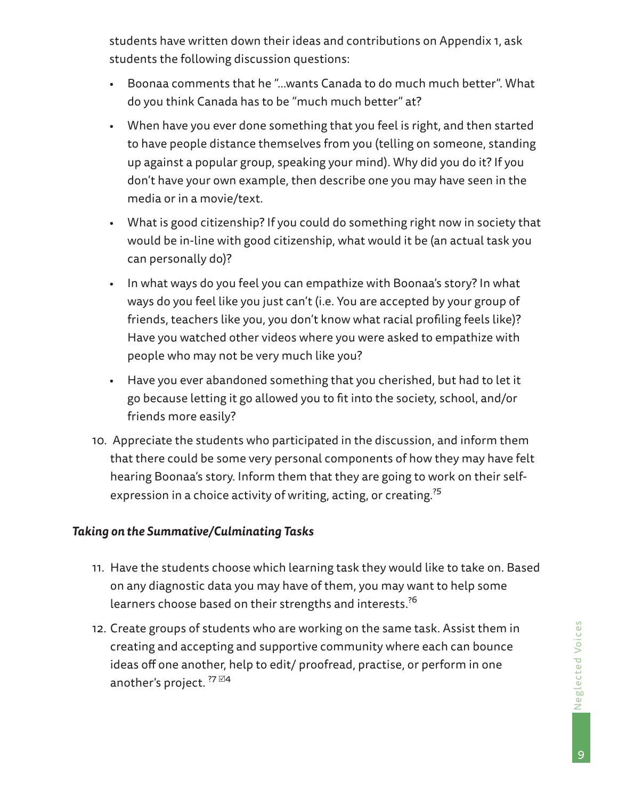students have written down their ideas and contributions on Appendix 1, ask students the following discussion questions:

- Boonaa comments that he "…wants Canada to do much much better". What do you think Canada has to be "much much better" at?
- When have you ever done something that you feel is right, and then started to have people distance themselves from you (telling on someone, standing up against a popular group, speaking your mind). Why did you do it? If you don't have your own example, then describe one you may have seen in the media or in a movie/text.
- What is good citizenship? If you could do something right now in society that would be in-line with good citizenship, what would it be (an actual task you can personally do)?
- In what ways do you feel you can empathize with Boonaa's story? In what ways do you feel like you just can't (i.e. You are accepted by your group of friends, teachers like you, you don't know what racial profiling feels like)? Have you watched other videos where you were asked to empathize with people who may not be very much like you?
- Have you ever abandoned something that you cherished, but had to let it go because letting it go allowed you to fit into the society, school, and/or friends more easily?
- 10. Appreciate the students who participated in the discussion, and inform them that there could be some very personal components of how they may have felt hearing Boonaa's story. Inform them that they are going to work on their selfexpression in a choice activity of writing, acting, or creating.<sup>25</sup>

#### *Taking on the Summative/Culminating Tasks*

- 11. Have the students choose which learning task they would like to take on. Based on any diagnostic data you may have of them, you may want to help some learners choose based on their strengths and interests.?6
- 12. Create groups of students who are working on the same task. Assist them in creating and accepting and supportive community where each can bounce ideas off one another, help to edit/ proofread, practise, or perform in one another's project.  $^{27}$   $\boxtimes$  4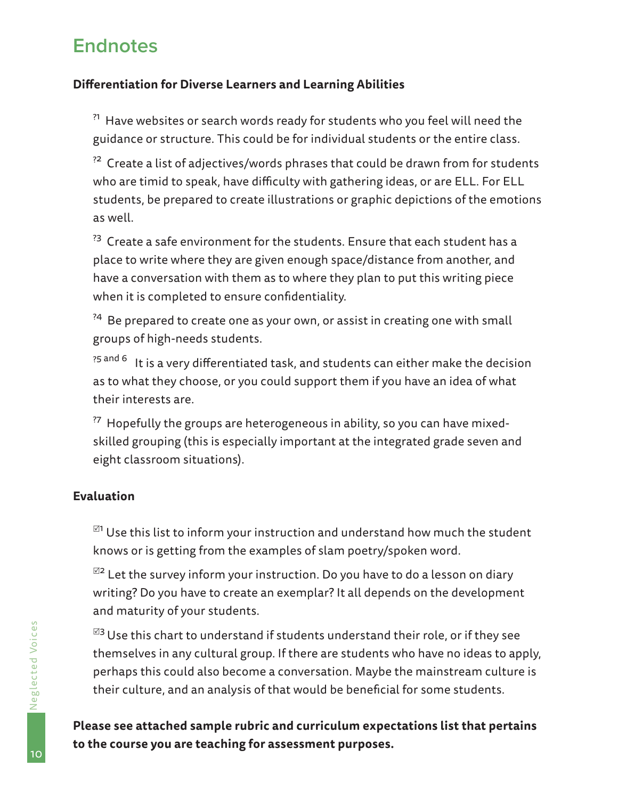## <span id="page-9-0"></span>**Endnotes**

#### **Differentiation for Diverse Learners and Learning Abilities**

 $^{71}$  Have websites or search words ready for students who you feel will need the guidance or structure. This could be for individual students or the entire class.

 $^{22}$  Create a list of adjectives/words phrases that could be drawn from for students who are timid to speak, have difficulty with gathering ideas, or are ELL. For ELL students, be prepared to create illustrations or graphic depictions of the emotions as well.

 $^{73}$  Create a safe environment for the students. Ensure that each student has a place to write where they are given enough space/distance from another, and have a conversation with them as to where they plan to put this writing piece when it is completed to ensure confidentiality.

<sup>24</sup> Be prepared to create one as your own, or assist in creating one with small groups of high-needs students.

?5 and 6 It is a very differentiated task, and students can either make the decision as to what they choose, or you could support them if you have an idea of what their interests are.

 $^{27}$  Hopefully the groups are heterogeneous in ability, so you can have mixedskilled grouping (this is especially important at the integrated grade seven and eight classroom situations).

#### **Evaluation**

 $^{\boxtimes 1}$  Use this list to inform your instruction and understand how much the student knows or is getting from the examples of slam poetry/spoken word.

 $^{\boxtimes 2}$  Let the survey inform your instruction. Do you have to do a lesson on diary writing? Do you have to create an exemplar? It all depends on the development and maturity of your students.

 $^{123}$  Use this chart to understand if students understand their role, or if they see themselves in any cultural group. If there are students who have no ideas to apply, perhaps this could also become a conversation. Maybe the mainstream culture is their culture, and an analysis of that would be beneficial for some students.

**Please see attached sample rubric and curriculum expectations list that pertains to the course you are teaching for assessment purposes.**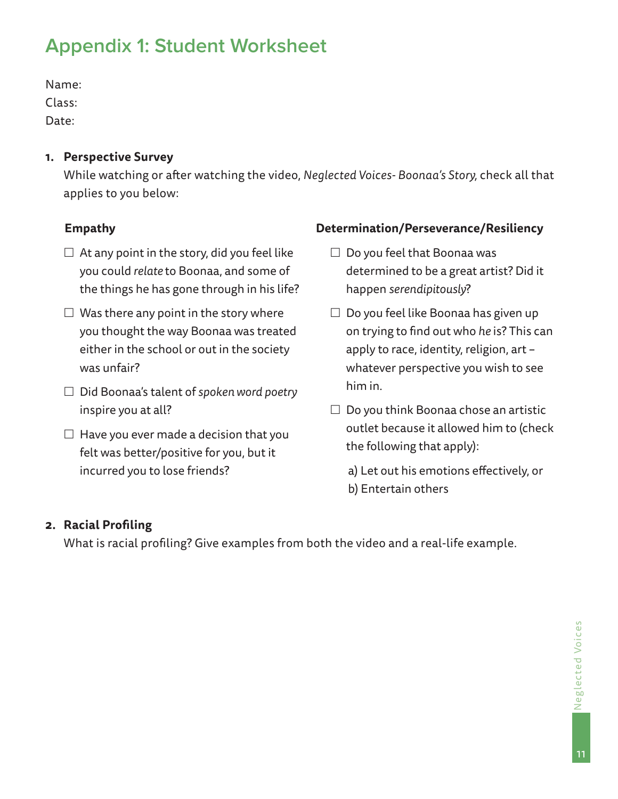## <span id="page-10-0"></span>**Appendix 1: Student Worksheet**

Name: Class:

Date:

**1. Perspective Survey** 

While watching or after watching the video, *Neglected Voices- Boonaa's Story,* check all that applies to you below:

### **Empathy**

- $\Box$  At any point in the story, did you feel like you could *relate* to Boonaa, and some of the things he has gone through in his life?
- $\Box$  Was there any point in the story where you thought the way Boonaa was treated either in the school or out in the society was unfair?
- Did Boonaa's talent of *spoken word poetry*  inspire you at all?
- $\Box$  Have you ever made a decision that you felt was better/positive for you, but it incurred you to lose friends?

#### **Determination/Perseverance/Resiliency**

- $\Box$  Do you feel that Boonaa was determined to be a great artist? Did it happen *serendipitously*?
- $\Box$  Do you feel like Boonaa has given up on trying to find out who *he* is? This can apply to race, identity, religion, art – whatever perspective you wish to see him in.
- $\Box$  Do you think Boonaa chose an artistic outlet because it allowed him to (check the following that apply):
	- a) Let out his emotions effectively, or b) Entertain others

### **2. Racial Profiling**

What is racial profiling? Give examples from both the video and a real-life example.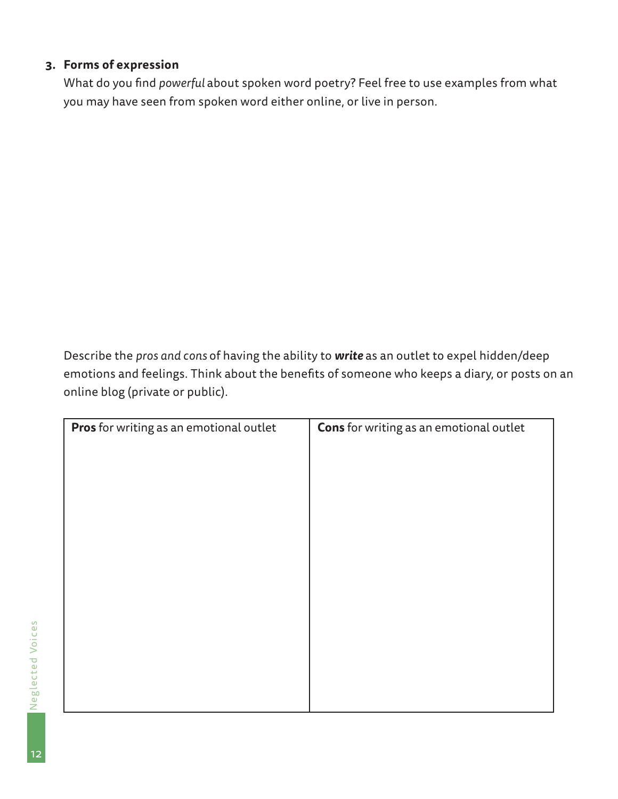| 3. Forms of expression           |                                         |                                                                                                                                                                                          |  |
|----------------------------------|-----------------------------------------|------------------------------------------------------------------------------------------------------------------------------------------------------------------------------------------|--|
|                                  |                                         | What do you find powerful about spoken word poetry? Feel free to use examples from what                                                                                                  |  |
|                                  |                                         | you may have seen from spoken word either online, or live in person.                                                                                                                     |  |
|                                  |                                         |                                                                                                                                                                                          |  |
|                                  |                                         |                                                                                                                                                                                          |  |
|                                  |                                         |                                                                                                                                                                                          |  |
|                                  |                                         |                                                                                                                                                                                          |  |
|                                  |                                         |                                                                                                                                                                                          |  |
|                                  |                                         |                                                                                                                                                                                          |  |
|                                  |                                         |                                                                                                                                                                                          |  |
|                                  |                                         |                                                                                                                                                                                          |  |
|                                  |                                         |                                                                                                                                                                                          |  |
|                                  |                                         |                                                                                                                                                                                          |  |
|                                  |                                         |                                                                                                                                                                                          |  |
|                                  |                                         |                                                                                                                                                                                          |  |
|                                  |                                         |                                                                                                                                                                                          |  |
|                                  |                                         |                                                                                                                                                                                          |  |
|                                  |                                         |                                                                                                                                                                                          |  |
|                                  |                                         |                                                                                                                                                                                          |  |
| online blog (private or public). |                                         | Describe the pros and cons of having the ability to write as an outlet to expel hidden/deep<br>emotions and feelings. Think about the benefits of someone who keeps a diary, or posts on |  |
|                                  |                                         |                                                                                                                                                                                          |  |
|                                  | Pros for writing as an emotional outlet | Cons for writing as an emotional outlet                                                                                                                                                  |  |
|                                  |                                         |                                                                                                                                                                                          |  |
|                                  |                                         |                                                                                                                                                                                          |  |
|                                  |                                         |                                                                                                                                                                                          |  |
|                                  |                                         |                                                                                                                                                                                          |  |
|                                  |                                         |                                                                                                                                                                                          |  |
|                                  |                                         |                                                                                                                                                                                          |  |
|                                  |                                         |                                                                                                                                                                                          |  |
|                                  |                                         |                                                                                                                                                                                          |  |
|                                  |                                         |                                                                                                                                                                                          |  |
|                                  |                                         |                                                                                                                                                                                          |  |
|                                  |                                         |                                                                                                                                                                                          |  |
|                                  |                                         |                                                                                                                                                                                          |  |
|                                  |                                         |                                                                                                                                                                                          |  |
|                                  |                                         |                                                                                                                                                                                          |  |
|                                  |                                         |                                                                                                                                                                                          |  |
|                                  |                                         |                                                                                                                                                                                          |  |
|                                  |                                         |                                                                                                                                                                                          |  |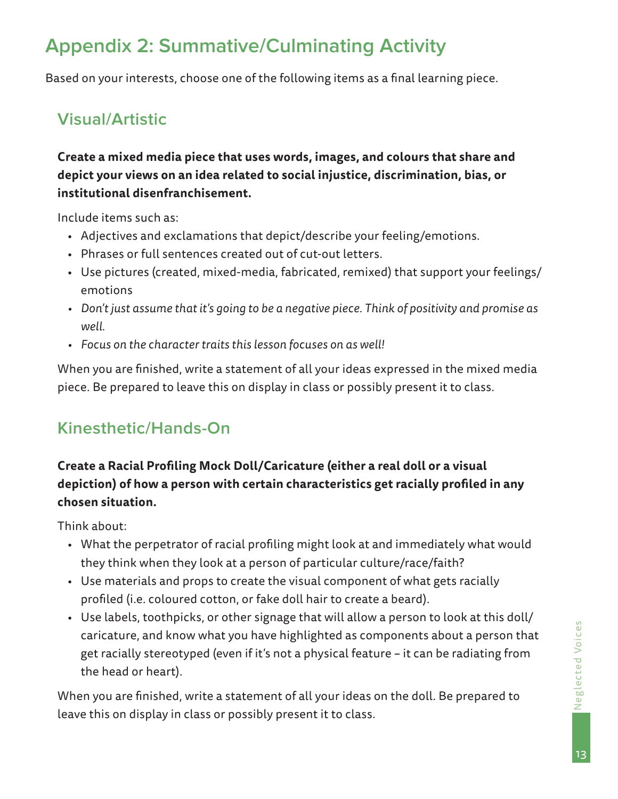## <span id="page-12-0"></span>**Appendix 2: Summative/Culminating Activity**

Based on your interests, choose one of the following items as a final learning piece.

## **Visual/Artistic**

## **Create a mixed media piece that uses words, images, and colours that share and depict your views on an idea related to social injustice, discrimination, bias, or institutional disenfranchisement.**

Include items such as:

- Adjectives and exclamations that depict/describe your feeling/emotions.
- Phrases or full sentences created out of cut-out letters.
- Use pictures (created, mixed-media, fabricated, remixed) that support your feelings/ emotions
- *• Don't just assume that it's going to be a negative piece. Think of positivity and promise as well.*
- *• Focus on the character traits this lesson focuses on as well!*

When you are finished, write a statement of all your ideas expressed in the mixed media piece. Be prepared to leave this on display in class or possibly present it to class.

## **Kinesthetic/Hands-On**

## **Create a Racial Profiling Mock Doll/Caricature (either a real doll or a visual depiction) of how a person with certain characteristics get racially profiled in any chosen situation.**

Think about:

- What the perpetrator of racial profiling might look at and immediately what would they think when they look at a person of particular culture/race/faith?
- Use materials and props to create the visual component of what gets racially profiled (i.e. coloured cotton, or fake doll hair to create a beard).
- Use labels, toothpicks, or other signage that will allow a person to look at this doll/ caricature, and know what you have highlighted as components about a person that get racially stereotyped (even if it's not a physical feature – it can be radiating from the head or heart).

When you are finished, write a statement of all your ideas on the doll. Be prepared to leave this on display in class or possibly present it to class.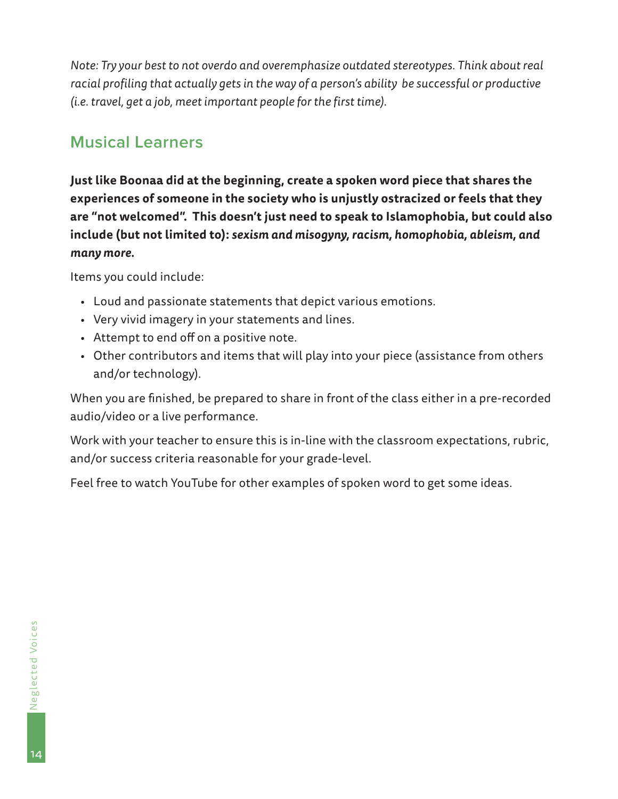*Note: Try your best to not overdo and overemphasize outdated stereotypes. Think about real racial profiling that actually gets in the way of a person's ability be successful or productive (i.e. travel, get a job, meet important people for the first time).*

## **Musical Learners**

**Just like Boonaa did at the beginning, create a spoken word piece that shares the experiences of someone in the society who is unjustly ostracized or feels that they are "not welcomed". This doesn't just need to speak to Islamophobia, but could also include (but not limited to):** *sexism and misogyny, racism, homophobia, ableism, and many more.*

Items you could include:

- Loud and passionate statements that depict various emotions.
- Very vivid imagery in your statements and lines.
- Attempt to end off on a positive note.
- Other contributors and items that will play into your piece (assistance from others and/or technology).

When you are finished, be prepared to share in front of the class either in a pre-recorded audio/video or a live performance.

Work with your teacher to ensure this is in-line with the classroom expectations, rubric, and/or success criteria reasonable for your grade-level.

Feel free to watch YouTube for other examples of spoken word to get some ideas.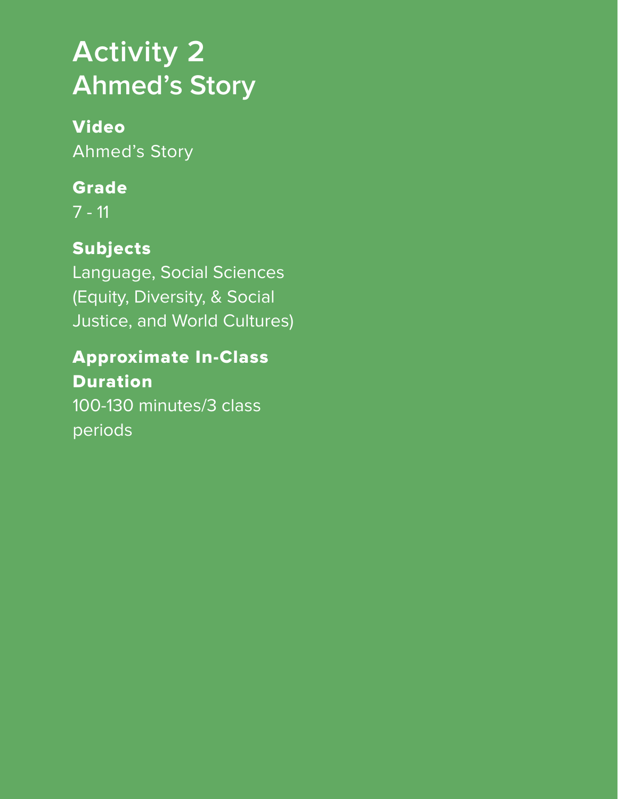# <span id="page-14-0"></span>**Activity 2 Ahmed's Story**

# Video

Ahmed's Story

## Grade

7 - 11

## Subjects

Language, Social Sciences (Equity, Diversity, & Social Justice, and World Cultures)

## Approximate In-Class Duration 100-130 minutes/3 class periods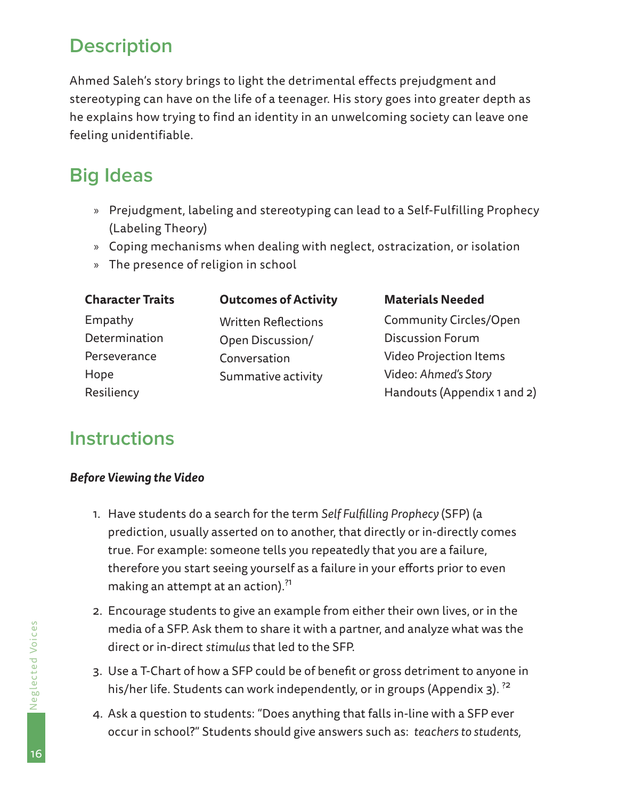## <span id="page-15-0"></span>**Description**

Ahmed Saleh's story brings to light the detrimental effects prejudgment and stereotyping can have on the life of a teenager. His story goes into greater depth as he explains how trying to find an identity in an unwelcoming society can leave one feeling unidentifiable.

## **Big Ideas**

- » Prejudgment, labeling and stereotyping can lead to a Self-Fulfilling Prophecy (Labeling Theory)
- » Coping mechanisms when dealing with neglect, ostracization, or isolation
- » The presence of religion in school

| <b>Character Traits</b> | <b>Outcomes of Activity</b> | <b>Materials Needed</b>       |
|-------------------------|-----------------------------|-------------------------------|
| Empathy                 | <b>Written Reflections</b>  | <b>Community Circles/Open</b> |
| Determination           | Open Discussion/            | <b>Discussion Forum</b>       |
| Perseverance            | Conversation                | <b>Video Projection Items</b> |
| Hope                    | Summative activity          | Video: Ahmed's Story          |
| Resiliency              |                             | Handouts (Appendix 1 and 2)   |

## **Instructions**

#### *Before Viewing the Video*

- 1. Have students do a search for the term *Self Fulfilling Prophecy* (SFP) (a prediction, usually asserted on to another, that directly or in-directly comes true. For example: someone tells you repeatedly that you are a failure, therefore you start seeing yourself as a failure in your efforts prior to even making an attempt at an action).<sup>?1</sup>
- 2. Encourage students to give an example from either their own lives, or in the media of a SFP. Ask them to share it with a partner, and analyze what was the direct or in-direct *stimulus* that led to the SFP.
- 3. Use a T-Chart of how a SFP could be of benefit or gross detriment to anyone in his/her life. Students can work independently, or in groups (Appendix 3).<sup>22</sup>
- 4. Ask a question to students: "Does anything that falls in-line with a SFP ever occur in school?" Students should give answers such as: *teachers to students,*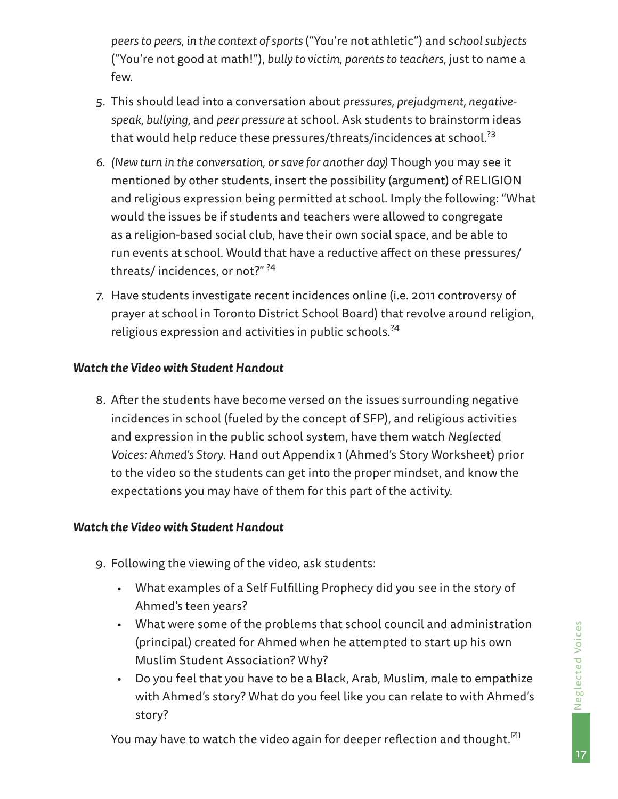*peers to peers, in the context of sports* ("You're not athletic") and s*chool subjects*  ("You're not good at math!"), *bully to victim, parents to teachers,* just to name a few.

- 5. This should lead into a conversation about *pressures, prejudgment, negativespeak, bullying*, and *peer pressure* at school. Ask students to brainstorm ideas that would help reduce these pressures/threats/incidences at school.<sup>?3</sup>
- *6. (New turn in the conversation, or save for another day)* Though you may see it mentioned by other students, insert the possibility (argument) of RELIGION and religious expression being permitted at school. Imply the following: "What would the issues be if students and teachers were allowed to congregate as a religion-based social club, have their own social space, and be able to run events at school. Would that have a reductive affect on these pressures/ threats/ incidences, or not?" ?4
- 7. Have students investigate recent incidences online (i.e. 2011 controversy of prayer at school in Toronto District School Board) that revolve around religion, religious expression and activities in public schools.?4

#### *Watch the Video with Student Handout*

8. After the students have become versed on the issues surrounding negative incidences in school (fueled by the concept of SFP), and religious activities and expression in the public school system, have them watch *Neglected Voices: Ahmed's Story*. Hand out Appendix 1 (Ahmed's Story Worksheet) prior to the video so the students can get into the proper mindset, and know the expectations you may have of them for this part of the activity.

#### *Watch the Video with Student Handout*

- 9. Following the viewing of the video, ask students:
	- What examples of a Self Fulfilling Prophecy did you see in the story of Ahmed's teen years?
	- What were some of the problems that school council and administration (principal) created for Ahmed when he attempted to start up his own Muslim Student Association? Why?
	- Do you feel that you have to be a Black, Arab, Muslim, male to empathize with Ahmed's story? What do you feel like you can relate to with Ahmed's story?

You may have to watch the video again for deeper reflection and thought. $121$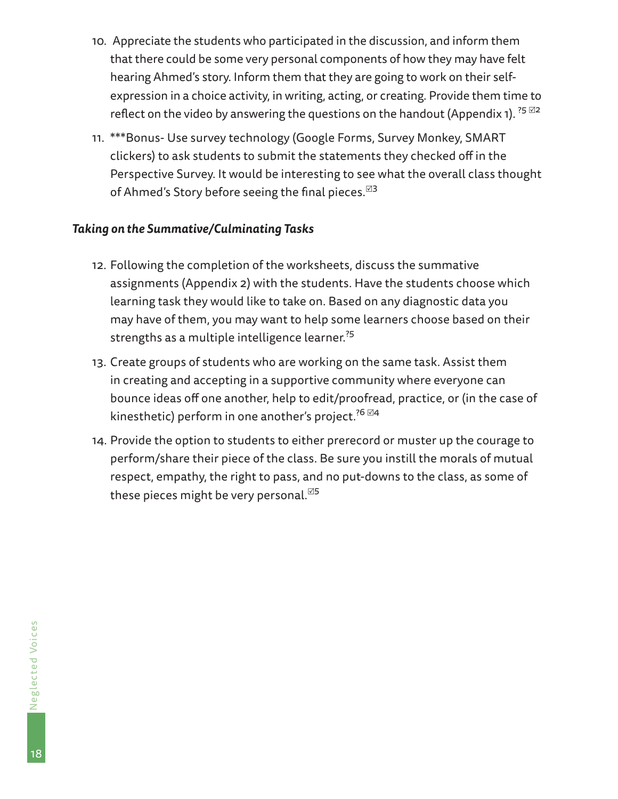- 10. Appreciate the students who participated in the discussion, and inform them that there could be some very personal components of how they may have felt hearing Ahmed's story. Inform them that they are going to work on their selfexpression in a choice activity, in writing, acting, or creating. Provide them time to reflect on the video by answering the questions on the handout (Appendix 1).  $^{25}$   $^{\boxtimes 2}$
- 11. \*\*\*Bonus- Use survey technology (Google Forms, Survey Monkey, SMART clickers) to ask students to submit the statements they checked off in the Perspective Survey. It would be interesting to see what the overall class thought of Ahmed's Story before seeing the final pieces.  $1/3$

#### *Taking on the Summative/Culminating Tasks*

- 12. Following the completion of the worksheets, discuss the summative assignments (Appendix 2) with the students. Have the students choose which learning task they would like to take on. Based on any diagnostic data you may have of them, you may want to help some learners choose based on their strengths as a multiple intelligence learner.<sup>25</sup>
- 13. Create groups of students who are working on the same task. Assist them in creating and accepting in a supportive community where everyone can bounce ideas off one another, help to edit/proofread, practice, or (in the case of kinesthetic) perform in one another's project.<sup>26  $\boxtimes$ 4</sup>
- 14. Provide the option to students to either prerecord or muster up the courage to perform/share their piece of the class. Be sure you instill the morals of mutual respect, empathy, the right to pass, and no put-downs to the class, as some of these pieces might be very personal.<sup> $55$ </sup>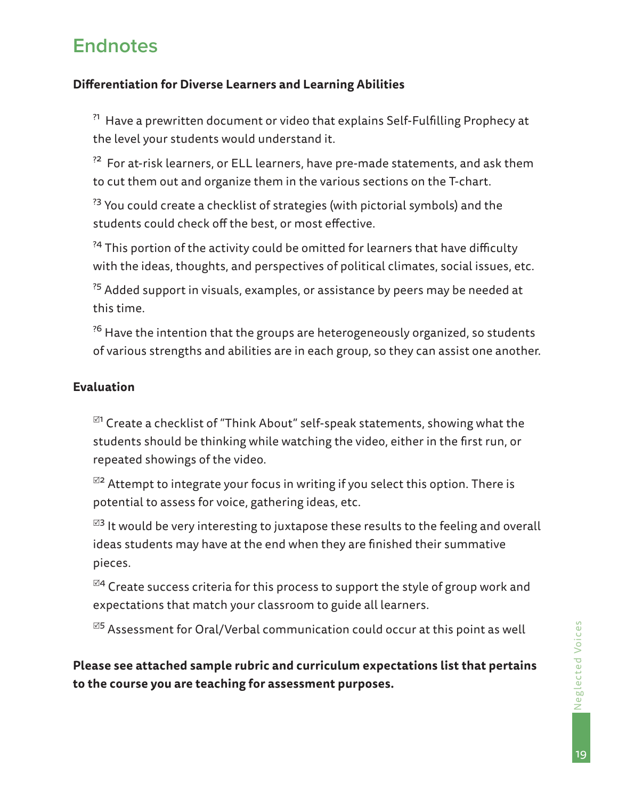## <span id="page-18-0"></span>**Endnotes**

#### **Differentiation for Diverse Learners and Learning Abilities**

<sup>?1</sup> Have a prewritten document or video that explains Self-Fulfilling Prophecy at the level your students would understand it.

 $^{22}$  For at-risk learners, or ELL learners, have pre-made statements, and ask them to cut them out and organize them in the various sections on the T-chart.

 $33$  You could create a checklist of strategies (with pictorial symbols) and the students could check off the best, or most effective.

<sup>24</sup> This portion of the activity could be omitted for learners that have difficulty with the ideas, thoughts, and perspectives of political climates, social issues, etc.

 $^{75}$  Added support in visuals, examples, or assistance by peers may be needed at this time.

<sup>26</sup> Have the intention that the groups are heterogeneously organized, so students of various strengths and abilities are in each group, so they can assist one another.

#### **Evaluation**

 $^{\boxtimes 1}$  Create a checklist of "Think About" self-speak statements, showing what the students should be thinking while watching the video, either in the first run, or repeated showings of the video.

 $^{\boxtimes 2}$  Attempt to integrate your focus in writing if you select this option. There is potential to assess for voice, gathering ideas, etc.

 $^{\boxtimes 3}$  It would be very interesting to juxtapose these results to the feeling and overall ideas students may have at the end when they are finished their summative pieces.

 $^{\boxtimes 4}$  Create success criteria for this process to support the style of group work and expectations that match your classroom to guide all learners.

 $^{\boxtimes 5}$  Assessment for Oral/Verbal communication could occur at this point as well

**Please see attached sample rubric and curriculum expectations list that pertains to the course you are teaching for assessment purposes.**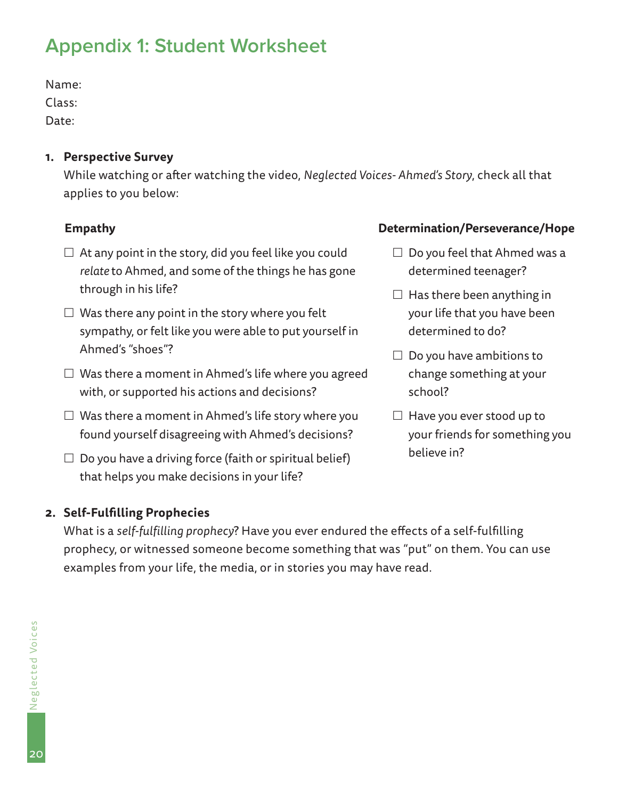Name:

Class:

Date:

#### **1. Perspective Survey**

While watching or after watching the video, *Neglected Voices- Ahmed's Story*, check all that applies to you below:

#### **Empathy**

- <span id="page-19-0"></span>Appendix 1: Student Worksheet<br>
Name:<br>
Class:<br>
Class:<br>
Date:<br>
Date:<br>
Date:<br>
Date:<br>
Date:<br>
At any point in the story, did you feel like you correlate to Ahmed, and some of the things he has<br>
through in his life?<br>
∩ Was ther  $\Box$  At any point in the story, did you feel like you could *relate* to Ahmed, and some of the things he has gone through in his life?
	- $\Box$  Was there any point in the story where you felt sympathy, or felt like you were able to put yourself in Ahmed's "shoes"?
	- $\Box$  Was there a moment in Ahmed's life where you agreed with, or supported his actions and decisions?
	- $\Box$  Was there a moment in Ahmed's life story where you found yourself disagreeing with Ahmed's decisions?
	- $\Box$  Do you have a driving force (faith or spiritual belief) that helps you make decisions in your life?

#### **2. Self-Fulfilling Prophecies**

What is a *self-fulfilling prophecy*? Have you ever endured the effects of a self-fulfilling prophecy, or witnessed someone become something that was "put" on them. You can use examples from your life, the media, or in stories you may have read.

#### **Determination/Perseverance/Hope**

- $\Box$  Do you feel that Ahmed was a determined teenager?
- $\Box$  Has there been anything in your life that you have been determined to do?
- $\Box$  Do you have ambitions to change something at your school?
- $\Box$  Have you ever stood up to your friends for something you believe in?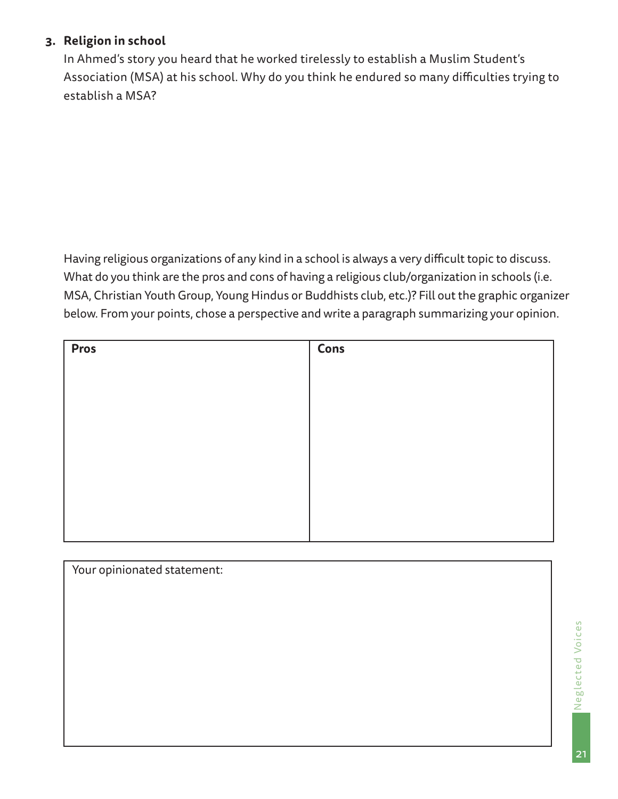### **3. Religion in school**

In Ahmed's story you heard that he worked tirelessly to establish a Muslim Student's Association (MSA) at his school. Why do you think he endured so many difficulties trying to establish a MSA?

Having religious organizations of any kind in a school is always a very difficult topic to discuss. What do you think are the pros and cons of having a religious club/organization in schools (i.e. MSA, Christian Youth Group, Young Hindus or Buddhists club, etc.)? Fill out the graphic organizer below. From your points, chose a perspective and write a paragraph summarizing your opinion.

| <b>Pros</b> | <b>Cons</b> |
|-------------|-------------|
|             |             |
|             |             |
|             |             |
|             |             |
|             |             |
|             |             |
|             |             |
|             |             |

| Your opinionated statement: |  |
|-----------------------------|--|
|                             |  |
|                             |  |
|                             |  |
|                             |  |
|                             |  |
|                             |  |
|                             |  |
|                             |  |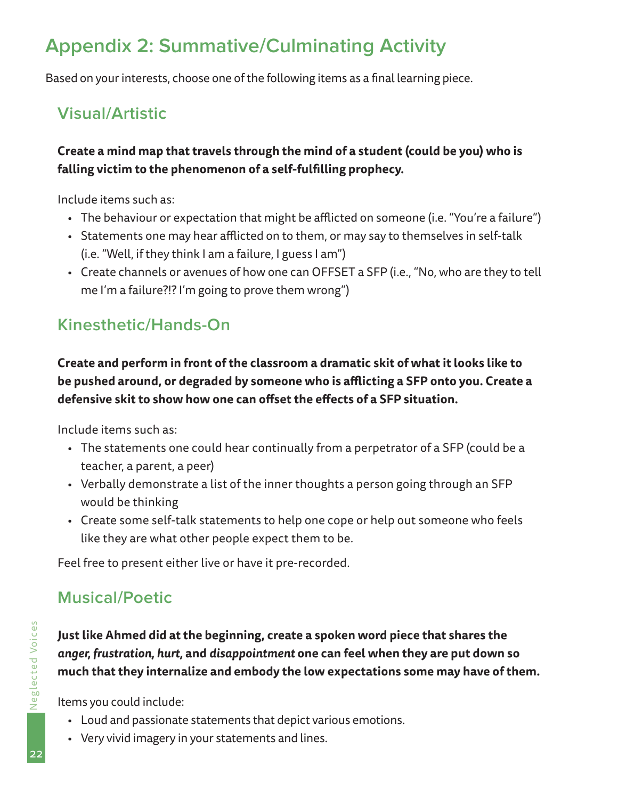Based on your interests, choose one of the following items as a final learning piece.

## **Visual/Artistic**

## **Create a mind map that travels through the mind of a student (could be you) who is falling victim to the phenomenon of a self-fulfilling prophecy.**

Include items such as:

- The behaviour or expectation that might be afflicted on someone (i.e. "You're a failure")
- Statements one may hear afflicted on to them, or may say to themselves in self-talk (i.e. "Well, if they think I am a failure, I guess I am")
- Create channels or avenues of how one can OFFSET a SFP (i.e., "No, who are they to tell me I'm a failure?!? I'm going to prove them wrong")

## **Kinesthetic/Hands-On**

<span id="page-21-0"></span>Appendix 2: Summative/Culminating Activity<br>
Based on your interests, choose one of the following items as a final learning<br>
Visual/Artistic<br>
Create a mind map that travels through the mind of a student (could the<br>
falling **Create and perform in front of the classroom a dramatic skit of what it looks like to be pushed around, or degraded by someone who is afflicting a SFP onto you. Create a defensive skit to show how one can offset the effects of a SFP situation.**

Include items such as:

- The statements one could hear continually from a perpetrator of a SFP (could be a teacher, a parent, a peer)
- Verbally demonstrate a list of the inner thoughts a person going through an SFP would be thinking
- Create some self-talk statements to help one cope or help out someone who feels like they are what other people expect them to be.

Feel free to present either live or have it pre-recorded.

## **Musical/Poetic**

**Just like Ahmed did at the beginning, create a spoken word piece that shares the**  *anger, frustration, hurt,* **and** *disappointment* **one can feel when they are put down so much that they internalize and embody the low expectations some may have of them.** 

Items you could include:

- Loud and passionate statements that depict various emotions.
- Very vivid imagery in your statements and lines.

22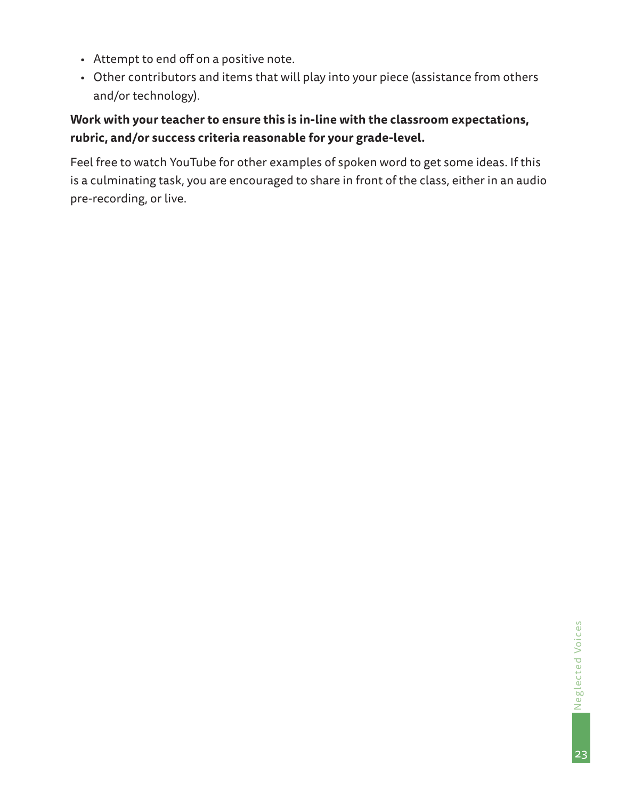- Attempt to end off on a positive note.
- Other contributors and items that will play into your piece (assistance from others and/or technology).

## **Work with your teacher to ensure this is in-line with the classroom expectations, rubric, and/or success criteria reasonable for your grade-level.**

Feel free to watch YouTube for other examples of spoken word to get some ideas. If this is a culminating task, you are encouraged to share in front of the class, either in an audio pre-recording, or live.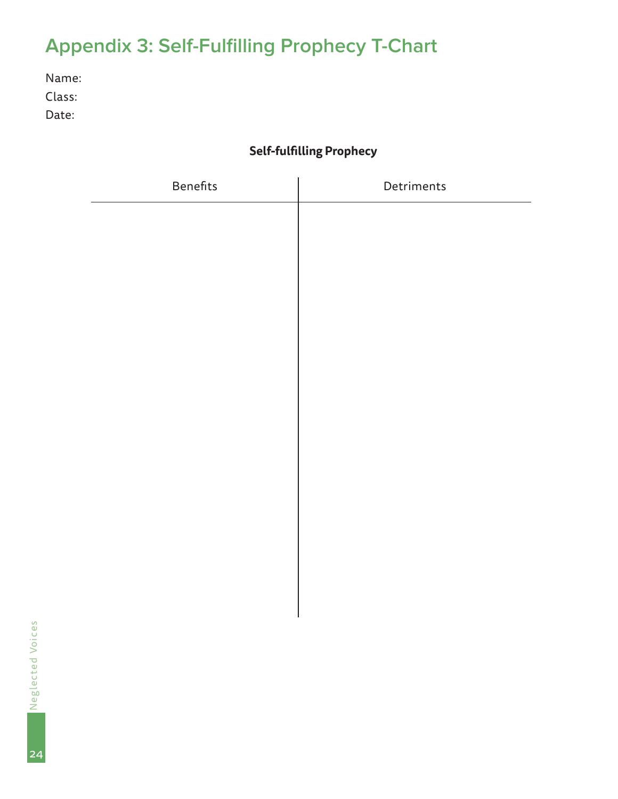## **Self-fulfilling Prophecy**

<span id="page-23-0"></span>

|                          | <b>Appendix 3: Self-Fulfilling Prophecy T-Chart</b> |            |  |  |
|--------------------------|-----------------------------------------------------|------------|--|--|
| Name:<br>Class:<br>Date: |                                                     |            |  |  |
|                          | <b>Self-fulfilling Prophecy</b>                     |            |  |  |
|                          | Benefits                                            | Detriments |  |  |
|                          |                                                     |            |  |  |
|                          |                                                     |            |  |  |
|                          |                                                     |            |  |  |
|                          |                                                     |            |  |  |
|                          |                                                     |            |  |  |
|                          |                                                     |            |  |  |
|                          |                                                     |            |  |  |
|                          |                                                     |            |  |  |
|                          |                                                     |            |  |  |
|                          |                                                     |            |  |  |
|                          |                                                     |            |  |  |
|                          |                                                     |            |  |  |
| Neglected Voices         |                                                     |            |  |  |
|                          |                                                     |            |  |  |
|                          |                                                     |            |  |  |
| $\mathcal{L}$            |                                                     |            |  |  |

24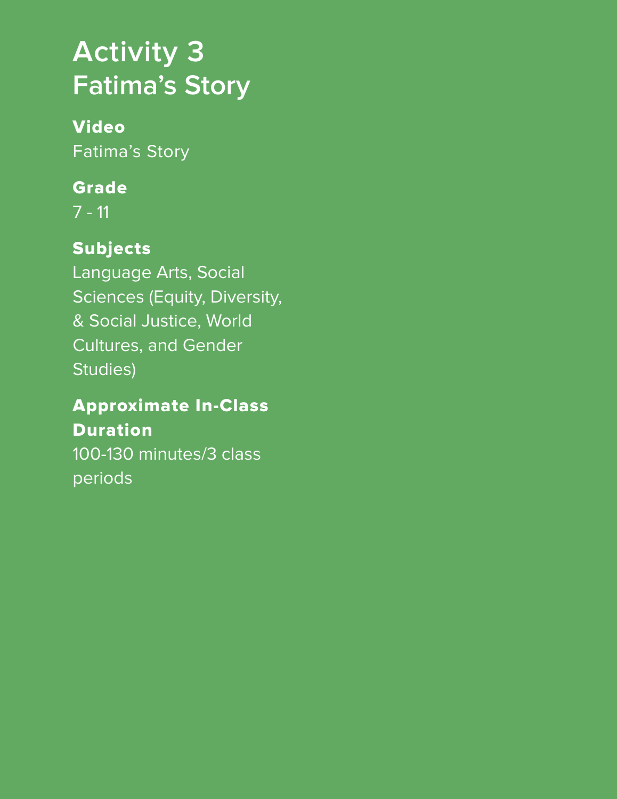# <span id="page-24-0"></span>**Activity 3 Fatima's Story**

## Video

Fatima's Story

## Grade

7 - 11

## Subjects

Language Arts, Social Sciences (Equity, Diversity, & Social Justice, World Cultures, and Gender Studies)

## Approximate In-Class Duration

100-130 minutes/3 class periods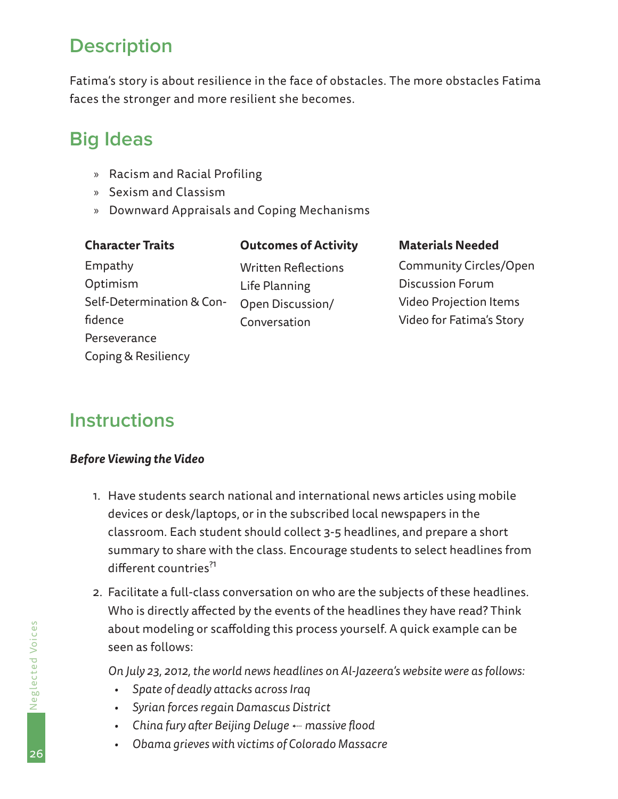## <span id="page-25-0"></span>**Description**

Fatima's story is about resilience in the face of obstacles. The more obstacles Fatima faces the stronger and more resilient she becomes.

## **Big Ideas**

- » Racism and Racial Profiling
- » Sexism and Classism
- » Downward Appraisals and Coping Mechanisms

#### **Character Traits**

#### **Outcomes of Activity**

Empathy Optimism Self-Determination & Confidence **Perseverance** Coping & Resiliency

Written Reflections Life Planning Open Discussion/ Conversation

#### **Materials Needed**

Community Circles/Open Discussion Forum Video Projection Items Video for Fatima's Story

## **Instructions**

#### *Before Viewing the Video*

- 1. Have students search national and international news articles using mobile devices or desk/laptops, or in the subscribed local newspapers in the classroom. Each student should collect 3-5 headlines, and prepare a short summary to share with the class. Encourage students to select headlines from different countries?1
- 2. Facilitate a full-class conversation on who are the subjects of these headlines. Who is directly affected by the events of the headlines they have read? Think about modeling or scaffolding this process yourself. A quick example can be seen as follows:

*On July 23, 2012, the world news headlines on Al-Jazeera's website were as follows:*

- *• Spate of deadly attacks across Iraq*
- *• Syrian forces regain Damascus District*
- *• China fury after Beijing Deluge* 3 *massive flood*
- *• Obama grieves with victims of Colorado Massacre*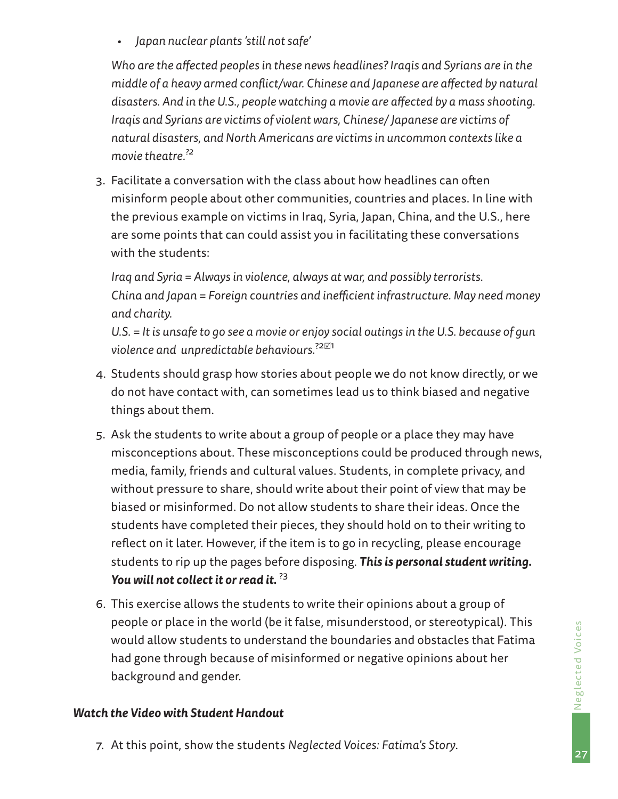*• Japan nuclear plants 'still not safe'*

*Who are the affected peoples in these news headlines? Iraqis and Syrians are in the middle of a heavy armed conflict/war. Chinese and Japanese are affected by natural disasters. And in the U.S., people watching a movie are affected by a mass shooting. Iraqis and Syrians are victims of violent wars, Chinese/ Japanese are victims of natural disasters, and North Americans are victims in uncommon contexts like a movie theatre.?2*

3. Facilitate a conversation with the class about how headlines can often misinform people about other communities, countries and places. In line with the previous example on victims in Iraq, Syria, Japan, China, and the U.S., here are some points that can could assist you in facilitating these conversations with the students:

*Iraq and Syria = Always in violence, always at war, and possibly terrorists. China and Japan = Foreign countries and inefficient infrastructure. May need money and charity.* 

*U.S. = It is unsafe to go see a movie or enjoy social outings in the U.S. because of gun violence and unpredictable behaviours*. ?21

- 4. Students should grasp how stories about people we do not know directly, or we do not have contact with, can sometimes lead us to think biased and negative things about them.
- 5. Ask the students to write about a group of people or a place they may have misconceptions about. These misconceptions could be produced through news, media, family, friends and cultural values. Students, in complete privacy, and without pressure to share, should write about their point of view that may be biased or misinformed. Do not allow students to share their ideas. Once the students have completed their pieces, they should hold on to their writing to reflect on it later. However, if the item is to go in recycling, please encourage students to rip up the pages before disposing. *This is personal student writing. You will not collect it or read it.* ?3
- 6. This exercise allows the students to write their opinions about a group of people or place in the world (be it false, misunderstood, or stereotypical). This would allow students to understand the boundaries and obstacles that Fatima had gone through because of misinformed or negative opinions about her background and gender.

#### *Watch the Video with Student Handout*

7. At this point, show the students *Neglected Voices: Fatima's Story*.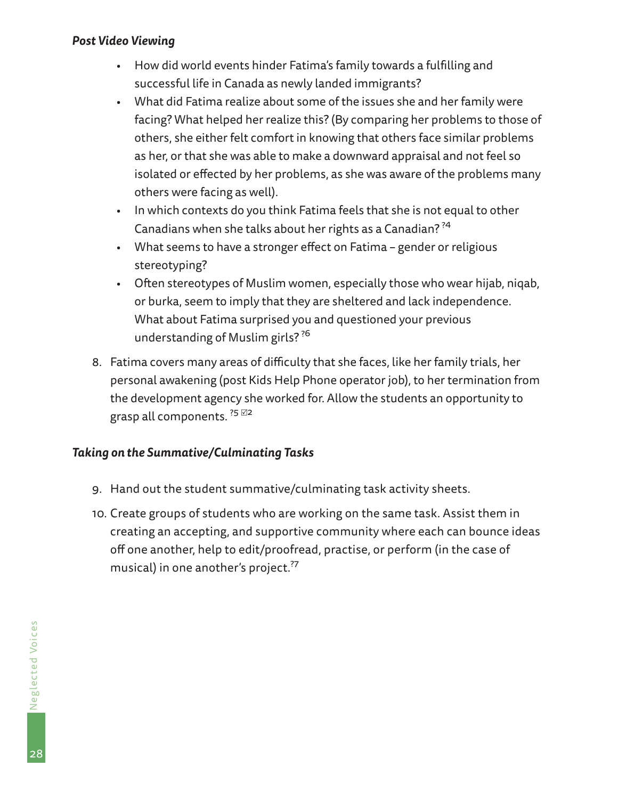#### *Post Video Viewing*

- How did world events hinder Fatima's family towards a fulfilling and successful life in Canada as newly landed immigrants?
- What did Fatima realize about some of the issues she and her family were facing? What helped her realize this? (By comparing her problems to those of others, she either felt comfort in knowing that others face similar problems as her, or that she was able to make a downward appraisal and not feel so isolated or effected by her problems, as she was aware of the problems many others were facing as well).
- In which contexts do you think Fatima feels that she is not equal to other Canadians when she talks about her rights as a Canadian? ?<sup>4</sup>
- What seems to have a stronger effect on Fatima gender or religious stereotyping?
- Often stereotypes of Muslim women, especially those who wear hijab, niqab, or burka, seem to imply that they are sheltered and lack independence. What about Fatima surprised you and questioned your previous understanding of Muslim girls? ?<sup>6</sup>
- 8. Fatima covers many areas of difficulty that she faces, like her family trials, her personal awakening (post Kids Help Phone operator job), to her termination from the development agency she worked for. Allow the students an opportunity to grasp all components.  $^{?5}$   $22$

#### *Taking on the Summative/Culminating Tasks*

- 9. Hand out the student summative/culminating task activity sheets.
- 10. Create groups of students who are working on the same task. Assist them in creating an accepting, and supportive community where each can bounce ideas off one another, help to edit/proofread, practise, or perform (in the case of musical) in one another's project.<sup>?7</sup>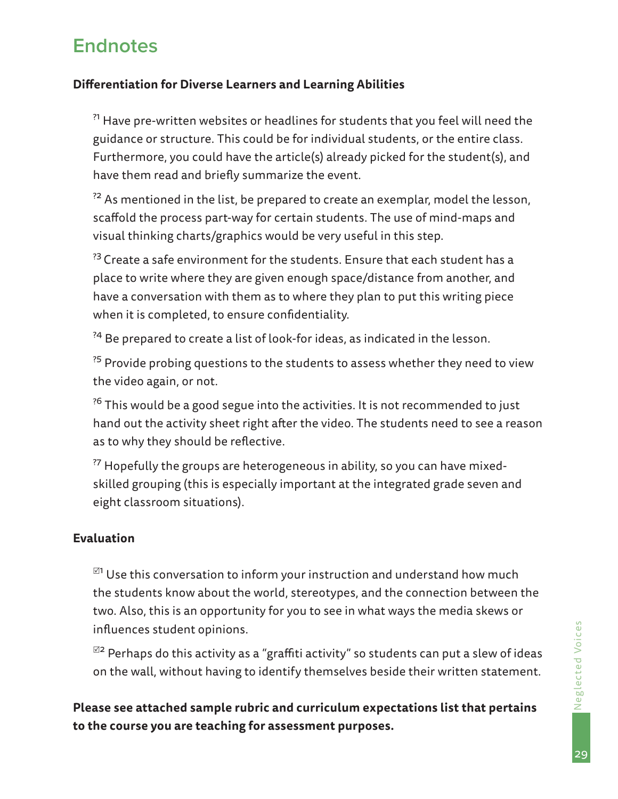## <span id="page-28-0"></span>**Endnotes**

#### **Differentiation for Diverse Learners and Learning Abilities**

<sup>?1</sup> Have pre-written websites or headlines for students that you feel will need the guidance or structure. This could be for individual students, or the entire class. Furthermore, you could have the article(s) already picked for the student(s), and have them read and briefly summarize the event.

 $^{72}$  As mentioned in the list, be prepared to create an exemplar, model the lesson, scaffold the process part-way for certain students. The use of mind-maps and visual thinking charts/graphics would be very useful in this step.

<sup>?3</sup> Create a safe environment for the students. Ensure that each student has a place to write where they are given enough space/distance from another, and have a conversation with them as to where they plan to put this writing piece when it is completed, to ensure confidentiality.

<sup>24</sup> Be prepared to create a list of look-for ideas, as indicated in the lesson.

 $^{75}$  Provide probing questions to the students to assess whether they need to view the video again, or not.

 $36$  This would be a good segue into the activities. It is not recommended to just hand out the activity sheet right after the video. The students need to see a reason as to why they should be reflective.

 $^{27}$  Hopefully the groups are heterogeneous in ability, so you can have mixedskilled grouping (this is especially important at the integrated grade seven and eight classroom situations).

#### **Evaluation**

 $^{\boxtimes 1}$  Use this conversation to inform your instruction and understand how much the students know about the world, stereotypes, and the connection between the two. Also, this is an opportunity for you to see in what ways the media skews or influences student opinions.

 $^{\boxtimes 2}$  Perhaps do this activity as a "graffiti activity" so students can put a slew of ideas on the wall, without having to identify themselves beside their written statement.

**Please see attached sample rubric and curriculum expectations list that pertains to the course you are teaching for assessment purposes.**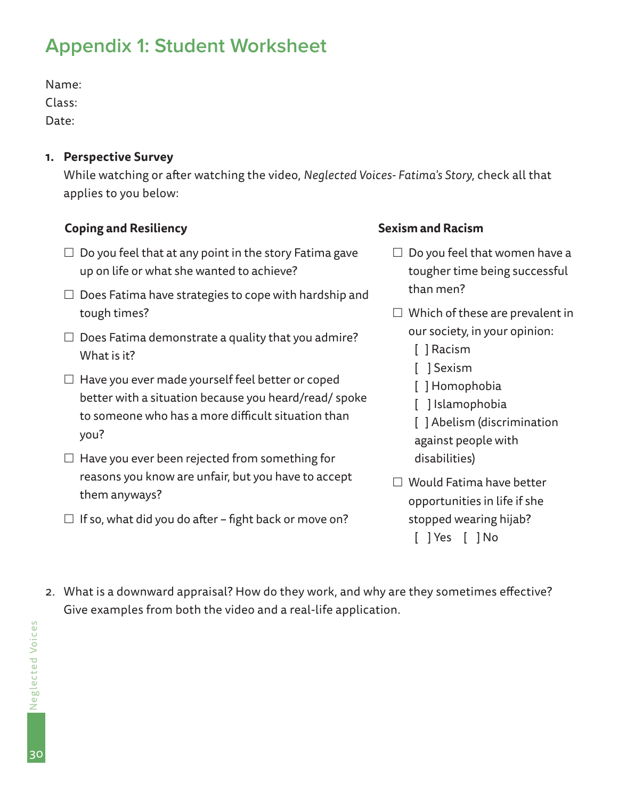Name:

Class:

Date:

#### **1. Perspective Survey**

While watching or after watching the video, *Neglected Voices- Fatima's Story*, check all that applies to you below:

### **Coping and Resiliency**

- $\Box$  Do you feel that at any point in the story Fatima gave up on life or what she wanted to achieve?
- $\Box$  Does Fatima have strategies to cope with hardship and tough times?
- $\Box$  Does Fatima demonstrate a quality that you admire? What is it?
- <span id="page-29-0"></span>Appendix 1: Student Worksheet<br>
Name:<br>
Class:<br>
Date:<br>
Designed Survey<br>
While watching or after watching the video, Negli<br>
applies to you below:<br>
Coping and Resiliency<br>  $\square$  Do you feel that at any point in the story Fatimi  $\Box$  Have you ever made yourself feel better or coped better with a situation because you heard/read/ spoke to someone who has a more difficult situation than you?
	- $\Box$  Have you ever been rejected from something for reasons you know are unfair, but you have to accept them anyways?
	- $\Box$  If so, what did you do after fight back or move on?

#### **Sexism and Racism**

- $\Box$  Do you feel that women have a tougher time being successful than men?
- $\Box$  Which of these are prevalent in our society, in your opinion:
	- [ ] Racism
	- [  $1$  Sexism
	- [ ] Homophobia
	- [ ] Islamophobia
	- [ ] Abelism (discrimination against people with disabilities)
- □ Would Fatima have better opportunities in life if she stopped wearing hijab? [ ] Yes [ ] No
- 2. What is a downward appraisal? How do they work, and why are they sometimes effective? Give examples from both the video and a real-life application.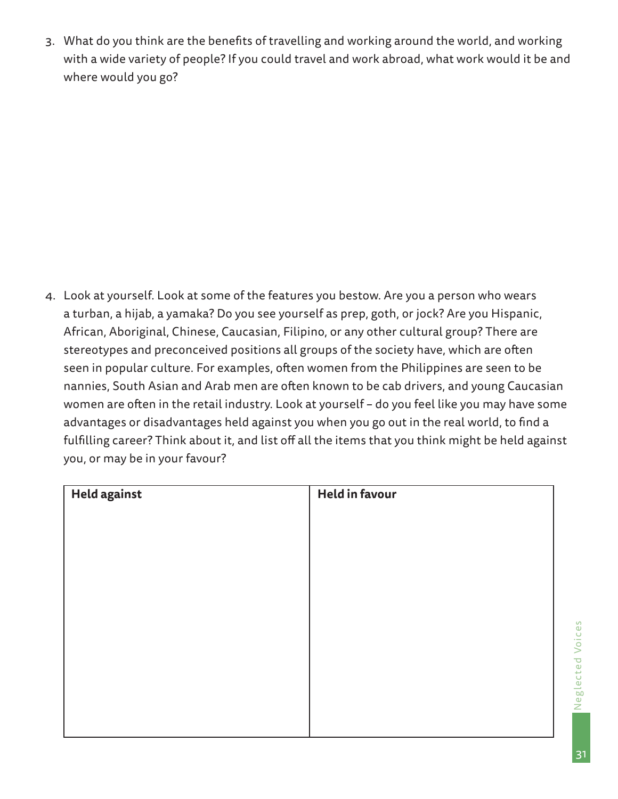3. What do you think are the benefits of travelling and working around the world, and working with a wide variety of people? If you could travel and work abroad, what work would it be and where would you go?

4. Look at yourself. Look at some of the features you bestow. Are you a person who wears a turban, a hijab, a yamaka? Do you see yourself as prep, goth, or jock? Are you Hispanic, African, Aboriginal, Chinese, Caucasian, Filipino, or any other cultural group? There are stereotypes and preconceived positions all groups of the society have, which are often seen in popular culture. For examples, often women from the Philippines are seen to be nannies, South Asian and Arab men are often known to be cab drivers, and young Caucasian women are often in the retail industry. Look at yourself – do you feel like you may have some advantages or disadvantages held against you when you go out in the real world, to find a fulfilling career? Think about it, and list off all the items that you think might be held against you, or may be in your favour?

| Held against | <b>Held in favour</b> |
|--------------|-----------------------|
|              |                       |
|              |                       |
|              |                       |
|              |                       |
|              |                       |
|              |                       |
|              |                       |
|              |                       |
|              |                       |

Neglected V Neglected Voices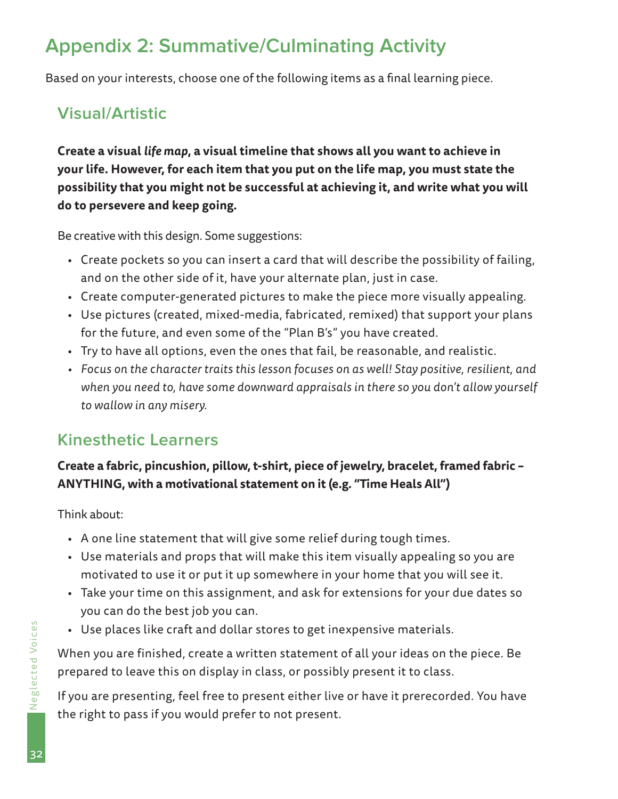Based on your interests, choose one of the following items as a final learning piece.

## **Visual/Artistic**

<span id="page-31-0"></span>Appendix 2: Summative/Culminating Activity<br>
Based on your interests, choose one of the following items as a final learni<br>
Visual/Artistic<br>
Create a visual tife map, a visual timeline that shows all you want to is<br>
your lif **Create a visual** *life map***, a visual timeline that shows all you want to achieve in your life. However, for each item that you put on the life map, you must state the possibility that you might not be successful at achieving it, and write what you will do to persevere and keep going.**

Be creative with this design. Some suggestions:

- Create pockets so you can insert a card that will describe the possibility of failing, and on the other side of it, have your alternate plan, just in case.
- Create computer-generated pictures to make the piece more visually appealing.
- Use pictures (created, mixed-media, fabricated, remixed) that support your plans for the future, and even some of the "Plan B's" you have created.
- Try to have all options, even the ones that fail, be reasonable, and realistic.
- *• Focus on the character traits this lesson focuses on as well! Stay positive, resilient, and when you need to, have some downward appraisals in there so you don't allow yourself to wallow in any misery.*

## **Kinesthetic Learners**

## **Create a fabric, pincushion, pillow, t-shirt, piece of jewelry, bracelet, framed fabric – ANYTHING, with a motivational statement on it (e.g. "Time Heals All")**

Think about:

- A one line statement that will give some relief during tough times.
- Use materials and props that will make this item visually appealing so you are motivated to use it or put it up somewhere in your home that you will see it.
- Take your time on this assignment, and ask for extensions for your due dates so you can do the best job you can.
- Use places like craft and dollar stores to get inexpensive materials.

When you are finished, create a written statement of all your ideas on the piece. Be prepared to leave this on display in class, or possibly present it to class.

If you are presenting, feel free to present either live or have it prerecorded. You have the right to pass if you would prefer to not present.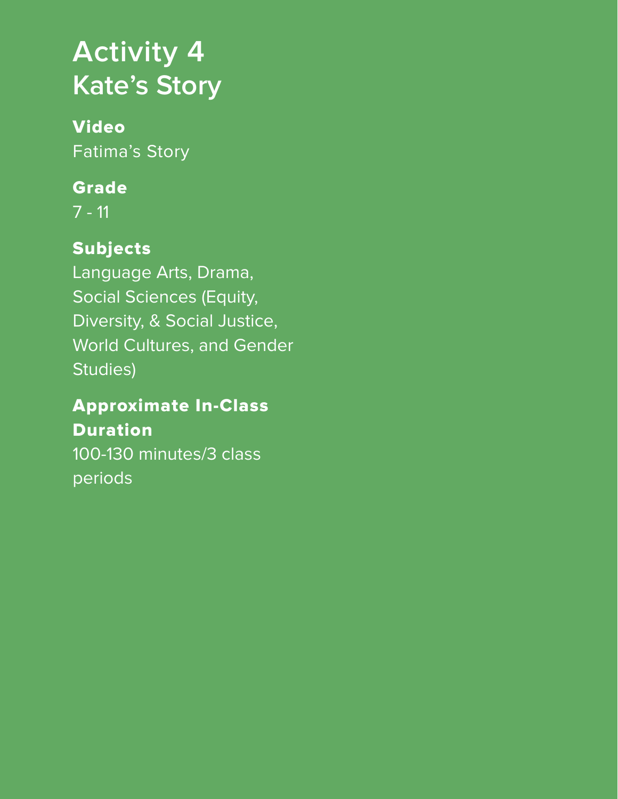# <span id="page-32-0"></span>**Activity 4 Kate's Story**

## Video Fatima's Story

## Grade

7 - 11

## Subjects

Language Arts, Drama, Social Sciences (Equity, Diversity, & Social Justice, World Cultures, and Gender Studies)

## Approximate In-Class Duration

100-130 minutes/3 class periods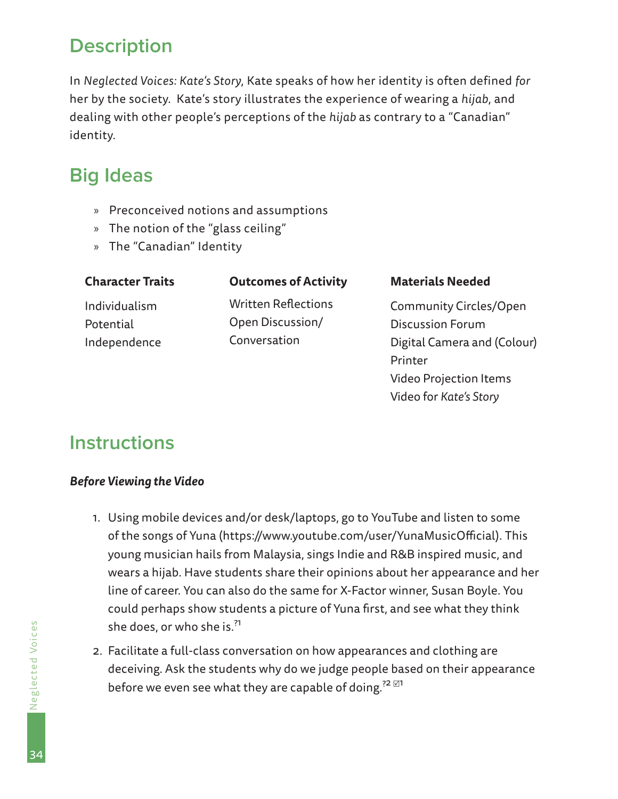## <span id="page-33-0"></span>**Description**

In *Neglected Voices: Kate's Story*, Kate speaks of how her identity is often defined *for* her by the society. Kate's story illustrates the experience of wearing a *hijab*, and dealing with other people's perceptions of the *hijab* as contrary to a "Canadian" identity.

## **Big Ideas**

- » Preconceived notions and assumptions
- » The notion of the "glass ceiling"
- » The "Canadian" Identity

| <b>Character Traits</b> | <b>Outcomes of Activity</b> | <b>Materials Needed</b>       |
|-------------------------|-----------------------------|-------------------------------|
| Individualism           | <b>Written Reflections</b>  | <b>Community Circles/Open</b> |
| Potential               | Open Discussion/            | <b>Discussion Forum</b>       |
| Independence            | Conversation                | Digital Camera and (Colour)   |
|                         |                             | Printer                       |
|                         |                             | <b>Video Projection Items</b> |

Video for *Kate's Story*

## **Instructions**

#### *Before Viewing the Video*

- 1. Using mobile devices and/or desk/laptops, go to YouTube and listen to some of the songs of Yuna (https://www.youtube.com/user/YunaMusicOfficial). This young musician hails from Malaysia, sings Indie and R&B inspired music, and wears a hijab. Have students share their opinions about her appearance and her line of career. You can also do the same for X-Factor winner, Susan Boyle. You could perhaps show students a picture of Yuna first, and see what they think she does, or who she is.<sup>?1</sup>
- 2. Facilitate a full-class conversation on how appearances and clothing are deceiving. Ask the students why do we judge people based on their appearance before we even see what they are capable of doing.<sup>?2  $\boxtimes$ 1</sup>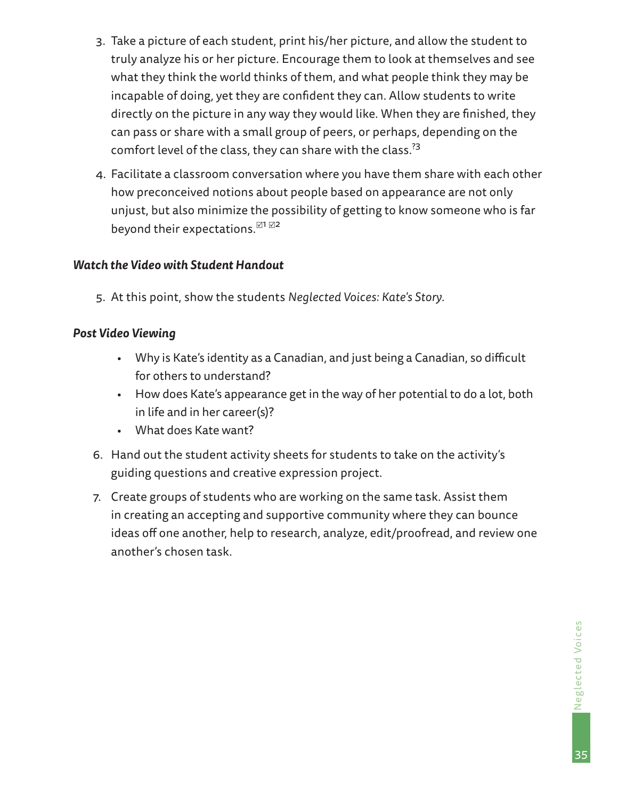- 3. Take a picture of each student, print his/her picture, and allow the student to truly analyze his or her picture. Encourage them to look at themselves and see what they think the world thinks of them, and what people think they may be incapable of doing, yet they are confident they can. Allow students to write directly on the picture in any way they would like. When they are finished, they can pass or share with a small group of peers, or perhaps, depending on the comfort level of the class, they can share with the class.<sup>73</sup>
- 4. Facilitate a classroom conversation where you have them share with each other how preconceived notions about people based on appearance are not only unjust, but also minimize the possibility of getting to know someone who is far beyond their expectations. $\mathbb{Z}^{1}\mathbb{Z}^{2}$

#### *Watch the Video with Student Handout*

5. At this point, show the students *Neglected Voices: Kate's Story*.

#### *Post Video Viewing*

- Why is Kate's identity as a Canadian, and just being a Canadian, so difficult for others to understand?
- How does Kate's appearance get in the way of her potential to do a lot, both in life and in her career(s)?
- What does Kate want?
- 6. Hand out the student activity sheets for students to take on the activity's guiding questions and creative expression project.
- 7. Create groups of students who are working on the same task. Assist them in creating an accepting and supportive community where they can bounce ideas off one another, help to research, analyze, edit/proofread, and review one another's chosen task.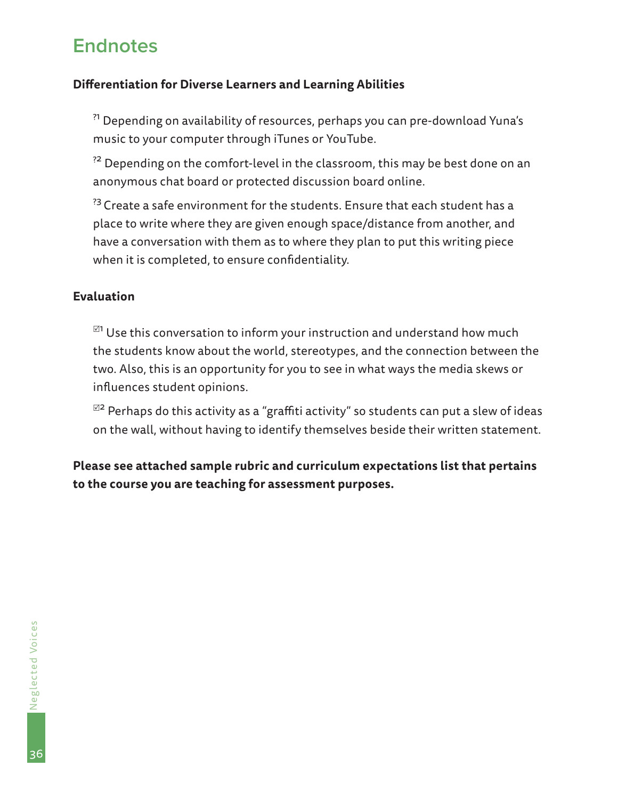## <span id="page-35-0"></span>**Endnotes**

#### **Differentiation for Diverse Learners and Learning Abilities**

?1 Depending on availability of resources, perhaps you can pre-download Yuna's music to your computer through iTunes or YouTube.

 $^{22}$  Depending on the comfort-level in the classroom, this may be best done on an anonymous chat board or protected discussion board online.

<sup>23</sup> Create a safe environment for the students. Ensure that each student has a place to write where they are given enough space/distance from another, and have a conversation with them as to where they plan to put this writing piece when it is completed, to ensure confidentiality.

#### **Evaluation**

 $^{\boxtimes 1}$  Use this conversation to inform your instruction and understand how much the students know about the world, stereotypes, and the connection between the two. Also, this is an opportunity for you to see in what ways the media skews or influences student opinions.

 $^{\boxtimes 2}$  Perhaps do this activity as a "graffiti activity" so students can put a slew of ideas on the wall, without having to identify themselves beside their written statement.

**Please see attached sample rubric and curriculum expectations list that pertains to the course you are teaching for assessment purposes.**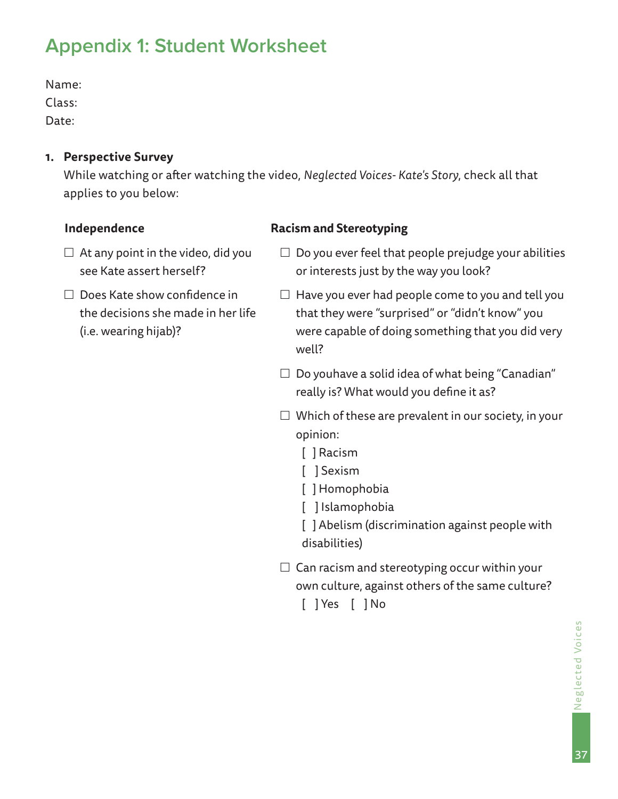## **Appendix 1: Student Worksheet**

Name:

Class:

Date:

### **1. Perspective Survey**

While watching or after watching the video, *Neglected Voices- Kate's Story*, check all that applies to you below:

### **Independence**

- $\Box$  At any point in the video, did you see Kate assert herself?
- $\Box$  Does Kate show confidence in the decisions she made in her life (i.e. wearing hijab)?

#### **Racism and Stereotyping**

- $\Box$  Do you ever feel that people prejudge your abilities or interests just by the way you look?
- $\Box$  Have you ever had people come to you and tell you that they were "surprised" or "didn't know" you were capable of doing something that you did very well?
- $\Box$  Do youhave a solid idea of what being "Canadian" really is? What would you define it as?
- $\Box$  Which of these are prevalent in our society, in your opinion:
	- [ ] Racism
	- [ ] Sexism
	- [ ] Homophobia
	- [ ] Islamophobia
	- [ ] Abelism (discrimination against people with disabilities)
- $\Box$  Can racism and stereotyping occur within your own culture, against others of the same culture? [ ] Yes [ ] No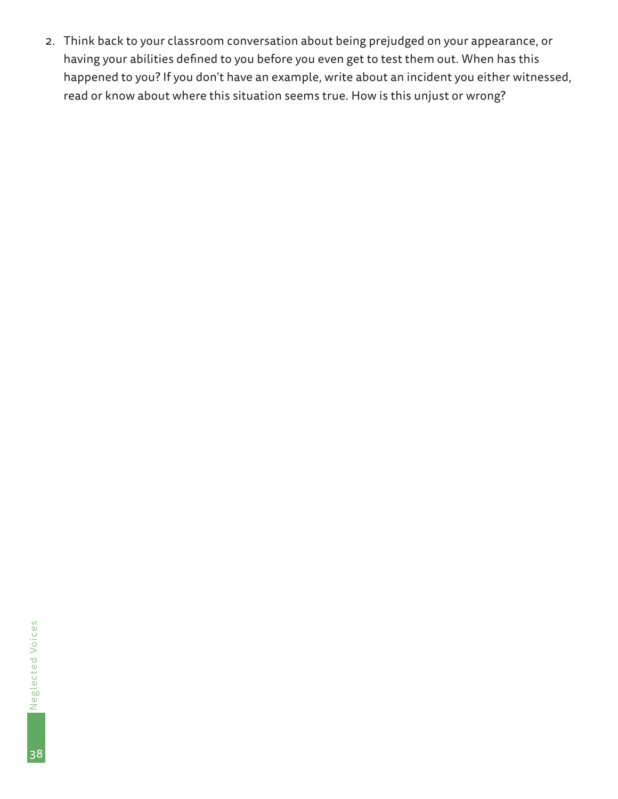2. Think back to your classroom conversation about being prejudged on your appearance, or<br>having your abilities defined to you before you even get to test them out. When has this<br>happened to you? If you don't have an examp having your abilities defined to you before you even get to test them out. When has this happened to you? If you don't have an example, write about an incident you either witnessed, read or know about where this situation seems true. How is this unjust or wrong?

38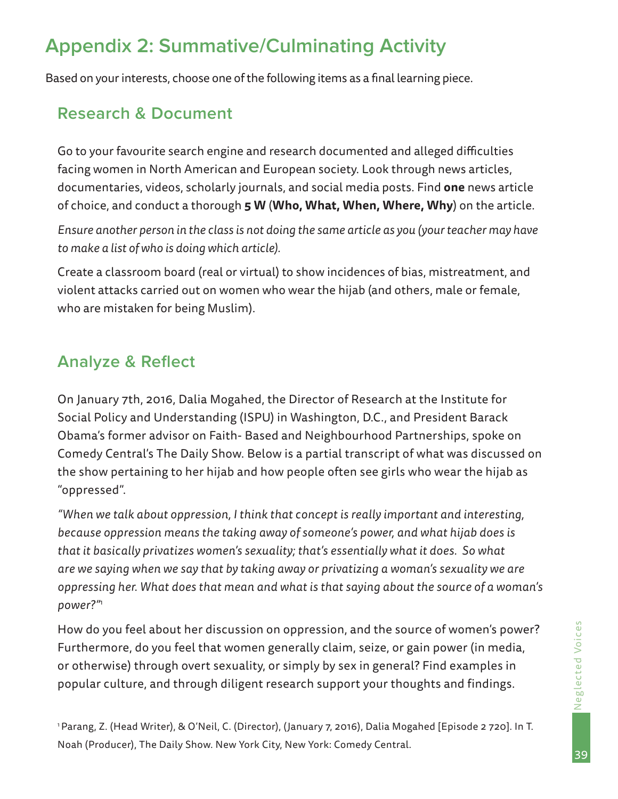## **Appendix 2: Summative/Culminating Activity**

Based on your interests, choose one of the following items as a final learning piece.

## **Research & Document**

Go to your favourite search engine and research documented and alleged difficulties facing women in North American and European society. Look through news articles, documentaries, videos, scholarly journals, and social media posts. Find **one** news article of choice, and conduct a thorough **5 W** (**Who, What, When, Where, Why**) on the article.

*Ensure another person in the class is not doing the same article as you (your teacher may have to make a list of who is doing which article).*

Create a classroom board (real or virtual) to show incidences of bias, mistreatment, and violent attacks carried out on women who wear the hijab (and others, male or female, who are mistaken for being Muslim).

## **Analyze & Reflect**

On January 7th, 2016, Dalia Mogahed, the Director of Research at the Institute for Social Policy and Understanding (ISPU) in Washington, D.C., and President Barack Obama's former advisor on Faith- Based and Neighbourhood Partnerships, spoke on Comedy Central's The Daily Show. Below is a partial transcript of what was discussed on the show pertaining to her hijab and how people often see girls who wear the hijab as "oppressed".

*"When we talk about oppression, I think that concept is really important and interesting, because oppression means the taking away of someone's power, and what hijab does is that it basically privatizes women's sexuality; that's essentially what it does. So what are we saying when we say that by taking away or privatizing a woman's sexuality we are oppressing her. What does that mean and what is that saying about the source of a woman's power?"*<sup>1</sup>

How do you feel about her discussion on oppression, and the source of women's power? Furthermore, do you feel that women generally claim, seize, or gain power (in media, or otherwise) through overt sexuality, or simply by sex in general? Find examples in popular culture, and through diligent research support your thoughts and findings.

<sup>1</sup> Parang, Z. (Head Writer), & O'Neil, C. (Director), (January 7, 2016), Dalia Mogahed [Episode 2 720]. In T. Noah (Producer), The Daily Show. New York City, New York: Comedy Central.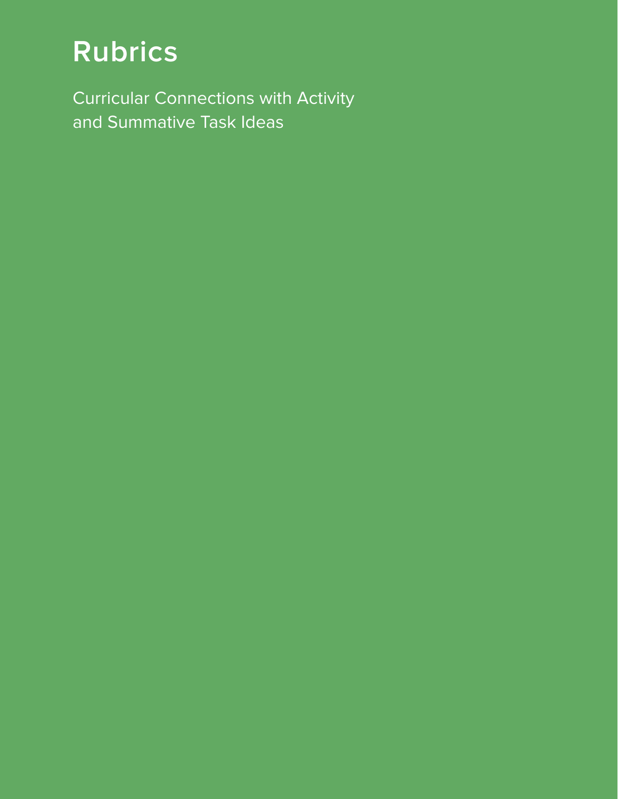# **Rubrics**

Curricular Connections with Activity and Summative Task Ideas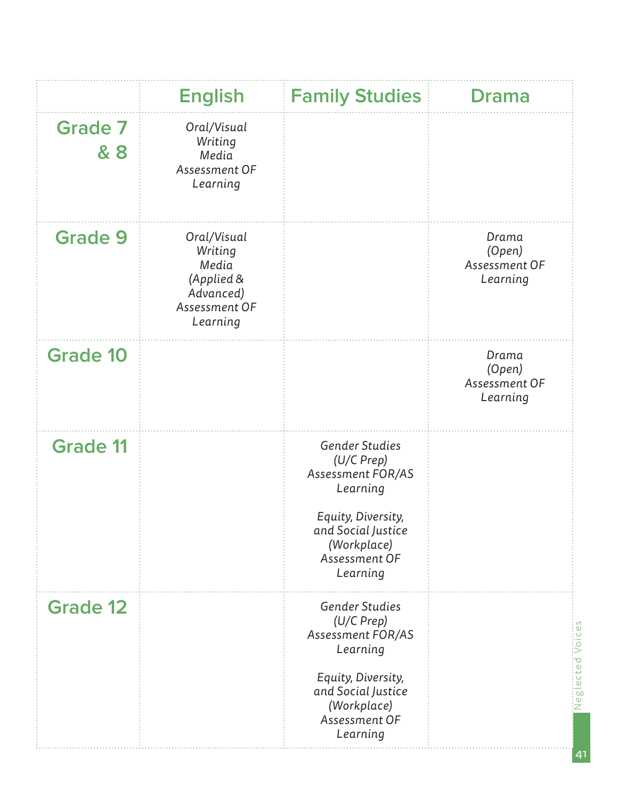|                       | <b>English</b>                                                                          | <b>Family Studies</b>                                                                                                                                 | <b>Drama</b>                                 |
|-----------------------|-----------------------------------------------------------------------------------------|-------------------------------------------------------------------------------------------------------------------------------------------------------|----------------------------------------------|
| <b>Grade 7</b><br>& 8 | Oral/Visual<br>Writing<br>Media<br>Assessment OF<br>Learning                            |                                                                                                                                                       |                                              |
| <b>Grade 9</b>        | Oral/Visual<br>Writing<br>Media<br>(Applied &<br>Advanced)<br>Assessment OF<br>Learning |                                                                                                                                                       | Drama<br>(Open)<br>Assessment OF<br>Learning |
| <b>Grade 10</b>       |                                                                                         |                                                                                                                                                       | Drama<br>(Open)<br>Assessment OF<br>Learning |
| <b>Grade 11</b>       |                                                                                         | Gender Studies<br>(U/C Prep)<br>Assessment FOR/AS<br>Learning<br>Equity, Diversity,<br>and Social Justice<br>(Workplace)<br>Assessment OF<br>Learning |                                              |
| <b>Grade 12</b>       |                                                                                         | Gender Studies<br>(U/C Prep)<br>Assessment FOR/AS<br>Learning<br>Equity, Diversity,<br>and Social Justice<br>(Workplace)<br>Assessment OF<br>Learning | <b>Neglected Voices</b>                      |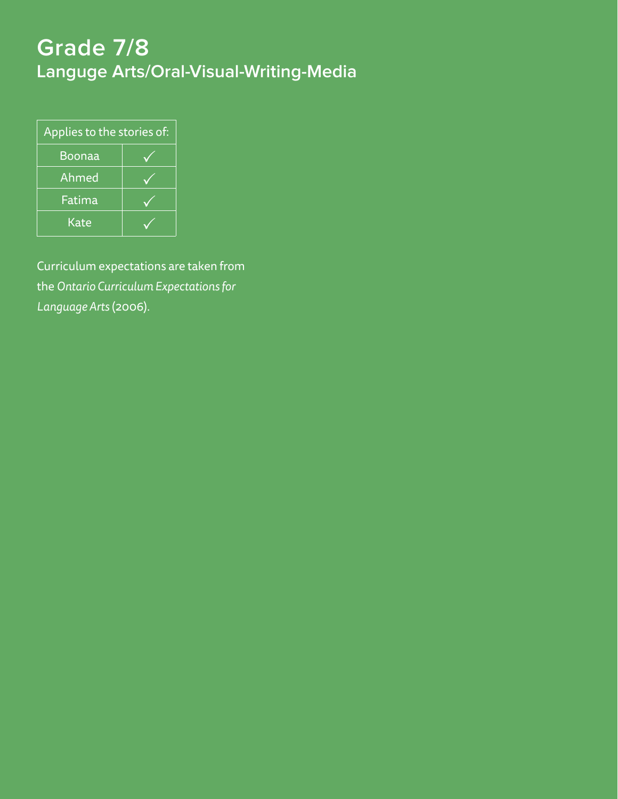# **Grade 7/8 Languge Arts/Oral-Visual-Writing-Media**

| Applies to the stories of: |  |  |  |  |
|----------------------------|--|--|--|--|
| Boonaa                     |  |  |  |  |
| Ahmed                      |  |  |  |  |
| Fatima                     |  |  |  |  |
| Kate                       |  |  |  |  |

Curriculum expectations are taken from the *Ontario Curriculum Expectations for Language Arts* (2006).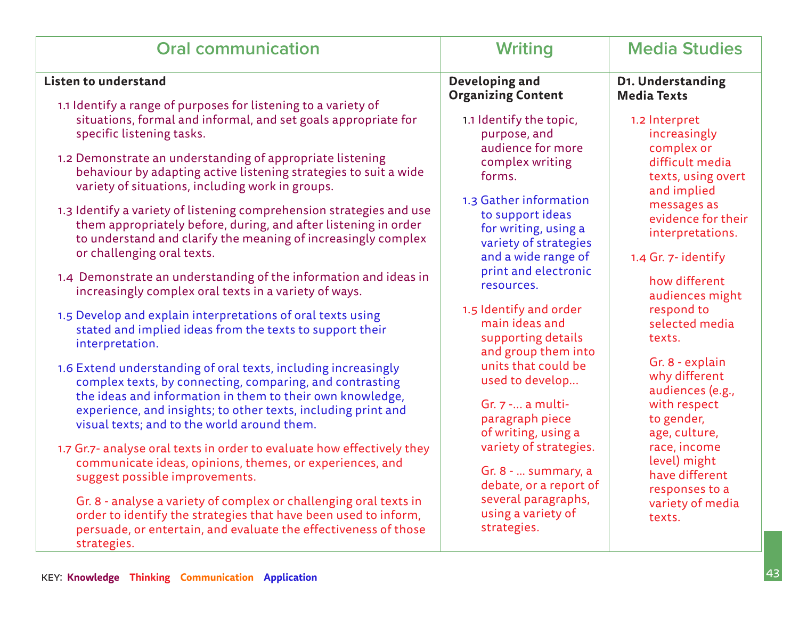| <b>Oral communication</b>                                                                                            | Writing                                     | <b>Media Studies</b>                    |
|----------------------------------------------------------------------------------------------------------------------|---------------------------------------------|-----------------------------------------|
| <b>Listen to understand</b>                                                                                          | Developing and<br><b>Organizing Content</b> | D1. Understanding<br><b>Media Texts</b> |
| 1.1 Identify a range of purposes for listening to a variety of                                                       |                                             |                                         |
| situations, formal and informal, and set goals appropriate for<br>specific listening tasks.                          | 1.1 Identify the topic,<br>purpose, and     | 1.2 Interpret<br>increasingly           |
|                                                                                                                      | audience for more                           | complex or                              |
| 1.2 Demonstrate an understanding of appropriate listening                                                            | complex writing                             | difficult media                         |
| behaviour by adapting active listening strategies to suit a wide<br>variety of situations, including work in groups. | forms.                                      | texts, using overt                      |
|                                                                                                                      | 1.3 Gather information                      | and implied                             |
| 1.3 Identify a variety of listening comprehension strategies and use                                                 | to support ideas                            | messages as                             |
| them appropriately before, during, and after listening in order                                                      | for writing, using a                        | evidence for their                      |
| to understand and clarify the meaning of increasingly complex                                                        | variety of strategies                       | interpretations.                        |
| or challenging oral texts.                                                                                           | and a wide range of                         | 1.4 Gr. 7- identify                     |
|                                                                                                                      | print and electronic                        |                                         |
| 1.4 Demonstrate an understanding of the information and ideas in                                                     |                                             | how different                           |
| increasingly complex oral texts in a variety of ways.                                                                | resources.                                  | audiences might                         |
|                                                                                                                      | 1.5 Identify and order                      | respond to                              |
| 1.5 Develop and explain interpretations of oral texts using                                                          | main ideas and                              | selected media                          |
| stated and implied ideas from the texts to support their                                                             | supporting details                          | texts.                                  |
| interpretation.                                                                                                      | and group them into                         |                                         |
| 1.6 Extend understanding of oral texts, including increasingly                                                       | units that could be                         | Gr. 8 - explain                         |
|                                                                                                                      | used to develop                             | why different                           |
| complex texts, by connecting, comparing, and contrasting                                                             |                                             | audiences (e.g.,                        |
| the ideas and information in them to their own knowledge,                                                            | Gr. $7 - $ a multi-                         | with respect                            |
| experience, and insights; to other texts, including print and                                                        | paragraph piece                             | to gender,                              |
| visual texts; and to the world around them.                                                                          | of writing, using a                         | age, culture,                           |
| 1.7 Gr.7- analyse oral texts in order to evaluate how effectively they                                               | variety of strategies.                      | race, income                            |
| communicate ideas, opinions, themes, or experiences, and                                                             |                                             | level) might                            |
| suggest possible improvements.                                                                                       | Gr. 8 -  summary, a                         | have different                          |
|                                                                                                                      | debate, or a report of                      | responses to a                          |
| Gr. 8 - analyse a variety of complex or challenging oral texts in                                                    | several paragraphs,                         | variety of media                        |
| order to identify the strategies that have been used to inform,                                                      | using a variety of                          | texts.                                  |
| persuade, or entertain, and evaluate the effectiveness of those<br>strategies.                                       | strategies.                                 |                                         |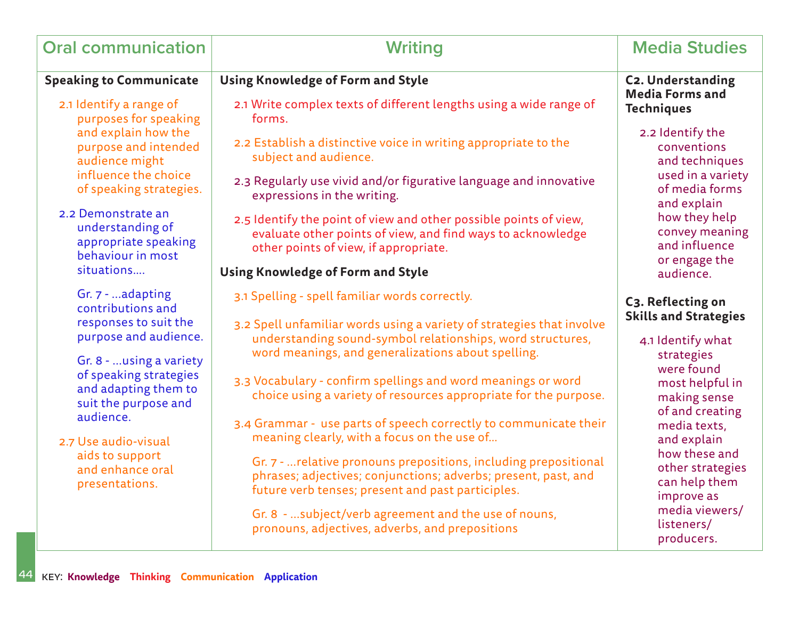| <b>Oral communication</b>                                                                  | <b>Writing</b>                                                                                                                                                                          | <b>Media Studies</b>                                             |
|--------------------------------------------------------------------------------------------|-----------------------------------------------------------------------------------------------------------------------------------------------------------------------------------------|------------------------------------------------------------------|
| <b>Speaking to Communicate</b>                                                             | <b>Using Knowledge of Form and Style</b>                                                                                                                                                | <b>C2. Understanding</b>                                         |
| 2.1 Identify a range of<br>purposes for speaking                                           | 2.1 Write complex texts of different lengths using a wide range of<br>forms.                                                                                                            | <b>Media Forms and</b><br><b>Techniques</b>                      |
| and explain how the<br>purpose and intended<br>audience might                              | 2.2 Establish a distinctive voice in writing appropriate to the<br>subject and audience.                                                                                                | 2.2 Identify the<br>conventions<br>and techniques                |
| influence the choice<br>of speaking strategies.                                            | 2.3 Regularly use vivid and/or figurative language and innovative<br>expressions in the writing.                                                                                        | used in a variety<br>of media forms<br>and explain               |
| 2.2 Demonstrate an<br>understanding of<br>appropriate speaking                             | 2.5 Identify the point of view and other possible points of view,<br>evaluate other points of view, and find ways to acknowledge<br>other points of view, if appropriate.               | how they help<br>convey meaning<br>and influence                 |
| behaviour in most<br>situations                                                            | Using Knowledge of Form and Style                                                                                                                                                       | or engage the<br>audience.                                       |
| Gr. 7 - adapting<br>contributions and                                                      | 3.1 Spelling - spell familiar words correctly.                                                                                                                                          | C3. Reflecting on                                                |
| responses to suit the<br>purpose and audience.                                             | 3.2 Spell unfamiliar words using a variety of strategies that involve<br>understanding sound-symbol relationships, word structures,                                                     | <b>Skills and Strategies</b><br>4.1 Identify what                |
| Gr. 8 -  using a variety<br>of speaking strategies                                         | word meanings, and generalizations about spelling.                                                                                                                                      | strategies<br>were found                                         |
| and adapting them to<br>suit the purpose and                                               | 3.3 Vocabulary - confirm spellings and word meanings or word<br>choice using a variety of resources appropriate for the purpose.                                                        | most helpful in<br>making sense                                  |
| audience.<br>2.7 Use audio-visual<br>aids to support<br>and enhance oral<br>presentations. | 3.4 Grammar - use parts of speech correctly to communicate their<br>meaning clearly, with a focus on the use of                                                                         | of and creating<br>media texts,<br>and explain                   |
|                                                                                            | Gr. 7 -  relative pronouns prepositions, including prepositional<br>phrases; adjectives; conjunctions; adverbs; present, past, and<br>future verb tenses; present and past participles. | how these and<br>other strategies<br>can help them<br>improve as |
|                                                                                            | Gr. 8 - subject/verb agreement and the use of nouns,<br>pronouns, adjectives, adverbs, and prepositions                                                                                 | media viewers/<br>listeners/<br>producers.                       |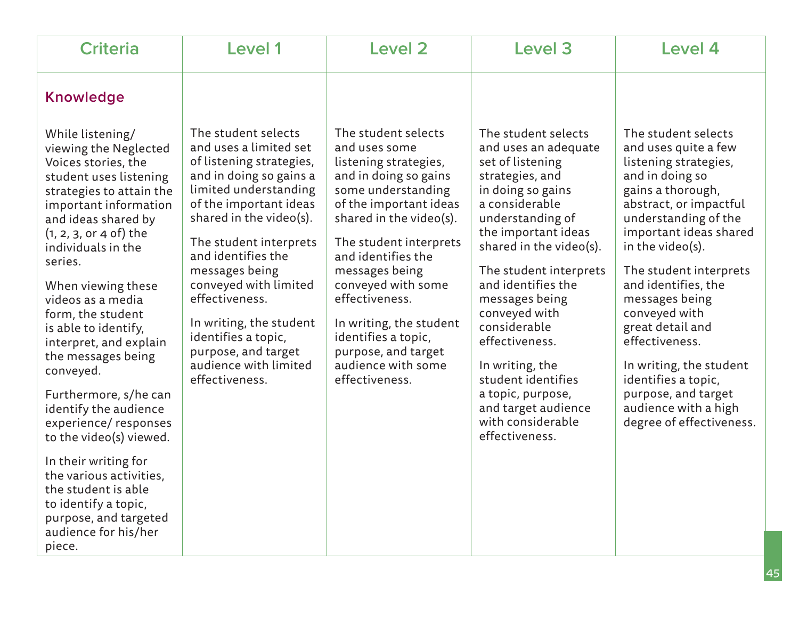| <b>Criteria</b>                                                                                                                                                                                                                                                                                                                                                                                                                                                                                                                                                                                                          | Level 1                                                                                                                                                                                                                                                                                                                                                                                                             | <b>Level 2</b>                                                                                                                                                                                                                                                                                                                                                                               | <b>Level 3</b>                                                                                                                                                                                                                                                                                                                                                                                                                                   | Level 4                                                                                                                                                                                                                                                                                                                                                                                                                                                             |
|--------------------------------------------------------------------------------------------------------------------------------------------------------------------------------------------------------------------------------------------------------------------------------------------------------------------------------------------------------------------------------------------------------------------------------------------------------------------------------------------------------------------------------------------------------------------------------------------------------------------------|---------------------------------------------------------------------------------------------------------------------------------------------------------------------------------------------------------------------------------------------------------------------------------------------------------------------------------------------------------------------------------------------------------------------|----------------------------------------------------------------------------------------------------------------------------------------------------------------------------------------------------------------------------------------------------------------------------------------------------------------------------------------------------------------------------------------------|--------------------------------------------------------------------------------------------------------------------------------------------------------------------------------------------------------------------------------------------------------------------------------------------------------------------------------------------------------------------------------------------------------------------------------------------------|---------------------------------------------------------------------------------------------------------------------------------------------------------------------------------------------------------------------------------------------------------------------------------------------------------------------------------------------------------------------------------------------------------------------------------------------------------------------|
| <b>Knowledge</b>                                                                                                                                                                                                                                                                                                                                                                                                                                                                                                                                                                                                         |                                                                                                                                                                                                                                                                                                                                                                                                                     |                                                                                                                                                                                                                                                                                                                                                                                              |                                                                                                                                                                                                                                                                                                                                                                                                                                                  |                                                                                                                                                                                                                                                                                                                                                                                                                                                                     |
| While listening/<br>viewing the Neglected<br>Voices stories, the<br>student uses listening<br>strategies to attain the<br>important information<br>and ideas shared by<br>$(1, 2, 3, 0r 4 of)$ the<br>individuals in the<br>series.<br>When viewing these<br>videos as a media<br>form, the student<br>is able to identify,<br>interpret, and explain<br>the messages being<br>conveyed.<br>Furthermore, s/he can<br>identify the audience<br>experience/responses<br>to the video(s) viewed.<br>In their writing for<br>the various activities,<br>the student is able<br>to identify a topic,<br>purpose, and targeted | The student selects<br>and uses a limited set<br>of listening strategies,<br>and in doing so gains a<br>limited understanding<br>of the important ideas<br>shared in the video(s).<br>The student interprets<br>and identifies the<br>messages being<br>conveyed with limited<br>effectiveness.<br>In writing, the student<br>identifies a topic,<br>purpose, and target<br>audience with limited<br>effectiveness. | The student selects<br>and uses some<br>listening strategies,<br>and in doing so gains<br>some understanding<br>of the important ideas<br>shared in the video(s).<br>The student interprets<br>and identifies the<br>messages being<br>conveyed with some<br>effectiveness.<br>In writing, the student<br>identifies a topic,<br>purpose, and target<br>audience with some<br>effectiveness. | The student selects<br>and uses an adequate<br>set of listening<br>strategies, and<br>in doing so gains<br>a considerable<br>understanding of<br>the important ideas<br>shared in the video(s).<br>The student interprets<br>and identifies the<br>messages being<br>conveyed with<br>considerable<br>effectiveness.<br>In writing, the<br>student identifies<br>a topic, purpose,<br>and target audience<br>with considerable<br>effectiveness. | The student selects<br>and uses quite a few<br>listening strategies,<br>and in doing so<br>gains a thorough,<br>abstract, or impactful<br>understanding of the<br>important ideas shared<br>in the video(s).<br>The student interprets<br>and identifies, the<br>messages being<br>conveyed with<br>great detail and<br>effectiveness.<br>In writing, the student<br>identifies a topic,<br>purpose, and target<br>audience with a high<br>degree of effectiveness. |
| audience for his/her<br>piece.                                                                                                                                                                                                                                                                                                                                                                                                                                                                                                                                                                                           |                                                                                                                                                                                                                                                                                                                                                                                                                     |                                                                                                                                                                                                                                                                                                                                                                                              |                                                                                                                                                                                                                                                                                                                                                                                                                                                  |                                                                                                                                                                                                                                                                                                                                                                                                                                                                     |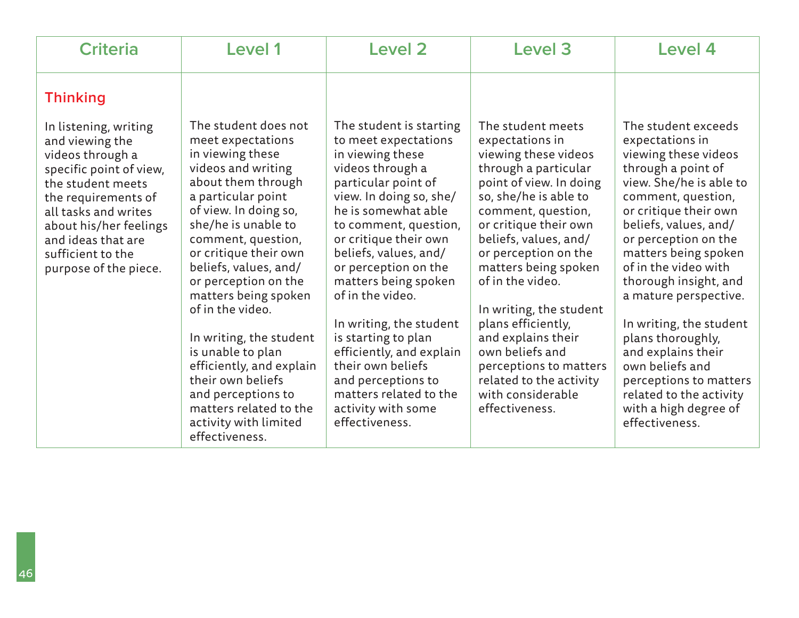| <b>Criteria</b>                                                                                                                                                                                                                                           | Level 1                                                                                                                                                                                                                                                                                                                                                                                                                                                                                                                 | Level 2                                                                                                                                                                                                                                                                                                                                                                                                                                                                                                    | Level 3                                                                                                                                                                                                                                                                                                                                                                                                                                                                    | Level 4                                                                                                                                                                                                                                                                                                                                                                                                                                                                                                    |
|-----------------------------------------------------------------------------------------------------------------------------------------------------------------------------------------------------------------------------------------------------------|-------------------------------------------------------------------------------------------------------------------------------------------------------------------------------------------------------------------------------------------------------------------------------------------------------------------------------------------------------------------------------------------------------------------------------------------------------------------------------------------------------------------------|------------------------------------------------------------------------------------------------------------------------------------------------------------------------------------------------------------------------------------------------------------------------------------------------------------------------------------------------------------------------------------------------------------------------------------------------------------------------------------------------------------|----------------------------------------------------------------------------------------------------------------------------------------------------------------------------------------------------------------------------------------------------------------------------------------------------------------------------------------------------------------------------------------------------------------------------------------------------------------------------|------------------------------------------------------------------------------------------------------------------------------------------------------------------------------------------------------------------------------------------------------------------------------------------------------------------------------------------------------------------------------------------------------------------------------------------------------------------------------------------------------------|
| <b>Thinking</b>                                                                                                                                                                                                                                           |                                                                                                                                                                                                                                                                                                                                                                                                                                                                                                                         |                                                                                                                                                                                                                                                                                                                                                                                                                                                                                                            |                                                                                                                                                                                                                                                                                                                                                                                                                                                                            |                                                                                                                                                                                                                                                                                                                                                                                                                                                                                                            |
| In listening, writing<br>and viewing the<br>videos through a<br>specific point of view,<br>the student meets<br>the requirements of<br>all tasks and writes<br>about his/her feelings<br>and ideas that are<br>sufficient to the<br>purpose of the piece. | The student does not<br>meet expectations<br>in viewing these<br>videos and writing<br>about them through<br>a particular point<br>of view. In doing so,<br>she/he is unable to<br>comment, question,<br>or critique their own<br>beliefs, values, and/<br>or perception on the<br>matters being spoken<br>of in the video.<br>In writing, the student<br>is unable to plan<br>efficiently, and explain<br>their own beliefs<br>and perceptions to<br>matters related to the<br>activity with limited<br>effectiveness. | The student is starting<br>to meet expectations<br>in viewing these<br>videos through a<br>particular point of<br>view. In doing so, she/<br>he is somewhat able<br>to comment, question,<br>or critique their own<br>beliefs, values, and/<br>or perception on the<br>matters being spoken<br>of in the video.<br>In writing, the student<br>is starting to plan<br>efficiently, and explain<br>their own beliefs<br>and perceptions to<br>matters related to the<br>activity with some<br>effectiveness. | The student meets<br>expectations in<br>viewing these videos<br>through a particular<br>point of view. In doing<br>so, she/he is able to<br>comment, question,<br>or critique their own<br>beliefs, values, and/<br>or perception on the<br>matters being spoken<br>of in the video.<br>In writing, the student<br>plans efficiently,<br>and explains their<br>own beliefs and<br>perceptions to matters<br>related to the activity<br>with considerable<br>effectiveness. | The student exceeds<br>expectations in<br>viewing these videos<br>through a point of<br>view. She/he is able to<br>comment, question,<br>or critique their own<br>beliefs, values, and/<br>or perception on the<br>matters being spoken<br>of in the video with<br>thorough insight, and<br>a mature perspective.<br>In writing, the student<br>plans thoroughly,<br>and explains their<br>own beliefs and<br>perceptions to matters<br>related to the activity<br>with a high degree of<br>effectiveness. |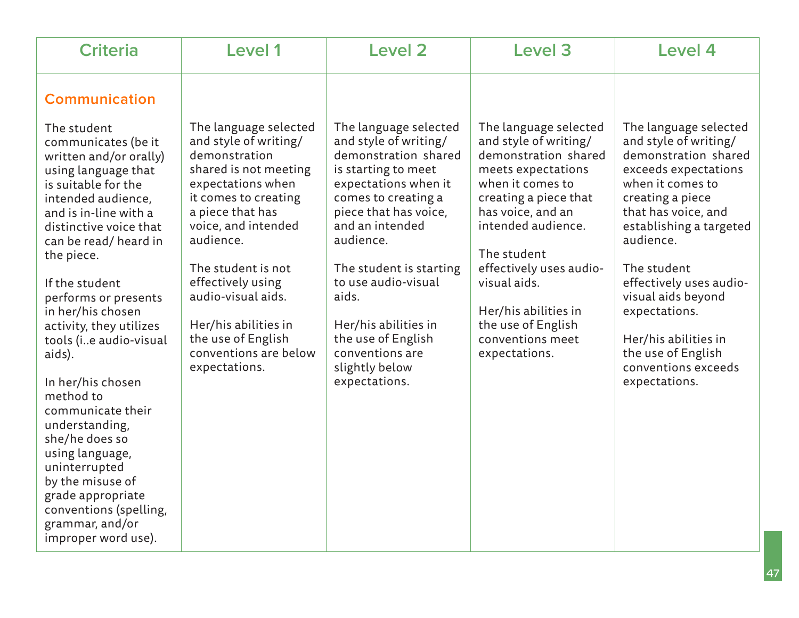| <b>Communication</b><br>The language selected<br>The language selected<br>The language selected<br>The student<br>and style of writing/<br>and style of writing/<br>and style of writing/<br>and style of writing/<br>communicates (be it<br>demonstration shared<br>demonstration<br>demonstration shared<br>written and/or orally)<br>shared is not meeting<br>is starting to meet<br>meets expectations<br>using language that<br>when it comes to<br>expectations when<br>expectations when it<br>when it comes to<br>is suitable for the<br>it comes to creating<br>comes to creating a<br>creating a piece that<br>creating a piece<br>intended audience,<br>piece that has voice,<br>a piece that has<br>has voice, and an<br>that has voice, and<br>and is in-line with a                                                                                                                                                                                                                                                             | <b>Criteria</b>        | Level 1             | Level 2         | Level 3            | <b>Level 4</b>                                                                                                              |
|-----------------------------------------------------------------------------------------------------------------------------------------------------------------------------------------------------------------------------------------------------------------------------------------------------------------------------------------------------------------------------------------------------------------------------------------------------------------------------------------------------------------------------------------------------------------------------------------------------------------------------------------------------------------------------------------------------------------------------------------------------------------------------------------------------------------------------------------------------------------------------------------------------------------------------------------------------------------------------------------------------------------------------------------------|------------------------|---------------------|-----------------|--------------------|-----------------------------------------------------------------------------------------------------------------------------|
| audience.<br>audience.<br>audience.<br>can be read/heard in<br>The student<br>the piece.<br>The student is not<br>effectively uses audio-<br>The student<br>The student is starting<br>effectively using<br>to use audio-visual<br>visual aids.<br>If the student<br>audio-visual aids.<br>aids.<br>visual aids beyond<br>performs or presents<br>Her/his abilities in<br>expectations.<br>in her/his chosen<br>Her/his abilities in<br>Her/his abilities in<br>the use of English<br>activity, they utilizes<br>conventions meet<br>the use of English<br>the use of English<br>Her/his abilities in<br>tools (ie audio-visual<br>conventions are below<br>conventions are<br>the use of English<br>expectations.<br>aids).<br>slightly below<br>conventions exceeds<br>expectations.<br>In her/his chosen<br>expectations.<br>expectations.<br>method to<br>communicate their<br>understanding,<br>she/he does so<br>using language,<br>uninterrupted<br>by the misuse of<br>grade appropriate<br>conventions (spelling,<br>grammar, and/or | distinctive voice that | voice, and intended | and an intended | intended audience. | The language selected<br>demonstration shared<br>exceeds expectations<br>establishing a targeted<br>effectively uses audio- |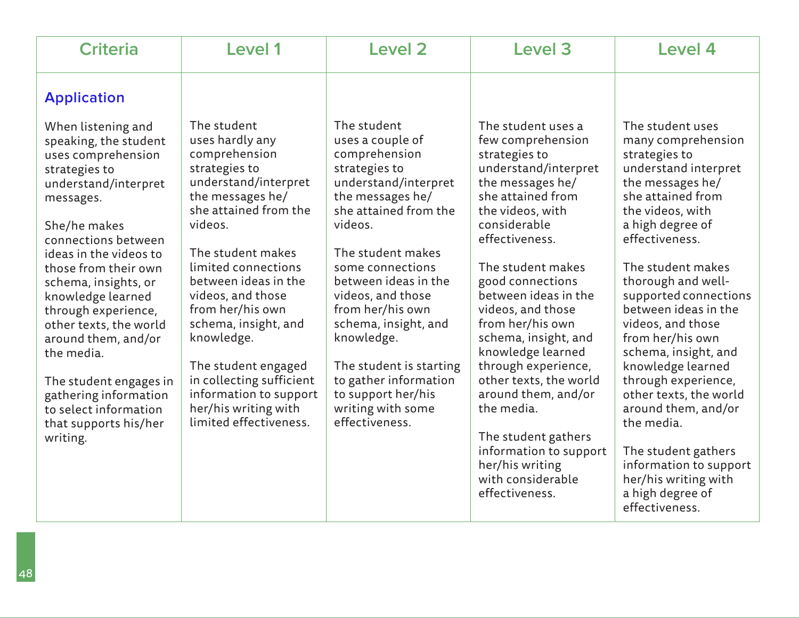| <b>Criteria</b>                                                                                                                                                                                                                                                                                                                                                                                                                                                      | Level 1                                                                                                                                                                                                                                                                                                                                                                                                                            | <b>Level 2</b>                                                                                                                                                                                                                                                                                                                                                                                                     | Level 3                                                                                                                                                                                                                                                                                                                                                                                                                                                                                                                                 | Level 4                                                                                                                                                                                                                                                                                                                                                                                                                                                                                                                                                                   |
|----------------------------------------------------------------------------------------------------------------------------------------------------------------------------------------------------------------------------------------------------------------------------------------------------------------------------------------------------------------------------------------------------------------------------------------------------------------------|------------------------------------------------------------------------------------------------------------------------------------------------------------------------------------------------------------------------------------------------------------------------------------------------------------------------------------------------------------------------------------------------------------------------------------|--------------------------------------------------------------------------------------------------------------------------------------------------------------------------------------------------------------------------------------------------------------------------------------------------------------------------------------------------------------------------------------------------------------------|-----------------------------------------------------------------------------------------------------------------------------------------------------------------------------------------------------------------------------------------------------------------------------------------------------------------------------------------------------------------------------------------------------------------------------------------------------------------------------------------------------------------------------------------|---------------------------------------------------------------------------------------------------------------------------------------------------------------------------------------------------------------------------------------------------------------------------------------------------------------------------------------------------------------------------------------------------------------------------------------------------------------------------------------------------------------------------------------------------------------------------|
| <b>Application</b>                                                                                                                                                                                                                                                                                                                                                                                                                                                   |                                                                                                                                                                                                                                                                                                                                                                                                                                    |                                                                                                                                                                                                                                                                                                                                                                                                                    |                                                                                                                                                                                                                                                                                                                                                                                                                                                                                                                                         |                                                                                                                                                                                                                                                                                                                                                                                                                                                                                                                                                                           |
| When listening and<br>speaking, the student<br>uses comprehension<br>strategies to<br>understand/interpret<br>messages.<br>She/he makes<br>connections between<br>ideas in the videos to<br>those from their own<br>schema, insights, or<br>knowledge learned<br>through experience,<br>other texts, the world<br>around them, and/or<br>the media.<br>The student engages in<br>gathering information<br>to select information<br>that supports his/her<br>writing. | The student<br>uses hardly any<br>comprehension<br>strategies to<br>understand/interpret<br>the messages he/<br>she attained from the<br>videos.<br>The student makes<br>limited connections<br>between ideas in the<br>videos, and those<br>from her/his own<br>schema, insight, and<br>knowledge.<br>The student engaged<br>in collecting sufficient<br>information to support<br>her/his writing with<br>limited effectiveness. | The student<br>uses a couple of<br>comprehension<br>strategies to<br>understand/interpret<br>the messages he/<br>she attained from the<br>videos.<br>The student makes<br>some connections<br>between ideas in the<br>videos, and those<br>from her/his own<br>schema, insight, and<br>knowledge.<br>The student is starting<br>to gather information<br>to support her/his<br>writing with some<br>effectiveness. | The student uses a<br>few comprehension<br>strategies to<br>understand/interpret<br>the messages he/<br>she attained from<br>the videos, with<br>considerable<br>effectiveness.<br>The student makes<br>good connections<br>between ideas in the<br>videos, and those<br>from her/his own<br>schema, insight, and<br>knowledge learned<br>through experience,<br>other texts, the world<br>around them, and/or<br>the media.<br>The student gathers<br>information to support<br>her/his writing<br>with considerable<br>effectiveness. | The student uses<br>many comprehension<br>strategies to<br>understand interpret<br>the messages he/<br>she attained from<br>the videos, with<br>a high degree of<br>effectiveness.<br>The student makes<br>thorough and well-<br>supported connections<br>between ideas in the<br>videos, and those<br>from her/his own<br>schema, insight, and<br>knowledge learned<br>through experience,<br>other texts, the world<br>around them, and/or<br>the media.<br>The student gathers<br>information to support<br>her/his writing with<br>a high degree of<br>effectiveness. |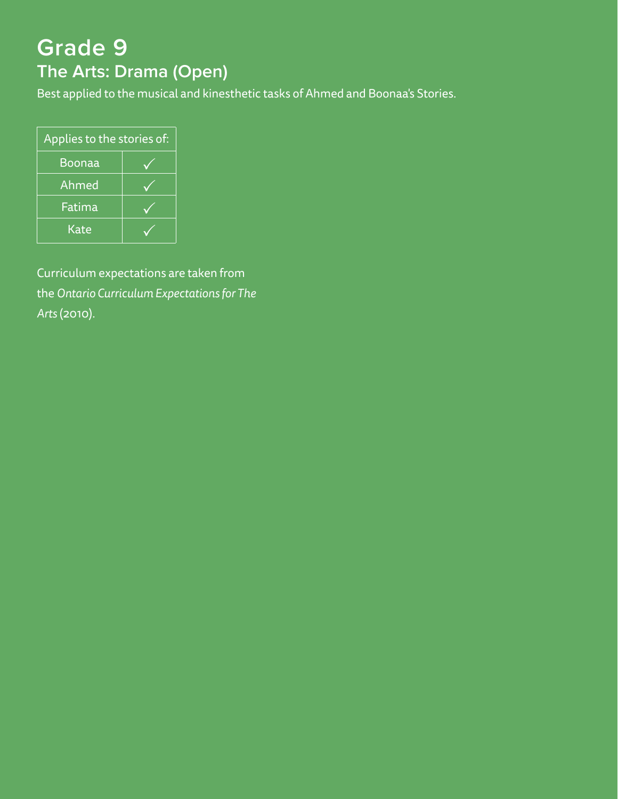# **Grade 9 The Arts: Drama (Open)**

Best applied to the musical and kinesthetic tasks of Ahmed and Boonaa's Stories.

| Applies to the stories of: |  |  |  |
|----------------------------|--|--|--|
| Boonaa                     |  |  |  |
| Ahmed                      |  |  |  |
| Fatima                     |  |  |  |
| Kate                       |  |  |  |

Curriculum expectations are taken from the *Ontario Curriculum Expectations for The Arts* (2010).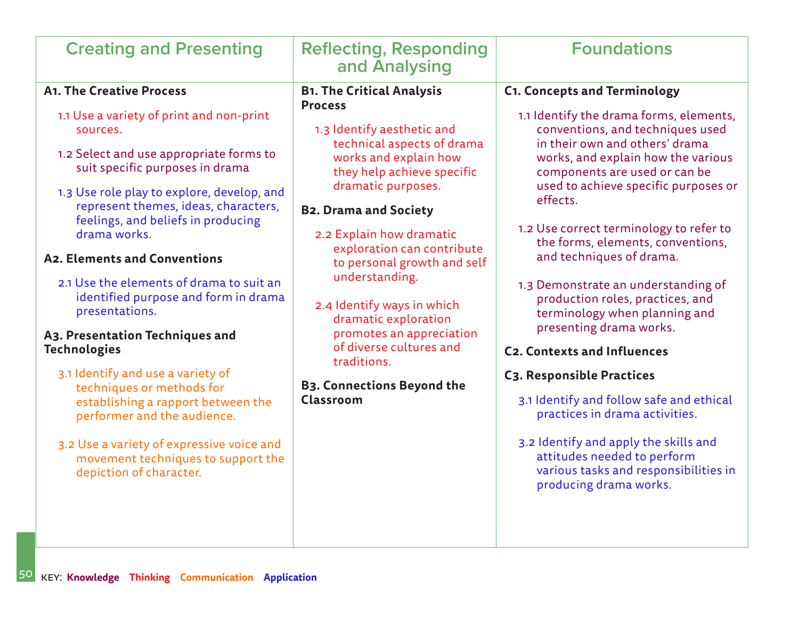| <b>Creating and Presenting</b>                                                                                                                                                                                                                                                                                                                                                                                                                                                                                                                                                                                                                                                                                                                                         | <b>Reflecting, Responding</b><br>and Analysing                                                                                                                                                                                                                                                                                                                                                                                                                                                                              | <b>Foundations</b>                                                                                                                                                                                                                                                                                                                                                                                                                                                                                                                                                                                                                                                                                                                                                                                                             |
|------------------------------------------------------------------------------------------------------------------------------------------------------------------------------------------------------------------------------------------------------------------------------------------------------------------------------------------------------------------------------------------------------------------------------------------------------------------------------------------------------------------------------------------------------------------------------------------------------------------------------------------------------------------------------------------------------------------------------------------------------------------------|-----------------------------------------------------------------------------------------------------------------------------------------------------------------------------------------------------------------------------------------------------------------------------------------------------------------------------------------------------------------------------------------------------------------------------------------------------------------------------------------------------------------------------|--------------------------------------------------------------------------------------------------------------------------------------------------------------------------------------------------------------------------------------------------------------------------------------------------------------------------------------------------------------------------------------------------------------------------------------------------------------------------------------------------------------------------------------------------------------------------------------------------------------------------------------------------------------------------------------------------------------------------------------------------------------------------------------------------------------------------------|
| <b>A1. The Creative Process</b><br>1.1 Use a variety of print and non-print<br>sources.<br>1.2 Select and use appropriate forms to<br>suit specific purposes in drama<br>1.3 Use role play to explore, develop, and<br>represent themes, ideas, characters,<br>feelings, and beliefs in producing<br>drama works.<br>A2. Elements and Conventions<br>2.1 Use the elements of drama to suit an<br>identified purpose and form in drama<br>presentations.<br>A3. Presentation Techniques and<br><b>Technologies</b><br>3.1 Identify and use a variety of<br>techniques or methods for<br>establishing a rapport between the<br>performer and the audience.<br>3.2 Use a variety of expressive voice and<br>movement techniques to support the<br>depiction of character. | <b>B1. The Critical Analysis</b><br><b>Process</b><br>1.3 Identify aesthetic and<br>technical aspects of drama<br>works and explain how<br>they help achieve specific<br>dramatic purposes.<br><b>B2. Drama and Society</b><br>2.2 Explain how dramatic<br>exploration can contribute<br>to personal growth and self<br>understanding.<br>2.4 Identify ways in which<br>dramatic exploration<br>promotes an appreciation<br>of diverse cultures and<br>traditions.<br><b>B3. Connections Beyond the</b><br><b>Classroom</b> | <b>C1. Concepts and Terminology</b><br>1.1 Identify the drama forms, elements,<br>conventions, and techniques used<br>in their own and others' drama<br>works, and explain how the various<br>components are used or can be<br>used to achieve specific purposes or<br>effects.<br>1.2 Use correct terminology to refer to<br>the forms, elements, conventions,<br>and techniques of drama.<br>1.3 Demonstrate an understanding of<br>production roles, practices, and<br>terminology when planning and<br>presenting drama works.<br><b>C2. Contexts and Influences</b><br>C3. Responsible Practices<br>3.1 Identify and follow safe and ethical<br>practices in drama activities.<br>3.2 Identify and apply the skills and<br>attitudes needed to perform<br>various tasks and responsibilities in<br>producing drama works. |
|                                                                                                                                                                                                                                                                                                                                                                                                                                                                                                                                                                                                                                                                                                                                                                        |                                                                                                                                                                                                                                                                                                                                                                                                                                                                                                                             |                                                                                                                                                                                                                                                                                                                                                                                                                                                                                                                                                                                                                                                                                                                                                                                                                                |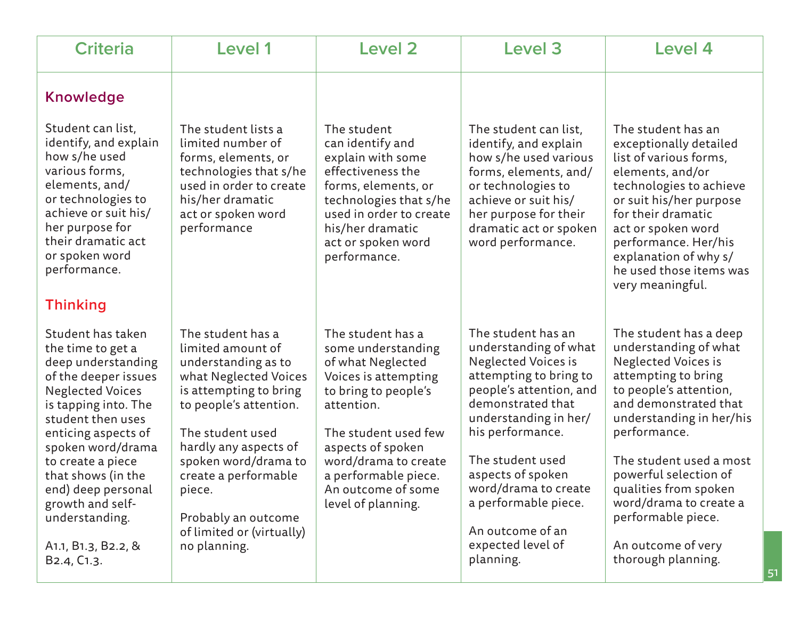| <b>Criteria</b>                                                                                                                                                                                                                                                                                                                                                                 | Level 1                                                                                                                                                                                                                                                                                                               | <b>Level 2</b>                                                                                                                                                                                                                                                      | Level 3                                                                                                                                                                                                                                                                                                                                         | <b>Level 4</b>                                                                                                                                                                                                                                                                                                                                                               |
|---------------------------------------------------------------------------------------------------------------------------------------------------------------------------------------------------------------------------------------------------------------------------------------------------------------------------------------------------------------------------------|-----------------------------------------------------------------------------------------------------------------------------------------------------------------------------------------------------------------------------------------------------------------------------------------------------------------------|---------------------------------------------------------------------------------------------------------------------------------------------------------------------------------------------------------------------------------------------------------------------|-------------------------------------------------------------------------------------------------------------------------------------------------------------------------------------------------------------------------------------------------------------------------------------------------------------------------------------------------|------------------------------------------------------------------------------------------------------------------------------------------------------------------------------------------------------------------------------------------------------------------------------------------------------------------------------------------------------------------------------|
| <b>Knowledge</b><br>Student can list,<br>identify, and explain<br>how s/he used<br>various forms,<br>elements, and/<br>or technologies to<br>achieve or suit his/<br>her purpose for<br>their dramatic act<br>or spoken word<br>performance.<br><b>Thinking</b>                                                                                                                 | The student lists a<br>limited number of<br>forms, elements, or<br>technologies that s/he<br>used in order to create<br>his/her dramatic<br>act or spoken word<br>performance                                                                                                                                         | The student<br>can identify and<br>explain with some<br>effectiveness the<br>forms, elements, or<br>technologies that s/he<br>used in order to create<br>his/her dramatic<br>act or spoken word<br>performance.                                                     | The student can list,<br>identify, and explain<br>how s/he used various<br>forms, elements, and/<br>or technologies to<br>achieve or suit his/<br>her purpose for their<br>dramatic act or spoken<br>word performance.                                                                                                                          | The student has an<br>exceptionally detailed<br>list of various forms,<br>elements, and/or<br>technologies to achieve<br>or suit his/her purpose<br>for their dramatic<br>act or spoken word<br>performance. Her/his<br>explanation of why s/<br>he used those items was<br>very meaningful.                                                                                 |
| Student has taken<br>the time to get a<br>deep understanding<br>of the deeper issues<br><b>Neglected Voices</b><br>is tapping into. The<br>student then uses<br>enticing aspects of<br>spoken word/drama<br>to create a piece<br>that shows (in the<br>end) deep personal<br>growth and self-<br>understanding.<br>A1.1, B1.3, B2.2, &<br>B <sub>2</sub> .4, C <sub>1</sub> .3. | The student has a<br>limited amount of<br>understanding as to<br>what Neglected Voices<br>is attempting to bring<br>to people's attention.<br>The student used<br>hardly any aspects of<br>spoken word/drama to<br>create a performable<br>piece.<br>Probably an outcome<br>of limited or (virtually)<br>no planning. | The student has a<br>some understanding<br>of what Neglected<br>Voices is attempting<br>to bring to people's<br>attention.<br>The student used few<br>aspects of spoken<br>word/drama to create<br>a performable piece.<br>An outcome of some<br>level of planning. | The student has an<br>understanding of what<br><b>Neglected Voices is</b><br>attempting to bring to<br>people's attention, and<br>demonstrated that<br>understanding in her/<br>his performance.<br>The student used<br>aspects of spoken<br>word/drama to create<br>a performable piece.<br>An outcome of an<br>expected level of<br>planning. | The student has a deep<br>understanding of what<br><b>Neglected Voices is</b><br>attempting to bring<br>to people's attention,<br>and demonstrated that<br>understanding in her/his<br>performance.<br>The student used a most<br>powerful selection of<br>qualities from spoken<br>word/drama to create a<br>performable piece.<br>An outcome of very<br>thorough planning. |

51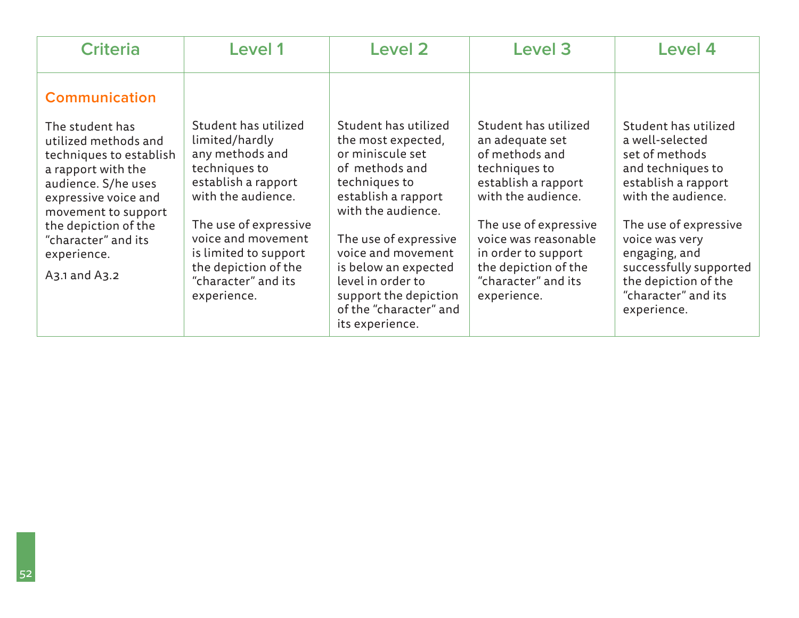| <b>Criteria</b>                                                                                                                                                                                                                                                       | Level 1                                                                                                                                                                                                                                                       | Level 2                                                                                                                                                                                                                                                                                                          | Level 3                                                                                                                                                                                                                                                       | Level 4                                                                                                                                                                                                                                                                         |
|-----------------------------------------------------------------------------------------------------------------------------------------------------------------------------------------------------------------------------------------------------------------------|---------------------------------------------------------------------------------------------------------------------------------------------------------------------------------------------------------------------------------------------------------------|------------------------------------------------------------------------------------------------------------------------------------------------------------------------------------------------------------------------------------------------------------------------------------------------------------------|---------------------------------------------------------------------------------------------------------------------------------------------------------------------------------------------------------------------------------------------------------------|---------------------------------------------------------------------------------------------------------------------------------------------------------------------------------------------------------------------------------------------------------------------------------|
| <b>Communication</b><br>The student has<br>utilized methods and<br>techniques to establish<br>a rapport with the<br>audience. S/he uses<br>expressive voice and<br>movement to support<br>the depiction of the<br>"character" and its<br>experience.<br>A3.1 and A3.2 | Student has utilized<br>limited/hardly<br>any methods and<br>techniques to<br>establish a rapport<br>with the audience.<br>The use of expressive<br>voice and movement<br>is limited to support<br>the depiction of the<br>"character" and its<br>experience. | Student has utilized<br>the most expected,<br>or miniscule set<br>of methods and<br>techniques to<br>establish a rapport<br>with the audience.<br>The use of expressive<br>voice and movement<br>is below an expected<br>level in order to<br>support the depiction<br>of the "character" and<br>its experience. | Student has utilized<br>an adequate set<br>of methods and<br>techniques to<br>establish a rapport<br>with the audience.<br>The use of expressive<br>voice was reasonable<br>in order to support<br>the depiction of the<br>"character" and its<br>experience. | Student has utilized<br>a well-selected<br>set of methods<br>and techniques to<br>establish a rapport<br>with the audience.<br>The use of expressive<br>voice was very<br>engaging, and<br>successfully supported<br>the depiction of the<br>"character" and its<br>experience. |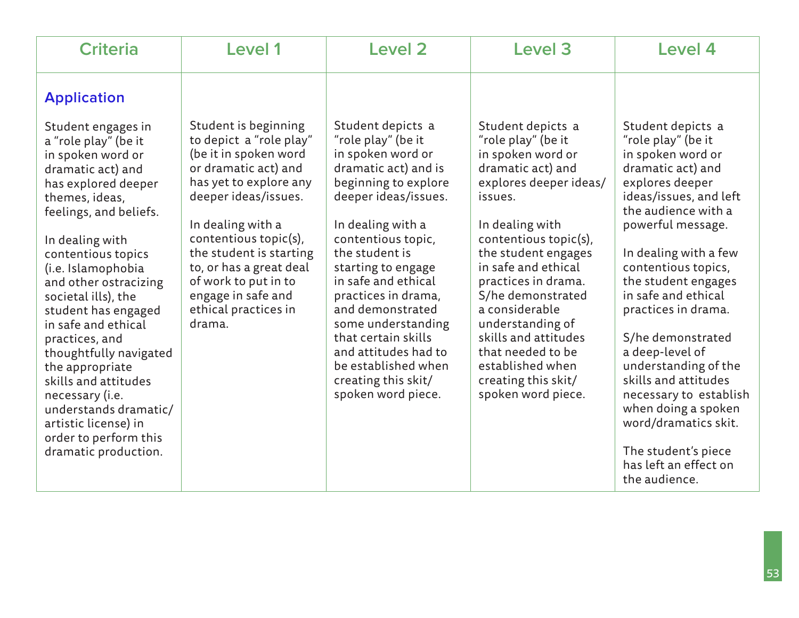| <b>Criteria</b>                                                                                                                                           | Level 1                                                                                                                                                     | <b>Level 2</b>                                                                                                                                     | Level 3                                                                                                                                               | Level 4                                                                                                                                                       |
|-----------------------------------------------------------------------------------------------------------------------------------------------------------|-------------------------------------------------------------------------------------------------------------------------------------------------------------|----------------------------------------------------------------------------------------------------------------------------------------------------|-------------------------------------------------------------------------------------------------------------------------------------------------------|---------------------------------------------------------------------------------------------------------------------------------------------------------------|
| <b>Application</b><br>Student engages in<br>a "role play" (be it                                                                                          | Student is beginning<br>to depict a "role play"<br>(be it in spoken word                                                                                    | Student depicts a<br>"role play" (be it<br>in spoken word or                                                                                       | Student depicts a<br>"role play" (be it                                                                                                               | Student depicts a<br>"role play" (be it                                                                                                                       |
| in spoken word or<br>dramatic act) and<br>has explored deeper<br>themes, ideas,<br>feelings, and beliefs.                                                 | or dramatic act) and<br>has yet to explore any<br>deeper ideas/issues.<br>In dealing with a                                                                 | dramatic act) and is<br>beginning to explore<br>deeper ideas/issues.<br>In dealing with a                                                          | in spoken word or<br>dramatic act) and<br>explores deeper ideas/<br>issues.<br>In dealing with                                                        | in spoken word or<br>dramatic act) and<br>explores deeper<br>ideas/issues, and left<br>the audience with a<br>powerful message.                               |
| In dealing with<br>contentious topics<br>(i.e. Islamophobia<br>and other ostracizing<br>societal ills), the<br>student has engaged<br>in safe and ethical | contentious topic(s),<br>the student is starting<br>to, or has a great deal<br>of work to put in to<br>engage in safe and<br>ethical practices in<br>drama. | contentious topic,<br>the student is<br>starting to engage<br>in safe and ethical<br>practices in drama,<br>and demonstrated<br>some understanding | contentious topic(s),<br>the student engages<br>in safe and ethical<br>practices in drama.<br>S/he demonstrated<br>a considerable<br>understanding of | In dealing with a few<br>contentious topics,<br>the student engages<br>in safe and ethical<br>practices in drama.                                             |
| practices, and<br>thoughtfully navigated<br>the appropriate<br>skills and attitudes<br>necessary (i.e.<br>understands dramatic/<br>artistic license) in   |                                                                                                                                                             | that certain skills<br>and attitudes had to<br>be established when<br>creating this skit/<br>spoken word piece.                                    | skills and attitudes<br>that needed to be<br>established when<br>creating this skit/<br>spoken word piece.                                            | S/he demonstrated<br>a deep-level of<br>understanding of the<br>skills and attitudes<br>necessary to establish<br>when doing a spoken<br>word/dramatics skit. |
| order to perform this<br>dramatic production.                                                                                                             |                                                                                                                                                             |                                                                                                                                                    |                                                                                                                                                       | The student's piece<br>has left an effect on<br>the audience.                                                                                                 |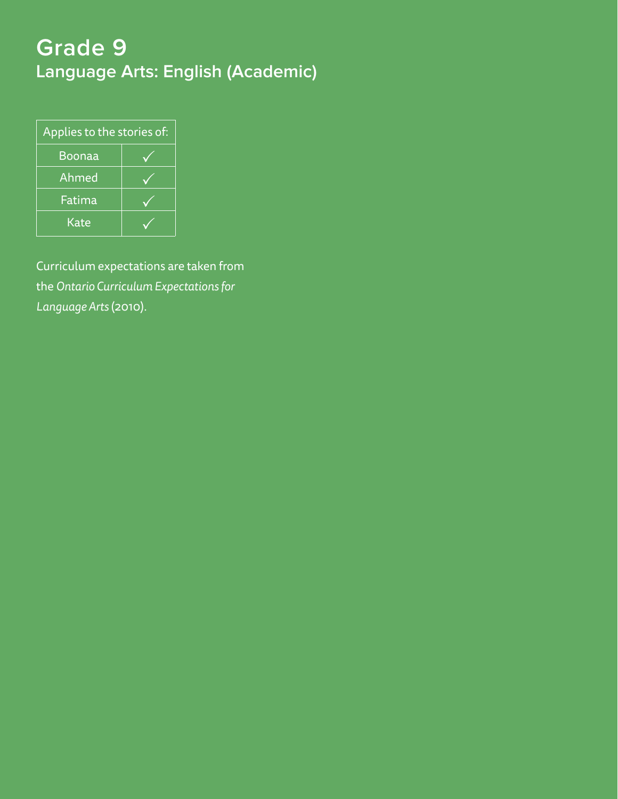# **Grade 9 Language Arts: English (Academic)**

| Applies to the stories of: |  |  |  |
|----------------------------|--|--|--|
| Boonaa                     |  |  |  |
| Ahmed                      |  |  |  |
| Fatima                     |  |  |  |
| Kate                       |  |  |  |

Curriculum expectations are taken from the *Ontario Curriculum Expectations for Language Arts* (2010).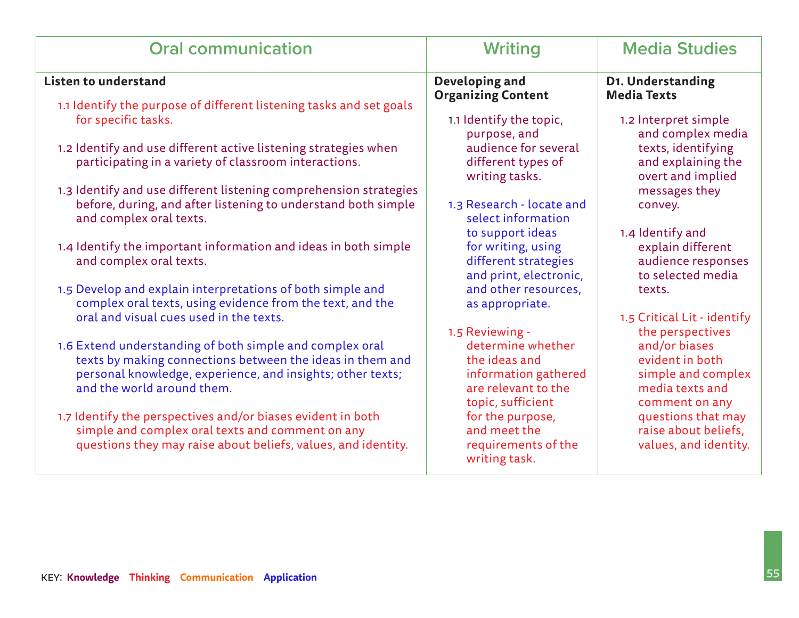| <b>Oral communication</b>                                                                                                                                                                                         | <b>Writing</b>                                                                                         | <b>Media Studies</b>                                                                        |
|-------------------------------------------------------------------------------------------------------------------------------------------------------------------------------------------------------------------|--------------------------------------------------------------------------------------------------------|---------------------------------------------------------------------------------------------|
| <b>Listen to understand</b>                                                                                                                                                                                       | Developing and<br><b>Organizing Content</b>                                                            | D1. Understanding<br><b>Media Texts</b>                                                     |
| 1.1 Identify the purpose of different listening tasks and set goals<br>for specific tasks.                                                                                                                        | 1.1 Identify the topic,<br>purpose, and                                                                | 1.2 Interpret simple<br>and complex media                                                   |
| 1.2 Identify and use different active listening strategies when<br>participating in a variety of classroom interactions.                                                                                          | audience for several<br>different types of<br>writing tasks.                                           | texts, identifying<br>and explaining the<br>overt and implied                               |
| 1.3 Identify and use different listening comprehension strategies<br>before, during, and after listening to understand both simple<br>and complex oral texts.                                                     | 1.3 Research - locate and<br>select information                                                        | messages they<br>convey.                                                                    |
| 1.4 Identify the important information and ideas in both simple<br>and complex oral texts.                                                                                                                        | to support ideas<br>for writing, using<br>different strategies<br>and print, electronic,               | 1.4 Identify and<br>explain different<br>audience responses<br>to selected media            |
| 1.5 Develop and explain interpretations of both simple and<br>complex oral texts, using evidence from the text, and the                                                                                           | and other resources,<br>as appropriate.                                                                | texts.                                                                                      |
| oral and visual cues used in the texts.                                                                                                                                                                           | 1.5 Reviewing -                                                                                        | 1.5 Critical Lit - identify<br>the perspectives                                             |
| 1.6 Extend understanding of both simple and complex oral<br>texts by making connections between the ideas in them and<br>personal knowledge, experience, and insights; other texts;<br>and the world around them. | determine whether<br>the ideas and<br>information gathered<br>are relevant to the<br>topic, sufficient | and/or biases<br>evident in both<br>simple and complex<br>media texts and<br>comment on any |
| 1.7 Identify the perspectives and/or biases evident in both<br>simple and complex oral texts and comment on any<br>questions they may raise about beliefs, values, and identity.                                  | for the purpose,<br>and meet the<br>requirements of the<br>writing task.                               | questions that may<br>raise about beliefs,<br>values, and identity.                         |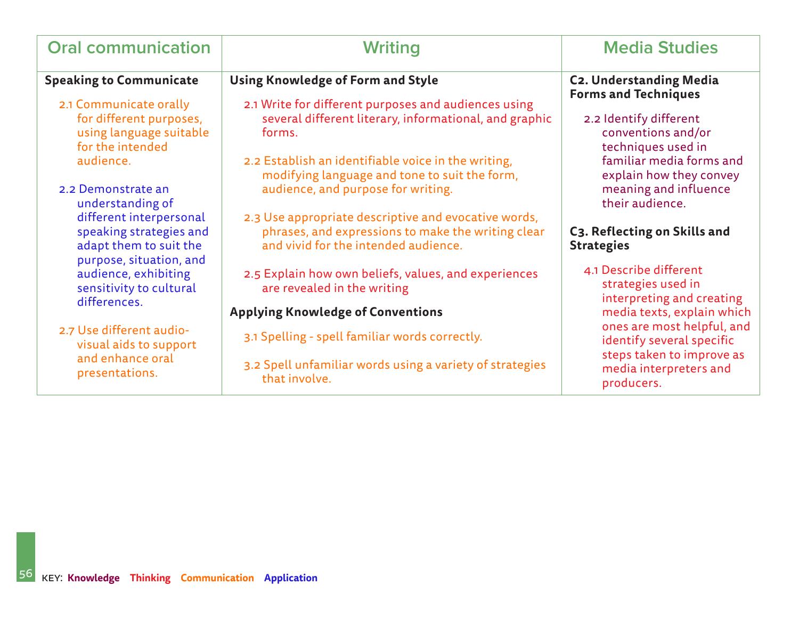| <b>Oral communication</b>                                                                               | Writing                                                                                                                                            | <b>Media Studies</b>                                                                            |
|---------------------------------------------------------------------------------------------------------|----------------------------------------------------------------------------------------------------------------------------------------------------|-------------------------------------------------------------------------------------------------|
| <b>Speaking to Communicate</b>                                                                          | <b>Using Knowledge of Form and Style</b>                                                                                                           | <b>C2. Understanding Media</b><br><b>Forms and Techniques</b>                                   |
| 2.1 Communicate orally<br>for different purposes,<br>using language suitable<br>for the intended        | 2.1 Write for different purposes and audiences using<br>several different literary, informational, and graphic<br>forms.                           | 2.2 Identify different<br>conventions and/or<br>techniques used in                              |
| audience.<br>2.2 Demonstrate an<br>understanding of                                                     | 2.2 Establish an identifiable voice in the writing,<br>modifying language and tone to suit the form,<br>audience, and purpose for writing.         | familiar media forms and<br>explain how they convey<br>meaning and influence<br>their audience. |
| different interpersonal<br>speaking strategies and<br>adapt them to suit the<br>purpose, situation, and | 2.3 Use appropriate descriptive and evocative words,<br>phrases, and expressions to make the writing clear<br>and vivid for the intended audience. | C3. Reflecting on Skills and<br><b>Strategies</b>                                               |
| audience, exhibiting<br>sensitivity to cultural<br>differences.                                         | 2.5 Explain how own beliefs, values, and experiences<br>are revealed in the writing                                                                | 4.1 Describe different<br>strategies used in<br>interpreting and creating                       |
|                                                                                                         | <b>Applying Knowledge of Conventions</b>                                                                                                           | media texts, explain which                                                                      |
| 2.7 Use different audio-<br>visual aids to support                                                      | 3.1 Spelling - spell familiar words correctly.                                                                                                     | ones are most helpful, and<br>identify several specific                                         |
| and enhance oral<br>presentations.                                                                      | 3.2 Spell unfamiliar words using a variety of strategies<br>that involve.                                                                          | steps taken to improve as<br>media interpreters and<br>producers.                               |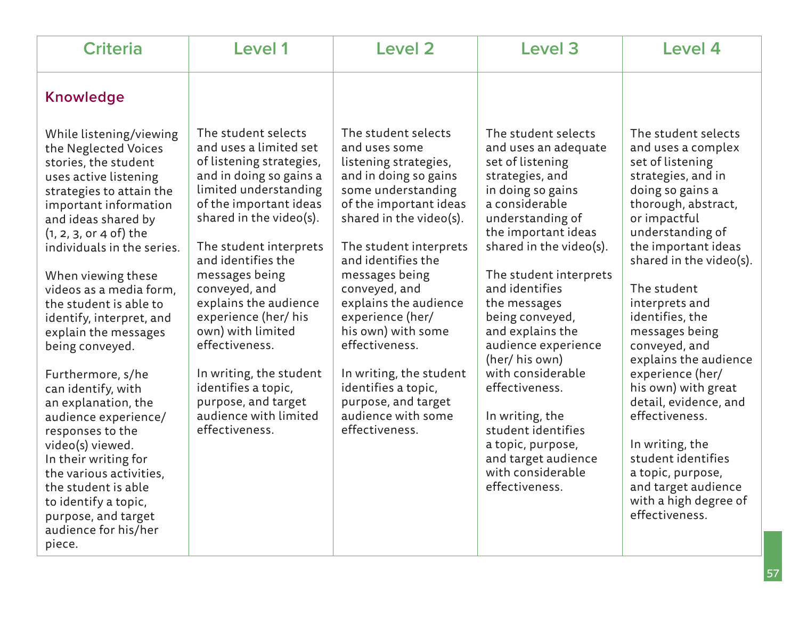| <b>Knowledge</b>                                                                                                                                                                                                                                                                                                                                                                                                                                                                                                                                                                                                                                                                                                                                                                                                                                                                                                                                                                                                                                                                                                                                                                                                                                                                                                                                                                                                                                                                                                                                                                                                                                                                                                                                                                                                                                                                                                                                                                                                                                                                                                                                                                                                                                                                                                                                                                                                                                                                                                                                                                                                                                                                                                         |  |
|--------------------------------------------------------------------------------------------------------------------------------------------------------------------------------------------------------------------------------------------------------------------------------------------------------------------------------------------------------------------------------------------------------------------------------------------------------------------------------------------------------------------------------------------------------------------------------------------------------------------------------------------------------------------------------------------------------------------------------------------------------------------------------------------------------------------------------------------------------------------------------------------------------------------------------------------------------------------------------------------------------------------------------------------------------------------------------------------------------------------------------------------------------------------------------------------------------------------------------------------------------------------------------------------------------------------------------------------------------------------------------------------------------------------------------------------------------------------------------------------------------------------------------------------------------------------------------------------------------------------------------------------------------------------------------------------------------------------------------------------------------------------------------------------------------------------------------------------------------------------------------------------------------------------------------------------------------------------------------------------------------------------------------------------------------------------------------------------------------------------------------------------------------------------------------------------------------------------------------------------------------------------------------------------------------------------------------------------------------------------------------------------------------------------------------------------------------------------------------------------------------------------------------------------------------------------------------------------------------------------------------------------------------------------------------------------------------------------------|--|
| The student selects<br>The student selects<br>The student selects<br>The student selects<br>While listening/viewing<br>and uses a limited set<br>and uses some<br>and uses an adequate<br>and uses a complex<br>the Neglected Voices<br>of listening strategies,<br>listening strategies,<br>set of listening<br>set of listening<br>stories, the student<br>and in doing so gains a<br>and in doing so gains<br>strategies, and<br>strategies, and in<br>uses active listening<br>limited understanding<br>some understanding<br>in doing so gains<br>doing so gains a<br>strategies to attain the<br>of the important ideas<br>of the important ideas<br>a considerable<br>thorough, abstract,<br>important information<br>shared in the video(s).<br>shared in the video(s).<br>understanding of<br>or impactful<br>and ideas shared by<br>the important ideas<br>understanding of<br>$(1, 2, 3, 0r 4 of)$ the<br>shared in the video(s).<br>the important ideas<br>The student interprets<br>The student interprets<br>individuals in the series.<br>and identifies the<br>and identifies the<br>shared in the video(s).<br>messages being<br>messages being<br>The student interprets<br>When viewing these<br>and identifies<br>conveyed, and<br>The student<br>conveyed, and<br>videos as a media form,<br>explains the audience<br>explains the audience<br>the student is able to<br>the messages<br>interprets and<br>experience (her/ his<br>identifies, the<br>experience (her/<br>being conveyed,<br>identify, interpret, and<br>own) with limited<br>his own) with some<br>and explains the<br>messages being<br>explain the messages<br>effectiveness.<br>effectiveness.<br>conveyed, and<br>audience experience<br>being conveyed.<br>explains the audience<br>(her/ his own)<br>with considerable<br>experience (her/<br>In writing, the student<br>In writing, the student<br>Furthermore, s/he<br>identifies a topic,<br>identifies a topic,<br>effectiveness.<br>his own) with great<br>can identify, with<br>purpose, and target<br>purpose, and target<br>detail, evidence, and<br>an explanation, the<br>audience with limited<br>audience with some<br>effectiveness.<br>In writing, the<br>audience experience/<br>student identifies<br>effectiveness.<br>effectiveness.<br>responses to the<br>a topic, purpose,<br>In writing, the<br>video(s) viewed.<br>student identifies<br>and target audience<br>In their writing for<br>with considerable<br>a topic, purpose,<br>the various activities,<br>effectiveness.<br>and target audience<br>the student is able<br>with a high degree of<br>to identify a topic,<br>effectiveness.<br>purpose, and target<br>audience for his/her<br>piece. |  |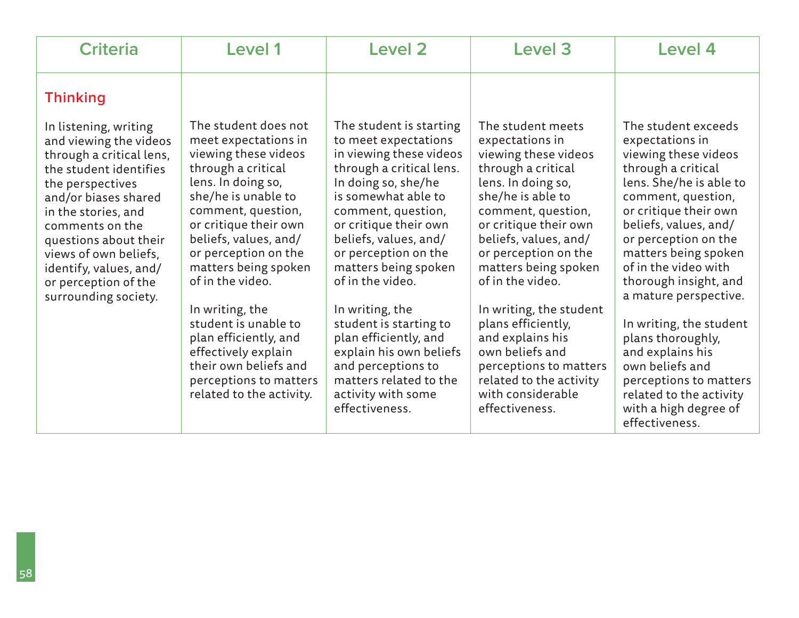| <b>Criteria</b>                                                                                                                                                                                                                                                                                                         | <b>Level 1</b>                                                                                                                                                                                                                                                                                                                                                                                                                                                | <b>Level 2</b>                                                                                                                                                                                                                                                                                                                                                                                                                                                                            | Level 3                                                                                                                                                                                                                                                                                                                                                                                                                                                       | Level 4                                                                                                                                                                                                                                                                                                                                                                                                                                                                                                  |
|-------------------------------------------------------------------------------------------------------------------------------------------------------------------------------------------------------------------------------------------------------------------------------------------------------------------------|---------------------------------------------------------------------------------------------------------------------------------------------------------------------------------------------------------------------------------------------------------------------------------------------------------------------------------------------------------------------------------------------------------------------------------------------------------------|-------------------------------------------------------------------------------------------------------------------------------------------------------------------------------------------------------------------------------------------------------------------------------------------------------------------------------------------------------------------------------------------------------------------------------------------------------------------------------------------|---------------------------------------------------------------------------------------------------------------------------------------------------------------------------------------------------------------------------------------------------------------------------------------------------------------------------------------------------------------------------------------------------------------------------------------------------------------|----------------------------------------------------------------------------------------------------------------------------------------------------------------------------------------------------------------------------------------------------------------------------------------------------------------------------------------------------------------------------------------------------------------------------------------------------------------------------------------------------------|
| <b>Thinking</b>                                                                                                                                                                                                                                                                                                         |                                                                                                                                                                                                                                                                                                                                                                                                                                                               |                                                                                                                                                                                                                                                                                                                                                                                                                                                                                           |                                                                                                                                                                                                                                                                                                                                                                                                                                                               |                                                                                                                                                                                                                                                                                                                                                                                                                                                                                                          |
| In listening, writing<br>and viewing the videos<br>through a critical lens,<br>the student identifies<br>the perspectives<br>and/or biases shared<br>in the stories, and<br>comments on the<br>questions about their<br>views of own beliefs,<br>identify, values, and/<br>or perception of the<br>surrounding society. | The student does not<br>meet expectations in<br>viewing these videos<br>through a critical<br>lens. In doing so,<br>she/he is unable to<br>comment, question,<br>or critique their own<br>beliefs, values, and/<br>or perception on the<br>matters being spoken<br>of in the video.<br>In writing, the<br>student is unable to<br>plan efficiently, and<br>effectively explain<br>their own beliefs and<br>perceptions to matters<br>related to the activity. | The student is starting<br>to meet expectations<br>in viewing these videos<br>through a critical lens.<br>In doing so, she/he<br>is somewhat able to<br>comment, question,<br>or critique their own<br>beliefs, values, and/<br>or perception on the<br>matters being spoken<br>of in the video.<br>In writing, the<br>student is starting to<br>plan efficiently, and<br>explain his own beliefs<br>and perceptions to<br>matters related to the<br>activity with some<br>effectiveness. | The student meets<br>expectations in<br>viewing these videos<br>through a critical<br>lens. In doing so,<br>she/he is able to<br>comment, question,<br>or critique their own<br>beliefs, values, and/<br>or perception on the<br>matters being spoken<br>of in the video.<br>In writing, the student<br>plans efficiently,<br>and explains his<br>own beliefs and<br>perceptions to matters<br>related to the activity<br>with considerable<br>effectiveness. | The student exceeds<br>expectations in<br>viewing these videos<br>through a critical<br>lens. She/he is able to<br>comment, question,<br>or critique their own<br>beliefs, values, and/<br>or perception on the<br>matters being spoken<br>of in the video with<br>thorough insight, and<br>a mature perspective.<br>In writing, the student<br>plans thoroughly,<br>and explains his<br>own beliefs and<br>perceptions to matters<br>related to the activity<br>with a high degree of<br>effectiveness. |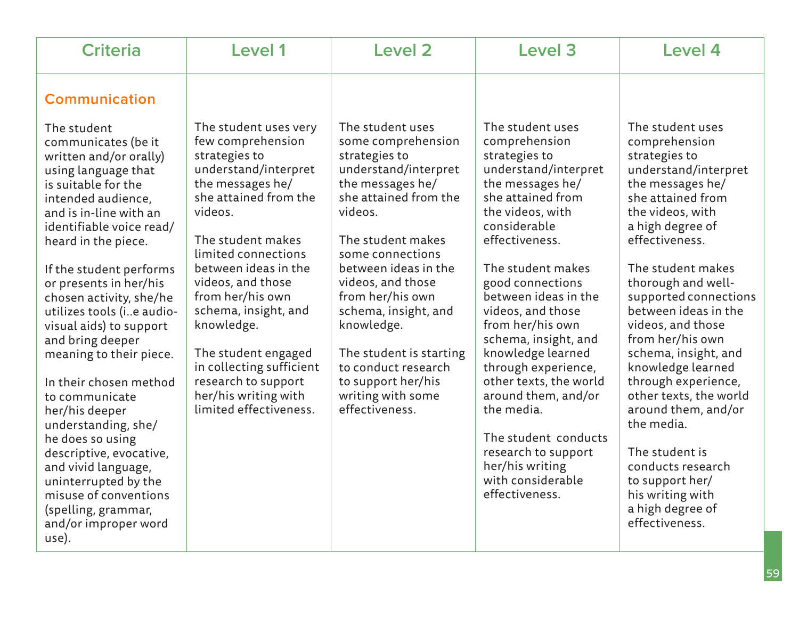| <b>Criteria</b>                                                                                                                                                                                                                                                                             | Level 1                                                                                                                                                        | <b>Level 2</b>                                                                                                                                               | Level 3                                                                                                                                                                                                          | Level 4                                                                                                                                                                                                                                             |
|---------------------------------------------------------------------------------------------------------------------------------------------------------------------------------------------------------------------------------------------------------------------------------------------|----------------------------------------------------------------------------------------------------------------------------------------------------------------|--------------------------------------------------------------------------------------------------------------------------------------------------------------|------------------------------------------------------------------------------------------------------------------------------------------------------------------------------------------------------------------|-----------------------------------------------------------------------------------------------------------------------------------------------------------------------------------------------------------------------------------------------------|
| <b>Communication</b><br>The student                                                                                                                                                                                                                                                         | The student uses very                                                                                                                                          | The student uses                                                                                                                                             | The student uses                                                                                                                                                                                                 | The student uses                                                                                                                                                                                                                                    |
| communicates (be it<br>written and/or orally)<br>using language that<br>is suitable for the<br>intended audience,<br>and is in-line with an<br>identifiable voice read/<br>heard in the piece.                                                                                              | few comprehension<br>strategies to<br>understand/interpret<br>the messages he/<br>she attained from the<br>videos.<br>The student makes<br>limited connections | some comprehension<br>strategies to<br>understand/interpret<br>the messages he/<br>she attained from the<br>videos.<br>The student makes<br>some connections | comprehension<br>strategies to<br>understand/interpret<br>the messages he/<br>she attained from<br>the videos, with<br>considerable<br>effectiveness.                                                            | comprehension<br>strategies to<br>understand/interpret<br>the messages he/<br>she attained from<br>the videos, with<br>a high degree of<br>effectiveness.                                                                                           |
| If the student performs<br>or presents in her/his<br>chosen activity, she/he<br>utilizes tools (ie audio-<br>visual aids) to support<br>and bring deeper                                                                                                                                    | between ideas in the<br>videos, and those<br>from her/his own<br>schema, insight, and<br>knowledge.                                                            | between ideas in the<br>videos, and those<br>from her/his own<br>schema, insight, and<br>knowledge.                                                          | The student makes<br>good connections<br>between ideas in the<br>videos, and those<br>from her/his own<br>schema, insight, and                                                                                   | The student makes<br>thorough and well-<br>supported connections<br>between ideas in the<br>videos, and those<br>from her/his own                                                                                                                   |
| meaning to their piece.<br>In their chosen method<br>to communicate<br>her/his deeper<br>understanding, she/<br>he does so using<br>descriptive, evocative,<br>and vivid language,<br>uninterrupted by the<br>misuse of conventions<br>(spelling, grammar,<br>and/or improper word<br>use). | The student engaged<br>in collecting sufficient<br>research to support<br>her/his writing with<br>limited effectiveness.                                       | The student is starting<br>to conduct research<br>to support her/his<br>writing with some<br>effectiveness.                                                  | knowledge learned<br>through experience,<br>other texts, the world<br>around them, and/or<br>the media.<br>The student conducts<br>research to support<br>her/his writing<br>with considerable<br>effectiveness. | schema, insight, and<br>knowledge learned<br>through experience,<br>other texts, the world<br>around them, and/or<br>the media.<br>The student is<br>conducts research<br>to support her/<br>his writing with<br>a high degree of<br>effectiveness. |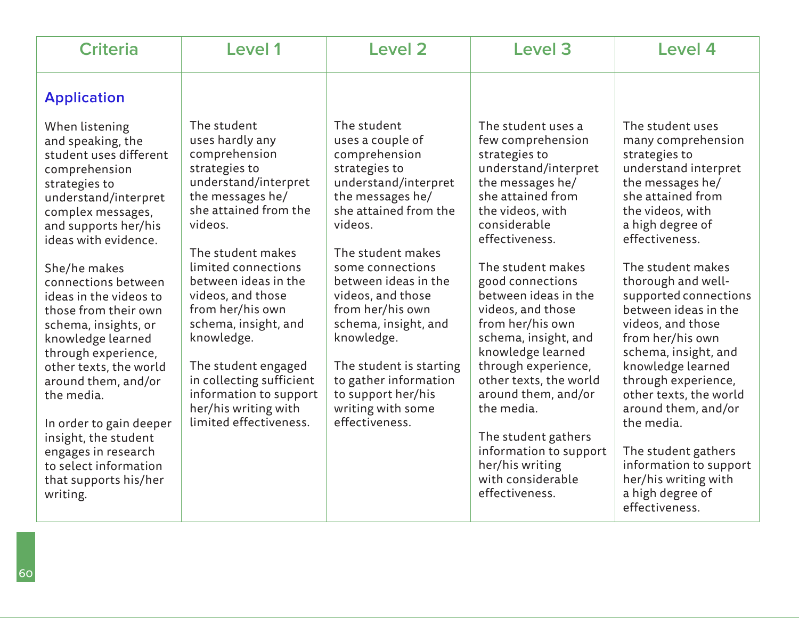| <b>Criteria</b>                                                                                                                                                                                                                                                                                                                                                                                                                                                                                                                                      | Level 1                                                                                                                                                                                                                                                                                                                                                                                                                            | <b>Level 2</b>                                                                                                                                                                                                                                                                                                                                                                                                     | Level 3                                                                                                                                                                                                                                                                                                                                                                                                                                                                                                               | Level 4                                                                                                                                                                                                                                                                                                                                                                                                                                                                                                                             |
|------------------------------------------------------------------------------------------------------------------------------------------------------------------------------------------------------------------------------------------------------------------------------------------------------------------------------------------------------------------------------------------------------------------------------------------------------------------------------------------------------------------------------------------------------|------------------------------------------------------------------------------------------------------------------------------------------------------------------------------------------------------------------------------------------------------------------------------------------------------------------------------------------------------------------------------------------------------------------------------------|--------------------------------------------------------------------------------------------------------------------------------------------------------------------------------------------------------------------------------------------------------------------------------------------------------------------------------------------------------------------------------------------------------------------|-----------------------------------------------------------------------------------------------------------------------------------------------------------------------------------------------------------------------------------------------------------------------------------------------------------------------------------------------------------------------------------------------------------------------------------------------------------------------------------------------------------------------|-------------------------------------------------------------------------------------------------------------------------------------------------------------------------------------------------------------------------------------------------------------------------------------------------------------------------------------------------------------------------------------------------------------------------------------------------------------------------------------------------------------------------------------|
| <b>Application</b>                                                                                                                                                                                                                                                                                                                                                                                                                                                                                                                                   |                                                                                                                                                                                                                                                                                                                                                                                                                                    |                                                                                                                                                                                                                                                                                                                                                                                                                    |                                                                                                                                                                                                                                                                                                                                                                                                                                                                                                                       |                                                                                                                                                                                                                                                                                                                                                                                                                                                                                                                                     |
| When listening<br>and speaking, the<br>student uses different<br>comprehension<br>strategies to<br>understand/interpret<br>complex messages,<br>and supports her/his<br>ideas with evidence.<br>She/he makes<br>connections between<br>ideas in the videos to<br>those from their own<br>schema, insights, or<br>knowledge learned<br>through experience,<br>other texts, the world<br>around them, and/or<br>the media.<br>In order to gain deeper<br>insight, the student<br>engages in research<br>to select information<br>that supports his/her | The student<br>uses hardly any<br>comprehension<br>strategies to<br>understand/interpret<br>the messages he/<br>she attained from the<br>videos.<br>The student makes<br>limited connections<br>between ideas in the<br>videos, and those<br>from her/his own<br>schema, insight, and<br>knowledge.<br>The student engaged<br>in collecting sufficient<br>information to support<br>her/his writing with<br>limited effectiveness. | The student<br>uses a couple of<br>comprehension<br>strategies to<br>understand/interpret<br>the messages he/<br>she attained from the<br>videos.<br>The student makes<br>some connections<br>between ideas in the<br>videos, and those<br>from her/his own<br>schema, insight, and<br>knowledge.<br>The student is starting<br>to gather information<br>to support her/his<br>writing with some<br>effectiveness. | The student uses a<br>few comprehension<br>strategies to<br>understand/interpret<br>the messages he/<br>she attained from<br>the videos, with<br>considerable<br>effectiveness.<br>The student makes<br>good connections<br>between ideas in the<br>videos, and those<br>from her/his own<br>schema, insight, and<br>knowledge learned<br>through experience,<br>other texts, the world<br>around them, and/or<br>the media.<br>The student gathers<br>information to support<br>her/his writing<br>with considerable | The student uses<br>many comprehension<br>strategies to<br>understand interpret<br>the messages he/<br>she attained from<br>the videos, with<br>a high degree of<br>effectiveness.<br>The student makes<br>thorough and well-<br>supported connections<br>between ideas in the<br>videos, and those<br>from her/his own<br>schema, insight, and<br>knowledge learned<br>through experience,<br>other texts, the world<br>around them, and/or<br>the media.<br>The student gathers<br>information to support<br>her/his writing with |
| writing.                                                                                                                                                                                                                                                                                                                                                                                                                                                                                                                                             |                                                                                                                                                                                                                                                                                                                                                                                                                                    |                                                                                                                                                                                                                                                                                                                                                                                                                    | effectiveness.                                                                                                                                                                                                                                                                                                                                                                                                                                                                                                        | a high degree of<br>effectiveness.                                                                                                                                                                                                                                                                                                                                                                                                                                                                                                  |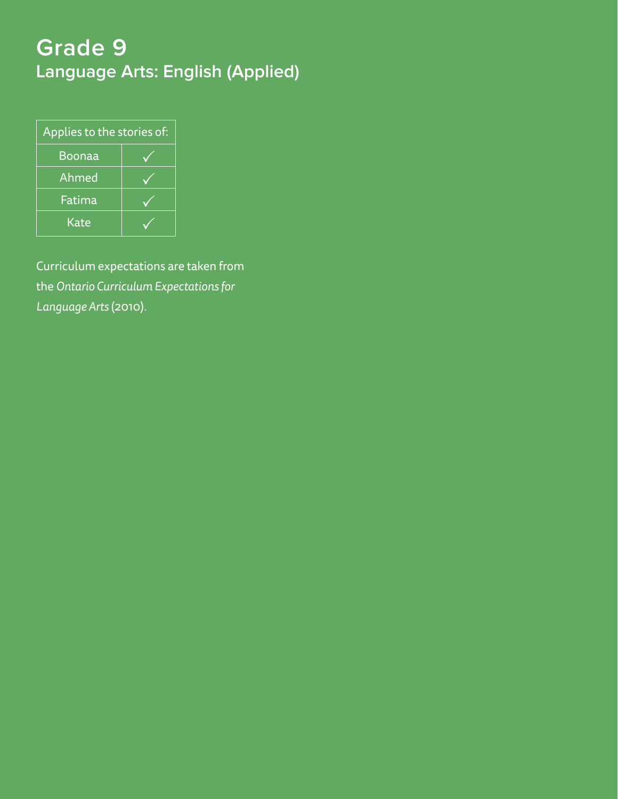# **Grade 9 Language Arts: English (Applied)**

| Applies to the stories of: |  |  |  |
|----------------------------|--|--|--|
| Boonaa                     |  |  |  |
| Ahmed                      |  |  |  |
| Fatima                     |  |  |  |
| Kate                       |  |  |  |

Curriculum expectations are taken from the *Ontario Curriculum Expectations for Language Arts* (2010).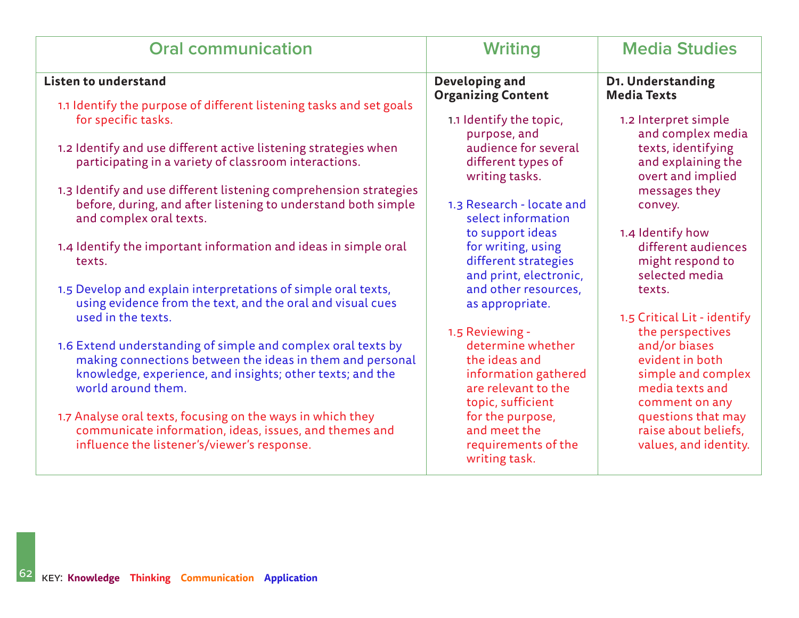| <b>Oral communication</b>                                                                                                                                                                                    | <b>Writing</b>                                                                                         | <b>Media Studies</b>                                                                        |
|--------------------------------------------------------------------------------------------------------------------------------------------------------------------------------------------------------------|--------------------------------------------------------------------------------------------------------|---------------------------------------------------------------------------------------------|
| <b>Listen to understand</b>                                                                                                                                                                                  | Developing and<br><b>Organizing Content</b>                                                            | D1. Understanding<br><b>Media Texts</b>                                                     |
| 1.1 Identify the purpose of different listening tasks and set goals<br>for specific tasks.                                                                                                                   | 1.1 Identify the topic,<br>purpose, and                                                                | 1.2 Interpret simple<br>and complex media                                                   |
| 1.2 Identify and use different active listening strategies when<br>participating in a variety of classroom interactions.                                                                                     | audience for several<br>different types of<br>writing tasks.                                           | texts, identifying<br>and explaining the<br>overt and implied                               |
| 1.3 Identify and use different listening comprehension strategies<br>before, during, and after listening to understand both simple<br>and complex oral texts.                                                | 1.3 Research - locate and<br>select information                                                        | messages they<br>convey.                                                                    |
| 1.4 Identify the important information and ideas in simple oral<br>texts.                                                                                                                                    | to support ideas<br>for writing, using<br>different strategies<br>and print, electronic,               | 1.4 Identify how<br>different audiences<br>might respond to<br>selected media               |
| 1.5 Develop and explain interpretations of simple oral texts,<br>using evidence from the text, and the oral and visual cues                                                                                  | and other resources,<br>as appropriate.                                                                | texts.                                                                                      |
| used in the texts.                                                                                                                                                                                           | 1.5 Reviewing -                                                                                        | 1.5 Critical Lit - identify<br>the perspectives                                             |
| 1.6 Extend understanding of simple and complex oral texts by<br>making connections between the ideas in them and personal<br>knowledge, experience, and insights; other texts; and the<br>world around them. | determine whether<br>the ideas and<br>information gathered<br>are relevant to the<br>topic, sufficient | and/or biases<br>evident in both<br>simple and complex<br>media texts and<br>comment on any |
| 1.7 Analyse oral texts, focusing on the ways in which they<br>communicate information, ideas, issues, and themes and<br>influence the listener's/viewer's response.                                          | for the purpose,<br>and meet the<br>requirements of the<br>writing task.                               | questions that may<br>raise about beliefs,<br>values, and identity.                         |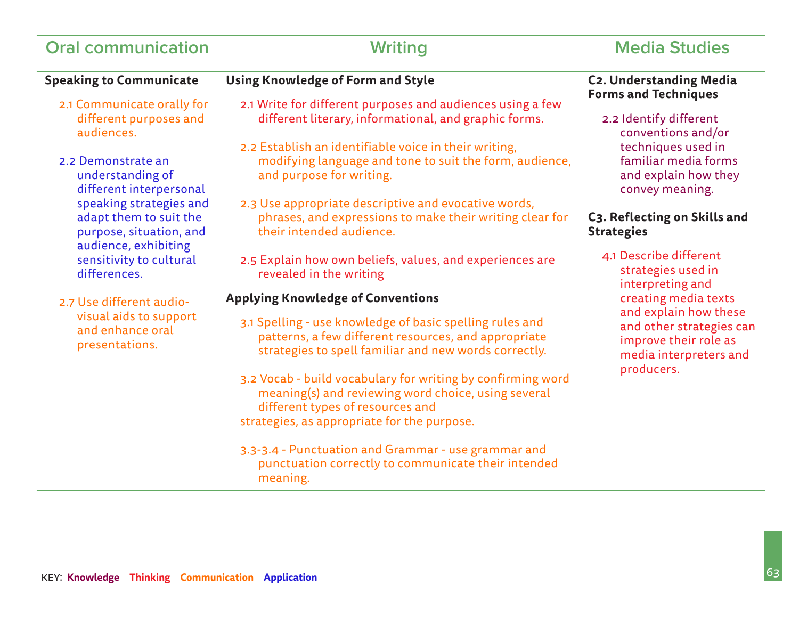| <b>Oral communication</b>                                                                            | <b>Writing</b>                                                                                                                                                                                        | <b>Media Studies</b>                                                                  |
|------------------------------------------------------------------------------------------------------|-------------------------------------------------------------------------------------------------------------------------------------------------------------------------------------------------------|---------------------------------------------------------------------------------------|
| <b>Speaking to Communicate</b>                                                                       | <b>Using Knowledge of Form and Style</b>                                                                                                                                                              | <b>C2. Understanding Media</b><br><b>Forms and Techniques</b>                         |
| 2.1 Communicate orally for<br>different purposes and<br>audiences.                                   | 2.1 Write for different purposes and audiences using a few<br>different literary, informational, and graphic forms.                                                                                   | 2.2 Identify different<br>conventions and/or                                          |
| 2.2 Demonstrate an<br>understanding of<br>different interpersonal                                    | 2.2 Establish an identifiable voice in their writing,<br>modifying language and tone to suit the form, audience,<br>and purpose for writing.                                                          | techniques used in<br>familiar media forms<br>and explain how they<br>convey meaning. |
| speaking strategies and<br>adapt them to suit the<br>purpose, situation, and<br>audience, exhibiting | 2.3 Use appropriate descriptive and evocative words,<br>phrases, and expressions to make their writing clear for<br>their intended audience.                                                          | C3. Reflecting on Skills and<br><b>Strategies</b>                                     |
| sensitivity to cultural<br>differences.                                                              | 2.5 Explain how own beliefs, values, and experiences are<br>revealed in the writing                                                                                                                   | 4.1 Describe different<br>strategies used in<br>interpreting and                      |
| 2.7 Use different audio-                                                                             | <b>Applying Knowledge of Conventions</b>                                                                                                                                                              | creating media texts<br>and explain how these                                         |
| visual aids to support<br>and enhance oral<br>presentations.                                         | 3.1 Spelling - use knowledge of basic spelling rules and<br>patterns, a few different resources, and appropriate<br>strategies to spell familiar and new words correctly.                             | and other strategies can<br>improve their role as<br>media interpreters and           |
|                                                                                                      | 3.2 Vocab - build vocabulary for writing by confirming word<br>meaning(s) and reviewing word choice, using several<br>different types of resources and<br>strategies, as appropriate for the purpose. | producers.                                                                            |
|                                                                                                      | 3.3-3.4 - Punctuation and Grammar - use grammar and<br>punctuation correctly to communicate their intended<br>meaning.                                                                                |                                                                                       |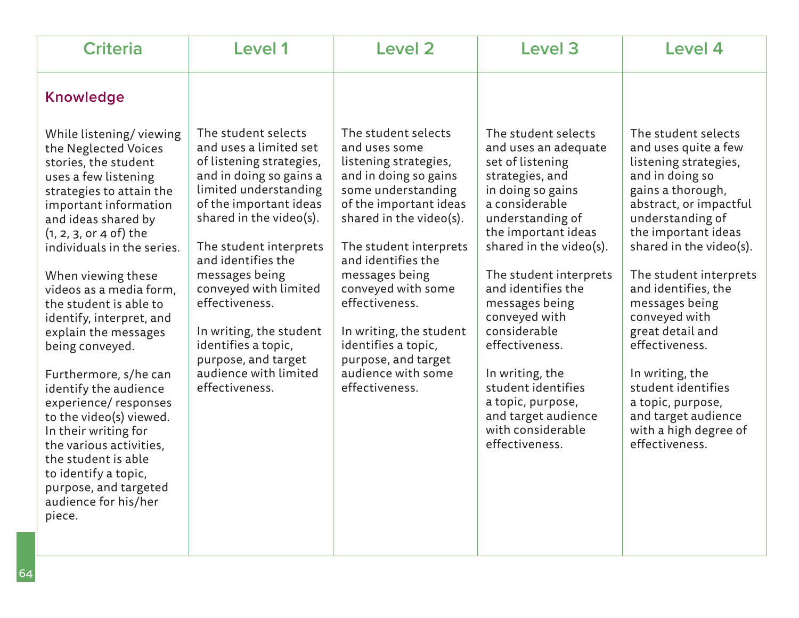| <b>Criteria</b>                                                                                                                                                                                                                                                                                                                                                                                                                                                                                                                                                                                                                                           | <b>Level 1</b>                                                                                                                                                                                                                                                                                                                                                                                                      | <b>Level 2</b>                                                                                                                                                                                                                                                                                                                                                                               | Level <sub>3</sub>                                                                                                                                                                                                                                                                                                                                                                                                                               | Level 4                                                                                                                                                                                                                                                                                                                                                                                                                                                                |
|-----------------------------------------------------------------------------------------------------------------------------------------------------------------------------------------------------------------------------------------------------------------------------------------------------------------------------------------------------------------------------------------------------------------------------------------------------------------------------------------------------------------------------------------------------------------------------------------------------------------------------------------------------------|---------------------------------------------------------------------------------------------------------------------------------------------------------------------------------------------------------------------------------------------------------------------------------------------------------------------------------------------------------------------------------------------------------------------|----------------------------------------------------------------------------------------------------------------------------------------------------------------------------------------------------------------------------------------------------------------------------------------------------------------------------------------------------------------------------------------------|--------------------------------------------------------------------------------------------------------------------------------------------------------------------------------------------------------------------------------------------------------------------------------------------------------------------------------------------------------------------------------------------------------------------------------------------------|------------------------------------------------------------------------------------------------------------------------------------------------------------------------------------------------------------------------------------------------------------------------------------------------------------------------------------------------------------------------------------------------------------------------------------------------------------------------|
| <b>Knowledge</b>                                                                                                                                                                                                                                                                                                                                                                                                                                                                                                                                                                                                                                          |                                                                                                                                                                                                                                                                                                                                                                                                                     |                                                                                                                                                                                                                                                                                                                                                                                              |                                                                                                                                                                                                                                                                                                                                                                                                                                                  |                                                                                                                                                                                                                                                                                                                                                                                                                                                                        |
| While listening/viewing<br>the Neglected Voices<br>stories, the student<br>uses a few listening<br>strategies to attain the<br>important information<br>and ideas shared by<br>$(1, 2, 3, 0r 4 of)$ the<br>individuals in the series.<br>When viewing these<br>videos as a media form,<br>the student is able to<br>identify, interpret, and<br>explain the messages<br>being conveyed.<br>Furthermore, s/he can<br>identify the audience<br>experience/responses<br>to the video(s) viewed.<br>In their writing for<br>the various activities,<br>the student is able<br>to identify a topic,<br>purpose, and targeted<br>audience for his/her<br>piece. | The student selects<br>and uses a limited set<br>of listening strategies,<br>and in doing so gains a<br>limited understanding<br>of the important ideas<br>shared in the video(s).<br>The student interprets<br>and identifies the<br>messages being<br>conveyed with limited<br>effectiveness.<br>In writing, the student<br>identifies a topic,<br>purpose, and target<br>audience with limited<br>effectiveness. | The student selects<br>and uses some<br>listening strategies,<br>and in doing so gains<br>some understanding<br>of the important ideas<br>shared in the video(s).<br>The student interprets<br>and identifies the<br>messages being<br>conveyed with some<br>effectiveness.<br>In writing, the student<br>identifies a topic,<br>purpose, and target<br>audience with some<br>effectiveness. | The student selects<br>and uses an adequate<br>set of listening<br>strategies, and<br>in doing so gains<br>a considerable<br>understanding of<br>the important ideas<br>shared in the video(s).<br>The student interprets<br>and identifies the<br>messages being<br>conveyed with<br>considerable<br>effectiveness.<br>In writing, the<br>student identifies<br>a topic, purpose,<br>and target audience<br>with considerable<br>effectiveness. | The student selects<br>and uses quite a few<br>listening strategies,<br>and in doing so<br>gains a thorough,<br>abstract, or impactful<br>understanding of<br>the important ideas<br>shared in the video(s).<br>The student interprets<br>and identifies, the<br>messages being<br>conveyed with<br>great detail and<br>effectiveness.<br>In writing, the<br>student identifies<br>a topic, purpose,<br>and target audience<br>with a high degree of<br>effectiveness. |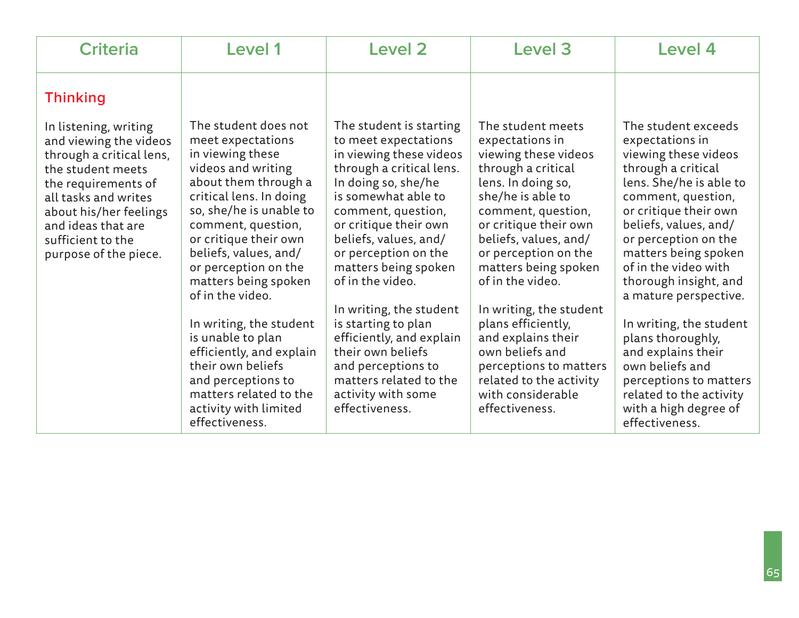| <b>Criteria</b>                                                                                                                                                                                                                               | <b>Level 1</b>                                                                                                                                                                                                                                                                                                | <b>Level 2</b>                                                                                                                                                                                                                                                                                   | <b>Level 3</b>                                                                                                                                                                                                                                                            | Level 4                                                                                                                                                                                                                                                                                                           |
|-----------------------------------------------------------------------------------------------------------------------------------------------------------------------------------------------------------------------------------------------|---------------------------------------------------------------------------------------------------------------------------------------------------------------------------------------------------------------------------------------------------------------------------------------------------------------|--------------------------------------------------------------------------------------------------------------------------------------------------------------------------------------------------------------------------------------------------------------------------------------------------|---------------------------------------------------------------------------------------------------------------------------------------------------------------------------------------------------------------------------------------------------------------------------|-------------------------------------------------------------------------------------------------------------------------------------------------------------------------------------------------------------------------------------------------------------------------------------------------------------------|
| <b>Thinking</b>                                                                                                                                                                                                                               |                                                                                                                                                                                                                                                                                                               |                                                                                                                                                                                                                                                                                                  |                                                                                                                                                                                                                                                                           |                                                                                                                                                                                                                                                                                                                   |
| In listening, writing<br>and viewing the videos<br>through a critical lens,<br>the student meets<br>the requirements of<br>all tasks and writes<br>about his/her feelings<br>and ideas that are<br>sufficient to the<br>purpose of the piece. | The student does not<br>meet expectations<br>in viewing these<br>videos and writing<br>about them through a<br>critical lens. In doing<br>so, she/he is unable to<br>comment, question,<br>or critique their own<br>beliefs, values, and/<br>or perception on the<br>matters being spoken<br>of in the video. | The student is starting<br>to meet expectations<br>in viewing these videos<br>through a critical lens.<br>In doing so, she/he<br>is somewhat able to<br>comment, question,<br>or critique their own<br>beliefs, values, and/<br>or perception on the<br>matters being spoken<br>of in the video. | The student meets<br>expectations in<br>viewing these videos<br>through a critical<br>lens. In doing so,<br>she/he is able to<br>comment, question,<br>or critique their own<br>beliefs, values, and/<br>or perception on the<br>matters being spoken<br>of in the video. | The student exceeds<br>expectations in<br>viewing these videos<br>through a critical<br>lens. She/he is able to<br>comment, question,<br>or critique their own<br>beliefs, values, and/<br>or perception on the<br>matters being spoken<br>of in the video with<br>thorough insight, and<br>a mature perspective. |
|                                                                                                                                                                                                                                               | In writing, the student<br>is unable to plan<br>efficiently, and explain<br>their own beliefs<br>and perceptions to<br>matters related to the<br>activity with limited<br>effectiveness.                                                                                                                      | In writing, the student<br>is starting to plan<br>efficiently, and explain<br>their own beliefs<br>and perceptions to<br>matters related to the<br>activity with some<br>effectiveness.                                                                                                          | In writing, the student<br>plans efficiently,<br>and explains their<br>own beliefs and<br>perceptions to matters<br>related to the activity<br>with considerable<br>effectiveness.                                                                                        | In writing, the student<br>plans thoroughly,<br>and explains their<br>own beliefs and<br>perceptions to matters<br>related to the activity<br>with a high degree of<br>effectiveness.                                                                                                                             |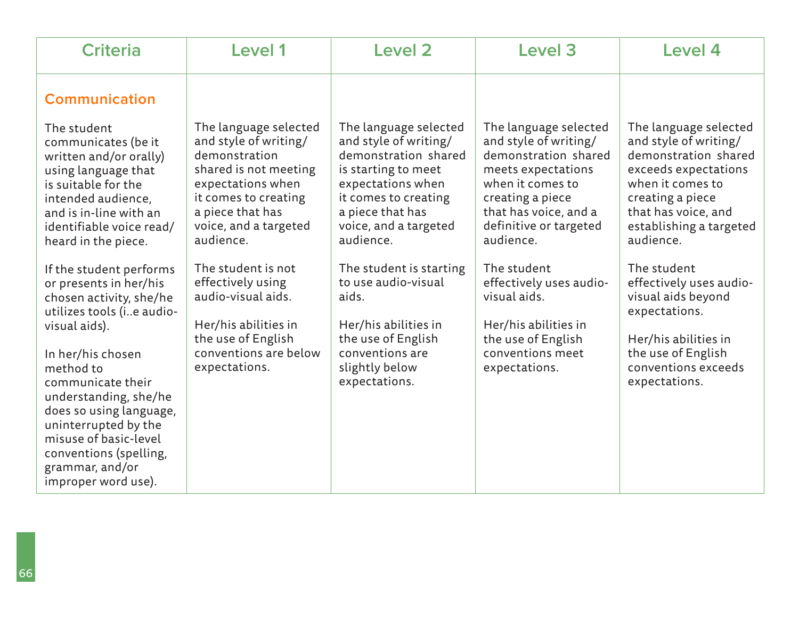| <b>Criteria</b>                                                                                                                                                                                                                               | Level 1                                                                                                                                                                                         | Level 2                                                                                                                                                                                              | Level 3                                                                                                                                                                                              | Level 4                                                                                                                                                                                               |
|-----------------------------------------------------------------------------------------------------------------------------------------------------------------------------------------------------------------------------------------------|-------------------------------------------------------------------------------------------------------------------------------------------------------------------------------------------------|------------------------------------------------------------------------------------------------------------------------------------------------------------------------------------------------------|------------------------------------------------------------------------------------------------------------------------------------------------------------------------------------------------------|-------------------------------------------------------------------------------------------------------------------------------------------------------------------------------------------------------|
| <b>Communication</b>                                                                                                                                                                                                                          |                                                                                                                                                                                                 |                                                                                                                                                                                                      |                                                                                                                                                                                                      |                                                                                                                                                                                                       |
| The student<br>communicates (be it<br>written and/or orally)<br>using language that<br>is suitable for the<br>intended audience,<br>and is in-line with an<br>identifiable voice read/<br>heard in the piece.                                 | The language selected<br>and style of writing/<br>demonstration<br>shared is not meeting<br>expectations when<br>it comes to creating<br>a piece that has<br>voice, and a targeted<br>audience. | The language selected<br>and style of writing/<br>demonstration shared<br>is starting to meet<br>expectations when<br>it comes to creating<br>a piece that has<br>voice, and a targeted<br>audience. | The language selected<br>and style of writing/<br>demonstration shared<br>meets expectations<br>when it comes to<br>creating a piece<br>that has voice, and a<br>definitive or targeted<br>audience. | The language selected<br>and style of writing/<br>demonstration shared<br>exceeds expectations<br>when it comes to<br>creating a piece<br>that has voice, and<br>establishing a targeted<br>audience. |
| If the student performs<br>or presents in her/his<br>chosen activity, she/he<br>utilizes tools (ie audio-                                                                                                                                     | The student is not<br>effectively using<br>audio-visual aids.<br>Her/his abilities in                                                                                                           | The student is starting<br>to use audio-visual<br>aids.<br>Her/his abilities in                                                                                                                      | The student<br>effectively uses audio-<br>visual aids.                                                                                                                                               | The student<br>effectively uses audio-<br>visual aids beyond<br>expectations.                                                                                                                         |
| visual aids).<br>In her/his chosen<br>method to<br>communicate their<br>understanding, she/he<br>does so using language,<br>uninterrupted by the<br>misuse of basic-level<br>conventions (spelling,<br>grammar, and/or<br>improper word use). | the use of English<br>conventions are below<br>expectations.                                                                                                                                    | the use of English<br>conventions are<br>slightly below<br>expectations.                                                                                                                             | Her/his abilities in<br>the use of English<br>conventions meet<br>expectations.                                                                                                                      | Her/his abilities in<br>the use of English<br>conventions exceeds<br>expectations.                                                                                                                    |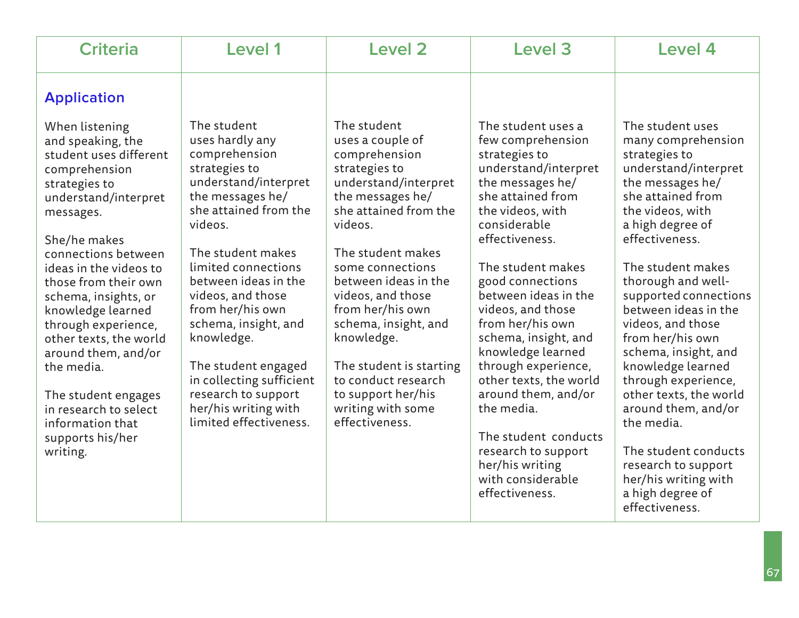| <b>Criteria</b>                                                                                                                                                                                                                                                                                                                                                                                                                                                      | <b>Level 1</b>                                                                                                                                                                                                                                                                                                                                                                                                                  | <b>Level 2</b>                                                                                                                                                                                                                                                                                                                                                                                                   | Level <sub>3</sub>                                                                                                                                                                                                                                                                                                                                                                                                                                                                                                                    | Level 4                                                                                                                                                                                                                                                                                                                                                                                                                                                                                                                                                                 |
|----------------------------------------------------------------------------------------------------------------------------------------------------------------------------------------------------------------------------------------------------------------------------------------------------------------------------------------------------------------------------------------------------------------------------------------------------------------------|---------------------------------------------------------------------------------------------------------------------------------------------------------------------------------------------------------------------------------------------------------------------------------------------------------------------------------------------------------------------------------------------------------------------------------|------------------------------------------------------------------------------------------------------------------------------------------------------------------------------------------------------------------------------------------------------------------------------------------------------------------------------------------------------------------------------------------------------------------|---------------------------------------------------------------------------------------------------------------------------------------------------------------------------------------------------------------------------------------------------------------------------------------------------------------------------------------------------------------------------------------------------------------------------------------------------------------------------------------------------------------------------------------|-------------------------------------------------------------------------------------------------------------------------------------------------------------------------------------------------------------------------------------------------------------------------------------------------------------------------------------------------------------------------------------------------------------------------------------------------------------------------------------------------------------------------------------------------------------------------|
| <b>Application</b>                                                                                                                                                                                                                                                                                                                                                                                                                                                   |                                                                                                                                                                                                                                                                                                                                                                                                                                 |                                                                                                                                                                                                                                                                                                                                                                                                                  |                                                                                                                                                                                                                                                                                                                                                                                                                                                                                                                                       |                                                                                                                                                                                                                                                                                                                                                                                                                                                                                                                                                                         |
| When listening<br>and speaking, the<br>student uses different<br>comprehension<br>strategies to<br>understand/interpret<br>messages.<br>She/he makes<br>connections between<br>ideas in the videos to<br>those from their own<br>schema, insights, or<br>knowledge learned<br>through experience,<br>other texts, the world<br>around them, and/or<br>the media.<br>The student engages<br>in research to select<br>information that<br>supports his/her<br>writing. | The student<br>uses hardly any<br>comprehension<br>strategies to<br>understand/interpret<br>the messages he/<br>she attained from the<br>videos.<br>The student makes<br>limited connections<br>between ideas in the<br>videos, and those<br>from her/his own<br>schema, insight, and<br>knowledge.<br>The student engaged<br>in collecting sufficient<br>research to support<br>her/his writing with<br>limited effectiveness. | The student<br>uses a couple of<br>comprehension<br>strategies to<br>understand/interpret<br>the messages he/<br>she attained from the<br>videos.<br>The student makes<br>some connections<br>between ideas in the<br>videos, and those<br>from her/his own<br>schema, insight, and<br>knowledge.<br>The student is starting<br>to conduct research<br>to support her/his<br>writing with some<br>effectiveness. | The student uses a<br>few comprehension<br>strategies to<br>understand/interpret<br>the messages he/<br>she attained from<br>the videos, with<br>considerable<br>effectiveness.<br>The student makes<br>good connections<br>between ideas in the<br>videos, and those<br>from her/his own<br>schema, insight, and<br>knowledge learned<br>through experience,<br>other texts, the world<br>around them, and/or<br>the media.<br>The student conducts<br>research to support<br>her/his writing<br>with considerable<br>effectiveness. | The student uses<br>many comprehension<br>strategies to<br>understand/interpret<br>the messages he/<br>she attained from<br>the videos, with<br>a high degree of<br>effectiveness.<br>The student makes<br>thorough and well-<br>supported connections<br>between ideas in the<br>videos, and those<br>from her/his own<br>schema, insight, and<br>knowledge learned<br>through experience,<br>other texts, the world<br>around them, and/or<br>the media.<br>The student conducts<br>research to support<br>her/his writing with<br>a high degree of<br>effectiveness. |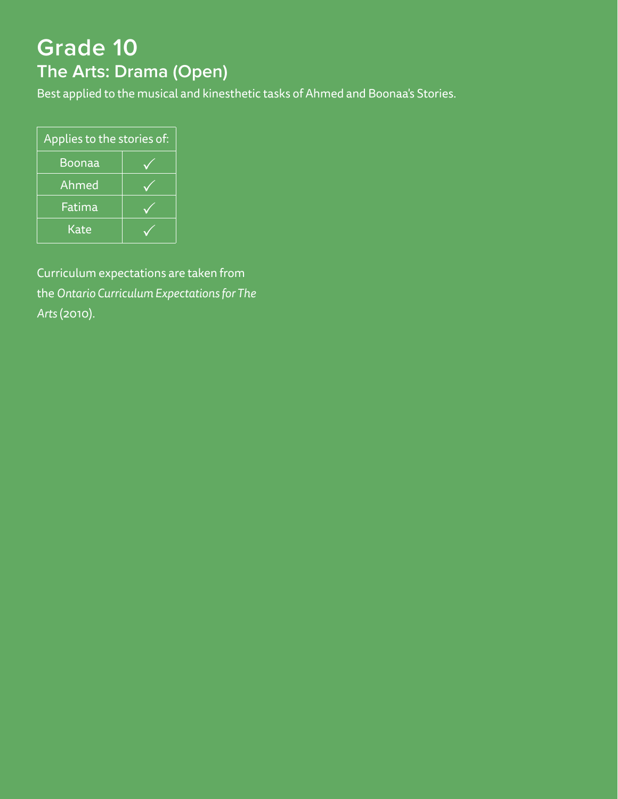# **Grade 10 The Arts: Drama (Open)**

Best applied to the musical and kinesthetic tasks of Ahmed and Boonaa's Stories.

| Applies to the stories of: |  |  |  |
|----------------------------|--|--|--|
| Boonaa                     |  |  |  |
| Ahmed                      |  |  |  |
| Fatima                     |  |  |  |
| Kate                       |  |  |  |

Curriculum expectations are taken from the *Ontario Curriculum Expectations for The Arts* (2010).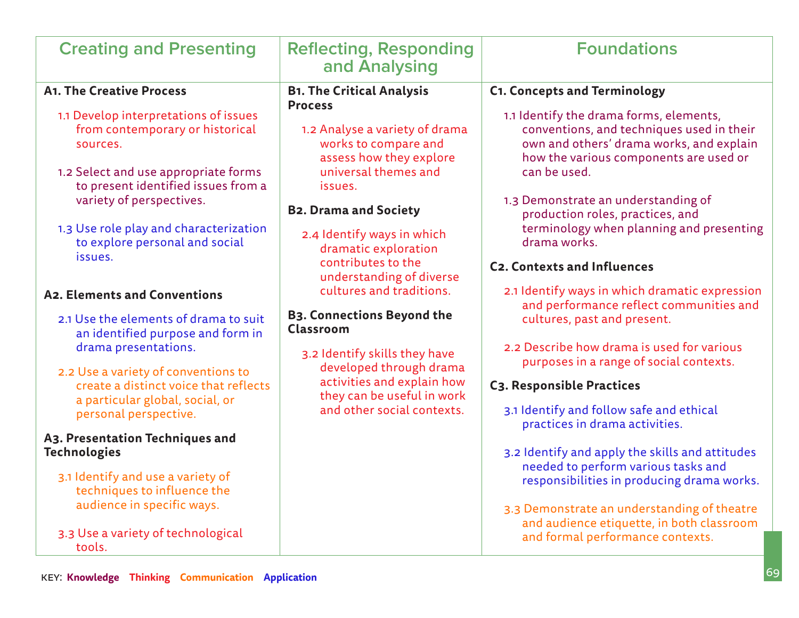| <b>Creating and Presenting</b>                                                                                                                                                                                                                                                                                                                                                                                                                                                                                                                                                                                                                                                                             | <b>Reflecting, Responding</b><br>and Analysing                                                                                                                                                                                                                                                                                                                                                                                                                                                                                                                | <b>Foundations</b>                                                                                                                                                                                                                                                                                                                                                                                                                                                                                                                                                                                                                                                                                                                                                                                                                                                                     |
|------------------------------------------------------------------------------------------------------------------------------------------------------------------------------------------------------------------------------------------------------------------------------------------------------------------------------------------------------------------------------------------------------------------------------------------------------------------------------------------------------------------------------------------------------------------------------------------------------------------------------------------------------------------------------------------------------------|---------------------------------------------------------------------------------------------------------------------------------------------------------------------------------------------------------------------------------------------------------------------------------------------------------------------------------------------------------------------------------------------------------------------------------------------------------------------------------------------------------------------------------------------------------------|----------------------------------------------------------------------------------------------------------------------------------------------------------------------------------------------------------------------------------------------------------------------------------------------------------------------------------------------------------------------------------------------------------------------------------------------------------------------------------------------------------------------------------------------------------------------------------------------------------------------------------------------------------------------------------------------------------------------------------------------------------------------------------------------------------------------------------------------------------------------------------------|
| <b>A1. The Creative Process</b><br>1.1 Develop interpretations of issues<br>from contemporary or historical<br>sources.<br>1.2 Select and use appropriate forms<br>to present identified issues from a<br>variety of perspectives.<br>1.3 Use role play and characterization<br>to explore personal and social<br>issues.<br>A2. Elements and Conventions<br>2.1 Use the elements of drama to suit<br>an identified purpose and form in<br>drama presentations.<br>2.2 Use a variety of conventions to<br>create a distinct voice that reflects<br>a particular global, social, or<br>personal perspective.<br>A3. Presentation Techniques and<br><b>Technologies</b><br>3.1 Identify and use a variety of | <b>B1. The Critical Analysis</b><br><b>Process</b><br>1.2 Analyse a variety of drama<br>works to compare and<br>assess how they explore<br>universal themes and<br>issues.<br><b>B2. Drama and Society</b><br>2.4 Identify ways in which<br>dramatic exploration<br>contributes to the<br>understanding of diverse<br>cultures and traditions.<br><b>B3. Connections Beyond the</b><br><b>Classroom</b><br>3.2 Identify skills they have<br>developed through drama<br>activities and explain how<br>they can be useful in work<br>and other social contexts. | <b>C1. Concepts and Terminology</b><br>1.1 Identify the drama forms, elements,<br>conventions, and techniques used in their<br>own and others' drama works, and explain<br>how the various components are used or<br>can be used.<br>1.3 Demonstrate an understanding of<br>production roles, practices, and<br>terminology when planning and presenting<br>drama works.<br><b>C2. Contexts and Influences</b><br>2.1 Identify ways in which dramatic expression<br>and performance reflect communities and<br>cultures, past and present.<br>2.2 Describe how drama is used for various<br>purposes in a range of social contexts.<br>C3. Responsible Practices<br>3.1 Identify and follow safe and ethical<br>practices in drama activities.<br>3.2 Identify and apply the skills and attitudes<br>needed to perform various tasks and<br>responsibilities in producing drama works. |
| techniques to influence the<br>audience in specific ways.<br>3.3 Use a variety of technological<br>tools.                                                                                                                                                                                                                                                                                                                                                                                                                                                                                                                                                                                                  |                                                                                                                                                                                                                                                                                                                                                                                                                                                                                                                                                               | 3.3 Demonstrate an understanding of theatre<br>and audience etiquette, in both classroom<br>and formal performance contexts.                                                                                                                                                                                                                                                                                                                                                                                                                                                                                                                                                                                                                                                                                                                                                           |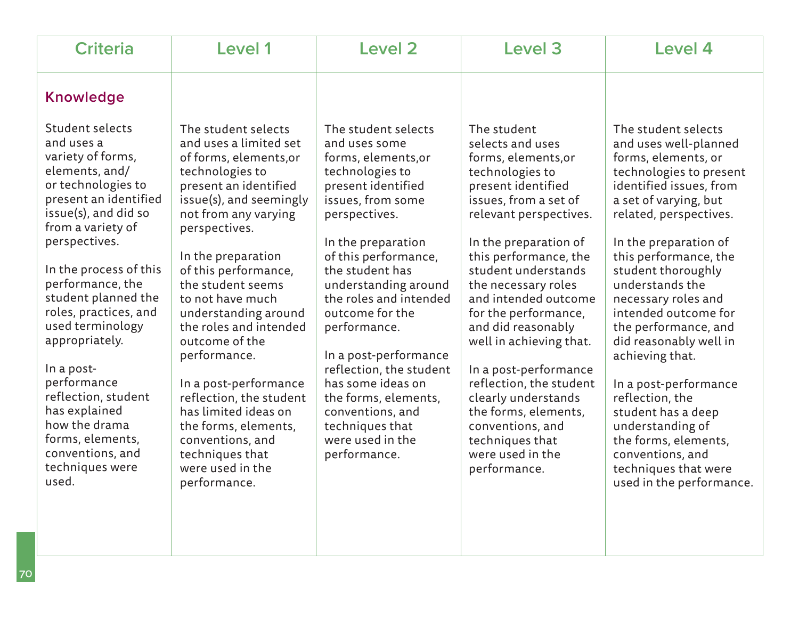| <b>Criteria</b>                                                                                                                                                                                                                                                                                                                                                                                                                                                                 | <b>Level 1</b>                                                                                                                                                                                                                                                                                                                                                                                                                                                                                                                                    | Level 2                                                                                                                                                                                                                                                                                                                                                                                                                                                                      | Level 3                                                                                                                                                                                                                                                                                                                                                                                                                                                                                                                           | Level 4                                                                                                                                                                                                                                                                                                                                                                                                                                                                                                                                                                           |
|---------------------------------------------------------------------------------------------------------------------------------------------------------------------------------------------------------------------------------------------------------------------------------------------------------------------------------------------------------------------------------------------------------------------------------------------------------------------------------|---------------------------------------------------------------------------------------------------------------------------------------------------------------------------------------------------------------------------------------------------------------------------------------------------------------------------------------------------------------------------------------------------------------------------------------------------------------------------------------------------------------------------------------------------|------------------------------------------------------------------------------------------------------------------------------------------------------------------------------------------------------------------------------------------------------------------------------------------------------------------------------------------------------------------------------------------------------------------------------------------------------------------------------|-----------------------------------------------------------------------------------------------------------------------------------------------------------------------------------------------------------------------------------------------------------------------------------------------------------------------------------------------------------------------------------------------------------------------------------------------------------------------------------------------------------------------------------|-----------------------------------------------------------------------------------------------------------------------------------------------------------------------------------------------------------------------------------------------------------------------------------------------------------------------------------------------------------------------------------------------------------------------------------------------------------------------------------------------------------------------------------------------------------------------------------|
| <b>Knowledge</b>                                                                                                                                                                                                                                                                                                                                                                                                                                                                |                                                                                                                                                                                                                                                                                                                                                                                                                                                                                                                                                   |                                                                                                                                                                                                                                                                                                                                                                                                                                                                              |                                                                                                                                                                                                                                                                                                                                                                                                                                                                                                                                   |                                                                                                                                                                                                                                                                                                                                                                                                                                                                                                                                                                                   |
| Student selects<br>and uses a<br>variety of forms,<br>elements, and/<br>or technologies to<br>present an identified<br>issue(s), and did so<br>from a variety of<br>perspectives.<br>In the process of this<br>performance, the<br>student planned the<br>roles, practices, and<br>used terminology<br>appropriately.<br>In a post-<br>performance<br>reflection, student<br>has explained<br>how the drama<br>forms, elements,<br>conventions, and<br>techniques were<br>used. | The student selects<br>and uses a limited set<br>of forms, elements, or<br>technologies to<br>present an identified<br>issue(s), and seemingly<br>not from any varying<br>perspectives.<br>In the preparation<br>of this performance,<br>the student seems<br>to not have much<br>understanding around<br>the roles and intended<br>outcome of the<br>performance.<br>In a post-performance<br>reflection, the student<br>has limited ideas on<br>the forms, elements,<br>conventions, and<br>techniques that<br>were used in the<br>performance. | The student selects<br>and uses some<br>forms, elements, or<br>technologies to<br>present identified<br>issues, from some<br>perspectives.<br>In the preparation<br>of this performance,<br>the student has<br>understanding around<br>the roles and intended<br>outcome for the<br>performance.<br>In a post-performance<br>reflection, the student<br>has some ideas on<br>the forms, elements,<br>conventions, and<br>techniques that<br>were used in the<br>performance. | The student<br>selects and uses<br>forms, elements, or<br>technologies to<br>present identified<br>issues, from a set of<br>relevant perspectives.<br>In the preparation of<br>this performance, the<br>student understands<br>the necessary roles<br>and intended outcome<br>for the performance,<br>and did reasonably<br>well in achieving that.<br>In a post-performance<br>reflection, the student<br>clearly understands<br>the forms, elements,<br>conventions, and<br>techniques that<br>were used in the<br>performance. | The student selects<br>and uses well-planned<br>forms, elements, or<br>technologies to present<br>identified issues, from<br>a set of varying, but<br>related, perspectives.<br>In the preparation of<br>this performance, the<br>student thoroughly<br>understands the<br>necessary roles and<br>intended outcome for<br>the performance, and<br>did reasonably well in<br>achieving that.<br>In a post-performance<br>reflection, the<br>student has a deep<br>understanding of<br>the forms, elements,<br>conventions, and<br>techniques that were<br>used in the performance. |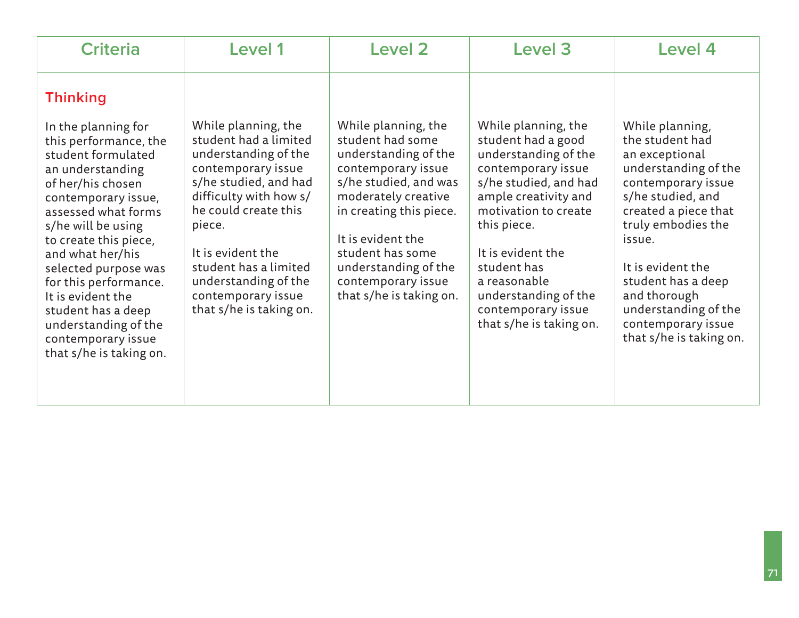| <b>Criteria</b>                                                                                                                                                                                                                                                                                                                                                                                                      | Level 1                                                                                                                                                                                                                                                                                                | <b>Level 2</b>                                                                                                                                                                                                                                                                     | <b>Level 3</b>                                                                                                                                                                                                                                                                                               | Level 4                                                                                                                                                                                                                                                                                                             |
|----------------------------------------------------------------------------------------------------------------------------------------------------------------------------------------------------------------------------------------------------------------------------------------------------------------------------------------------------------------------------------------------------------------------|--------------------------------------------------------------------------------------------------------------------------------------------------------------------------------------------------------------------------------------------------------------------------------------------------------|------------------------------------------------------------------------------------------------------------------------------------------------------------------------------------------------------------------------------------------------------------------------------------|--------------------------------------------------------------------------------------------------------------------------------------------------------------------------------------------------------------------------------------------------------------------------------------------------------------|---------------------------------------------------------------------------------------------------------------------------------------------------------------------------------------------------------------------------------------------------------------------------------------------------------------------|
| <b>Thinking</b><br>In the planning for<br>this performance, the<br>student formulated<br>an understanding<br>of her/his chosen<br>contemporary issue,<br>assessed what forms<br>s/he will be using<br>to create this piece,<br>and what her/his<br>selected purpose was<br>for this performance.<br>It is evident the<br>student has a deep<br>understanding of the<br>contemporary issue<br>that s/he is taking on. | While planning, the<br>student had a limited<br>understanding of the<br>contemporary issue<br>s/he studied, and had<br>difficulty with how s/<br>he could create this<br>piece.<br>It is evident the<br>student has a limited<br>understanding of the<br>contemporary issue<br>that s/he is taking on. | While planning, the<br>student had some<br>understanding of the<br>contemporary issue<br>s/he studied, and was<br>moderately creative<br>in creating this piece.<br>It is evident the<br>student has some<br>understanding of the<br>contemporary issue<br>that s/he is taking on. | While planning, the<br>student had a good<br>understanding of the<br>contemporary issue<br>s/he studied, and had<br>ample creativity and<br>motivation to create<br>this piece.<br>It is evident the<br>student has<br>a reasonable<br>understanding of the<br>contemporary issue<br>that s/he is taking on. | While planning,<br>the student had<br>an exceptional<br>understanding of the<br>contemporary issue<br>s/he studied, and<br>created a piece that<br>truly embodies the<br>issue.<br>It is evident the<br>student has a deep<br>and thorough<br>understanding of the<br>contemporary issue<br>that s/he is taking on. |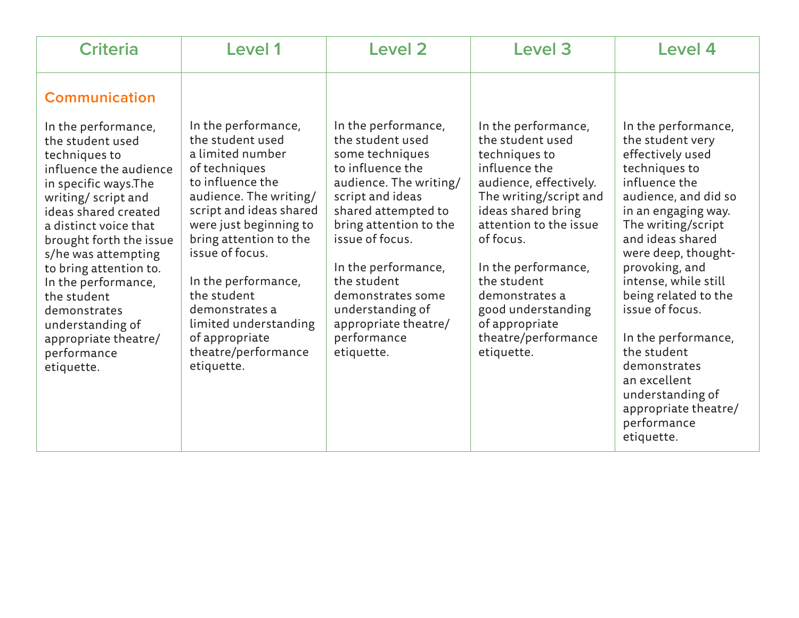| <b>Criteria</b>                                                                                                                                                                                                                                                                                                                                                                                                       | <b>Level 1</b>                                                                                                                                                                                                                                                                                                                                                       | <b>Level 2</b>                                                                                                                                                                                                                                                                                                                       | Level <sub>3</sub>                                                                                                                                                                                                                                                                                                              | Level 4                                                                                                                                                                                                                                                                                                                                                                                                                                           |
|-----------------------------------------------------------------------------------------------------------------------------------------------------------------------------------------------------------------------------------------------------------------------------------------------------------------------------------------------------------------------------------------------------------------------|----------------------------------------------------------------------------------------------------------------------------------------------------------------------------------------------------------------------------------------------------------------------------------------------------------------------------------------------------------------------|--------------------------------------------------------------------------------------------------------------------------------------------------------------------------------------------------------------------------------------------------------------------------------------------------------------------------------------|---------------------------------------------------------------------------------------------------------------------------------------------------------------------------------------------------------------------------------------------------------------------------------------------------------------------------------|---------------------------------------------------------------------------------------------------------------------------------------------------------------------------------------------------------------------------------------------------------------------------------------------------------------------------------------------------------------------------------------------------------------------------------------------------|
| <b>Communication</b><br>In the performance,<br>the student used<br>techniques to<br>influence the audience<br>in specific ways. The<br>writing/script and<br>ideas shared created<br>a distinct voice that<br>brought forth the issue<br>s/he was attempting<br>to bring attention to.<br>In the performance,<br>the student<br>demonstrates<br>understanding of<br>appropriate theatre/<br>performance<br>etiquette. | In the performance,<br>the student used<br>a limited number<br>of techniques<br>to influence the<br>audience. The writing/<br>script and ideas shared<br>were just beginning to<br>bring attention to the<br>issue of focus.<br>In the performance,<br>the student<br>demonstrates a<br>limited understanding<br>of appropriate<br>theatre/performance<br>etiquette. | In the performance,<br>the student used<br>some techniques<br>to influence the<br>audience. The writing/<br>script and ideas<br>shared attempted to<br>bring attention to the<br>issue of focus.<br>In the performance,<br>the student<br>demonstrates some<br>understanding of<br>appropriate theatre/<br>performance<br>etiquette. | In the performance,<br>the student used<br>techniques to<br>influence the<br>audience, effectively.<br>The writing/script and<br>ideas shared bring<br>attention to the issue<br>of focus.<br>In the performance,<br>the student<br>demonstrates a<br>good understanding<br>of appropriate<br>theatre/performance<br>etiquette. | In the performance,<br>the student very<br>effectively used<br>techniques to<br>influence the<br>audience, and did so<br>in an engaging way.<br>The writing/script<br>and ideas shared<br>were deep, thought-<br>provoking, and<br>intense, while still<br>being related to the<br>issue of focus.<br>In the performance,<br>the student<br>demonstrates<br>an excellent<br>understanding of<br>appropriate theatre/<br>performance<br>etiquette. |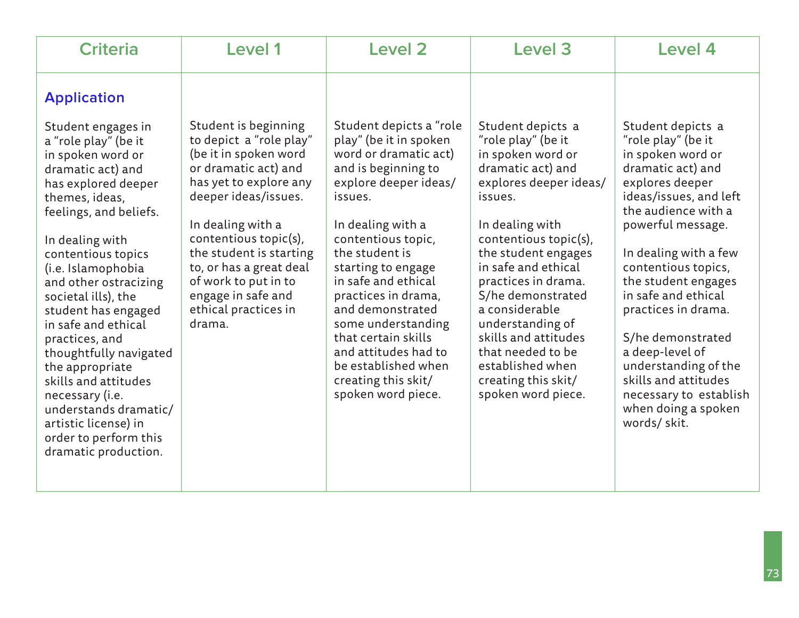| <b>Criteria</b>                                                                                                                                                                                                                                                                                                                                                                                                                                                                                                                                        | Level 1                                                                                                                                                                                                                                                                                                                                | Level 2                                                                                                                                                                                                                                                                                                                                                                                                                             | Level 3                                                                                                                                                                                                                                                                                                                                                                                                          | Level 4                                                                                                                                                                                                                                                                                                                                                                                                                                                 |
|--------------------------------------------------------------------------------------------------------------------------------------------------------------------------------------------------------------------------------------------------------------------------------------------------------------------------------------------------------------------------------------------------------------------------------------------------------------------------------------------------------------------------------------------------------|----------------------------------------------------------------------------------------------------------------------------------------------------------------------------------------------------------------------------------------------------------------------------------------------------------------------------------------|-------------------------------------------------------------------------------------------------------------------------------------------------------------------------------------------------------------------------------------------------------------------------------------------------------------------------------------------------------------------------------------------------------------------------------------|------------------------------------------------------------------------------------------------------------------------------------------------------------------------------------------------------------------------------------------------------------------------------------------------------------------------------------------------------------------------------------------------------------------|---------------------------------------------------------------------------------------------------------------------------------------------------------------------------------------------------------------------------------------------------------------------------------------------------------------------------------------------------------------------------------------------------------------------------------------------------------|
| <b>Application</b><br>Student engages in<br>a "role play" (be it<br>in spoken word or<br>dramatic act) and<br>has explored deeper<br>themes, ideas,<br>feelings, and beliefs.<br>In dealing with<br>contentious topics<br>(i.e. Islamophobia<br>and other ostracizing<br>societal ills), the<br>student has engaged<br>in safe and ethical<br>practices, and<br>thoughtfully navigated<br>the appropriate<br>skills and attitudes<br>necessary (i.e.<br>understands dramatic/<br>artistic license) in<br>order to perform this<br>dramatic production. | Student is beginning<br>to depict a "role play"<br>(be it in spoken word<br>or dramatic act) and<br>has yet to explore any<br>deeper ideas/issues.<br>In dealing with a<br>contentious topic(s),<br>the student is starting<br>to, or has a great deal<br>of work to put in to<br>engage in safe and<br>ethical practices in<br>drama. | Student depicts a "role<br>play" (be it in spoken<br>word or dramatic act)<br>and is beginning to<br>explore deeper ideas/<br>issues.<br>In dealing with a<br>contentious topic,<br>the student is<br>starting to engage<br>in safe and ethical<br>practices in drama,<br>and demonstrated<br>some understanding<br>that certain skills<br>and attitudes had to<br>be established when<br>creating this skit/<br>spoken word piece. | Student depicts a<br>"role play" (be it<br>in spoken word or<br>dramatic act) and<br>explores deeper ideas/<br>issues.<br>In dealing with<br>contentious topic(s),<br>the student engages<br>in safe and ethical<br>practices in drama.<br>S/he demonstrated<br>a considerable<br>understanding of<br>skills and attitudes<br>that needed to be<br>established when<br>creating this skit/<br>spoken word piece. | Student depicts a<br>"role play" (be it<br>in spoken word or<br>dramatic act) and<br>explores deeper<br>ideas/issues, and left<br>the audience with a<br>powerful message.<br>In dealing with a few<br>contentious topics,<br>the student engages<br>in safe and ethical<br>practices in drama.<br>S/he demonstrated<br>a deep-level of<br>understanding of the<br>skills and attitudes<br>necessary to establish<br>when doing a spoken<br>words/skit. |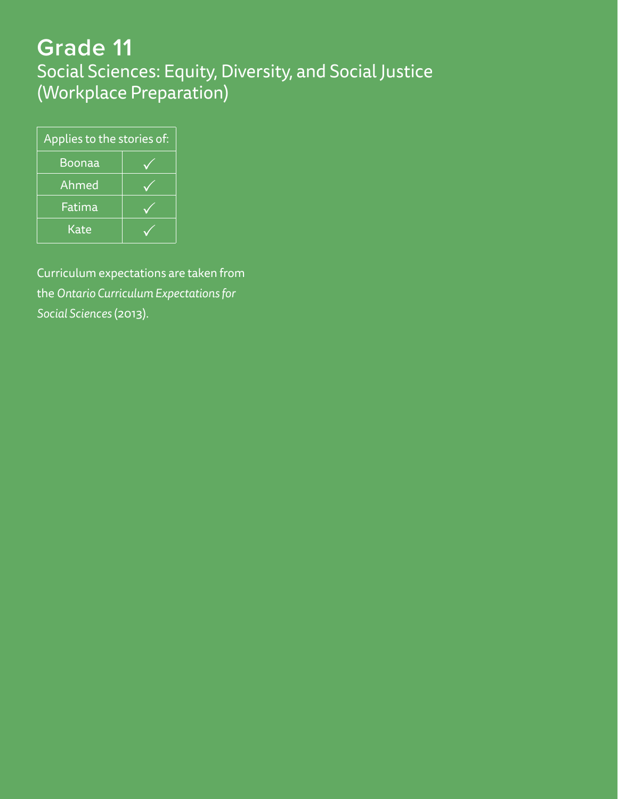# **Grade 11**

Social Sciences: Equity, Diversity, and Social Justice (Workplace Preparation)

| Applies to the stories of: |  |  |
|----------------------------|--|--|
| Boonaa                     |  |  |
| Ahmed                      |  |  |
| Fatima                     |  |  |
| Kate                       |  |  |

Curriculum expectations are taken from the *Ontario Curriculum Expectations for Social Sciences* (2013).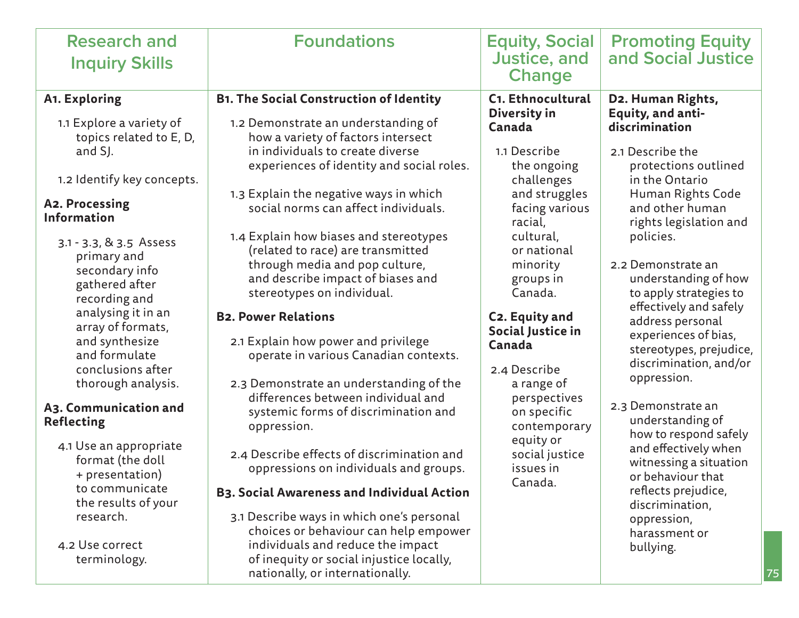|                                                                                                                                                                                                                                                                                                                                                                                                                                                                                                                                                                                                                                                                                                                                                                                                                                                                                                                                                                                                                                                                                                                                                                                                                                                                                                                                                                                                                                                                                                                                                                                                                                                                                                                                                                                                                                                                                                                                                                                                                                                                                                                                     | and Social Justice                                                                                                                                                                                                                                                                                                                                                                                                                                                                                                                                                                                           |
|-------------------------------------------------------------------------------------------------------------------------------------------------------------------------------------------------------------------------------------------------------------------------------------------------------------------------------------------------------------------------------------------------------------------------------------------------------------------------------------------------------------------------------------------------------------------------------------------------------------------------------------------------------------------------------------------------------------------------------------------------------------------------------------------------------------------------------------------------------------------------------------------------------------------------------------------------------------------------------------------------------------------------------------------------------------------------------------------------------------------------------------------------------------------------------------------------------------------------------------------------------------------------------------------------------------------------------------------------------------------------------------------------------------------------------------------------------------------------------------------------------------------------------------------------------------------------------------------------------------------------------------------------------------------------------------------------------------------------------------------------------------------------------------------------------------------------------------------------------------------------------------------------------------------------------------------------------------------------------------------------------------------------------------------------------------------------------------------------------------------------------------|--------------------------------------------------------------------------------------------------------------------------------------------------------------------------------------------------------------------------------------------------------------------------------------------------------------------------------------------------------------------------------------------------------------------------------------------------------------------------------------------------------------------------------------------------------------------------------------------------------------|
| C1. Ethnocultural<br><b>B1. The Social Construction of Identity</b><br>A1. Exploring<br>Diversity in<br>1.1 Explore a variety of<br>1.2 Demonstrate an understanding of<br>discrimination<br>Canada<br>topics related to E, D,<br>how a variety of factors intersect<br>in individuals to create diverse<br>1.1 Describe<br>and SJ.<br>experiences of identity and social roles.<br>the ongoing<br>1.2 Identify key concepts.<br>challenges<br>1.3 Explain the negative ways in which<br>and struggles<br>A2. Processing<br>social norms can affect individuals.<br>facing various<br><b>Information</b><br>racial,<br>1.4 Explain how biases and stereotypes<br>cultural,<br>policies.<br>3.1 - 3.3, & 3.5 Assess<br>(related to race) are transmitted<br>or national<br>primary and<br>through media and pop culture,<br>minority<br>secondary info<br>and describe impact of biases and<br>groups in<br>gathered after<br>stereotypes on individual.<br>Canada.<br>recording and<br>analysing it in an<br><b>B2. Power Relations</b><br>C2. Equity and<br>array of formats,<br>Social Justice in<br>2.1 Explain how power and privilege<br>and synthesize<br>Canada<br>and formulate<br>operate in various Canadian contexts.<br>conclusions after<br>2.4 Describe<br>thorough analysis.<br>2.3 Demonstrate an understanding of the<br>a range of<br>differences between individual and<br>perspectives<br>A3. Communication and<br>systemic forms of discrimination and<br>on specific<br><b>Reflecting</b><br>oppression.<br>contemporary<br>equity or<br>4.1 Use an appropriate<br>2.4 Describe effects of discrimination and<br>social justice<br>format (the doll<br>oppressions on individuals and groups.<br>issues in<br>+ presentation)<br>Canada.<br>to communicate<br><b>B3. Social Awareness and Individual Action</b><br>the results of your<br>3.1 Describe ways in which one's personal<br>research.<br>choices or behaviour can help empower<br>individuals and reduce the impact<br>4.2 Use correct<br>bullying.<br>of inequity or social injustice locally,<br>terminology.<br>nationally, or internationally. | D2. Human Rights,<br>Equity, and anti-<br>2.1 Describe the<br>protections outlined<br>in the Ontario<br>Human Rights Code<br>and other human<br>rights legislation and<br>2.2 Demonstrate an<br>understanding of how<br>to apply strategies to<br>effectively and safely<br>address personal<br>experiences of bias,<br>stereotypes, prejudice,<br>discrimination, and/or<br>oppression.<br>2.3 Demonstrate an<br>understanding of<br>how to respond safely<br>and effectively when<br>witnessing a situation<br>or behaviour that<br>reflects prejudice,<br>discrimination,<br>oppression,<br>harassment or |

75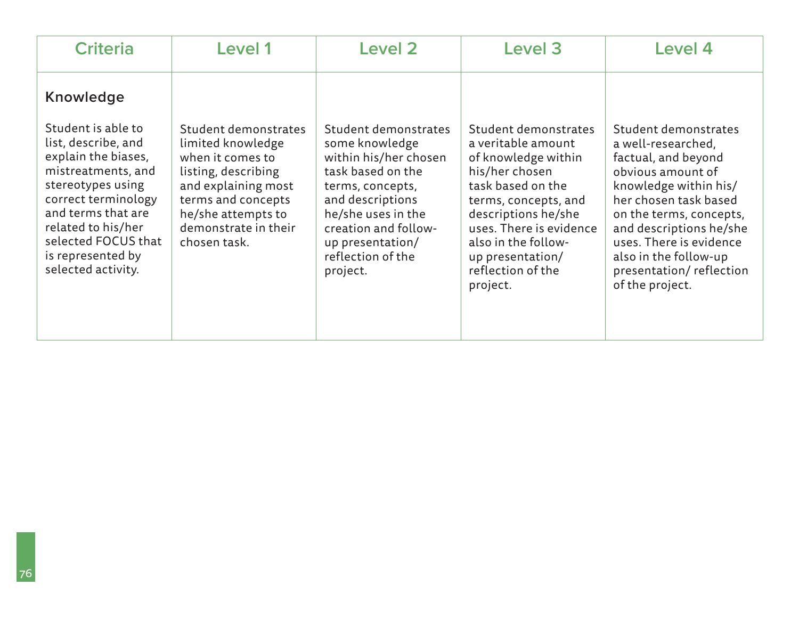| <b>Criteria</b>                                                                                                                                 | Level 1                                                                                                                           | <b>Level 2</b>                                                                                                               | Level 3                                                                                                                          | Level 4                                                                                                                                              |
|-------------------------------------------------------------------------------------------------------------------------------------------------|-----------------------------------------------------------------------------------------------------------------------------------|------------------------------------------------------------------------------------------------------------------------------|----------------------------------------------------------------------------------------------------------------------------------|------------------------------------------------------------------------------------------------------------------------------------------------------|
| Knowledge<br>Student is able to<br>list, describe, and<br>explain the biases,<br>mistreatments, and<br>stereotypes using<br>correct terminology | Student demonstrates<br>limited knowledge<br>when it comes to<br>listing, describing<br>and explaining most<br>terms and concepts | Student demonstrates<br>some knowledge<br>within his/her chosen<br>task based on the<br>terms, concepts,<br>and descriptions | Student demonstrates<br>a veritable amount<br>of knowledge within<br>his/her chosen<br>task based on the<br>terms, concepts, and | Student demonstrates<br>a well-researched,<br>factual, and beyond<br>obvious amount of<br>knowledge within his/<br>her chosen task based             |
| and terms that are<br>related to his/her<br>selected FOCUS that<br>is represented by<br>selected activity.                                      | he/she attempts to<br>demonstrate in their<br>chosen task.                                                                        | he/she uses in the<br>creation and follow-<br>up presentation/<br>reflection of the<br>project.                              | descriptions he/she<br>uses. There is evidence<br>also in the follow-<br>up presentation/<br>reflection of the<br>project.       | on the terms, concepts,<br>and descriptions he/she<br>uses. There is evidence<br>also in the follow-up<br>presentation/reflection<br>of the project. |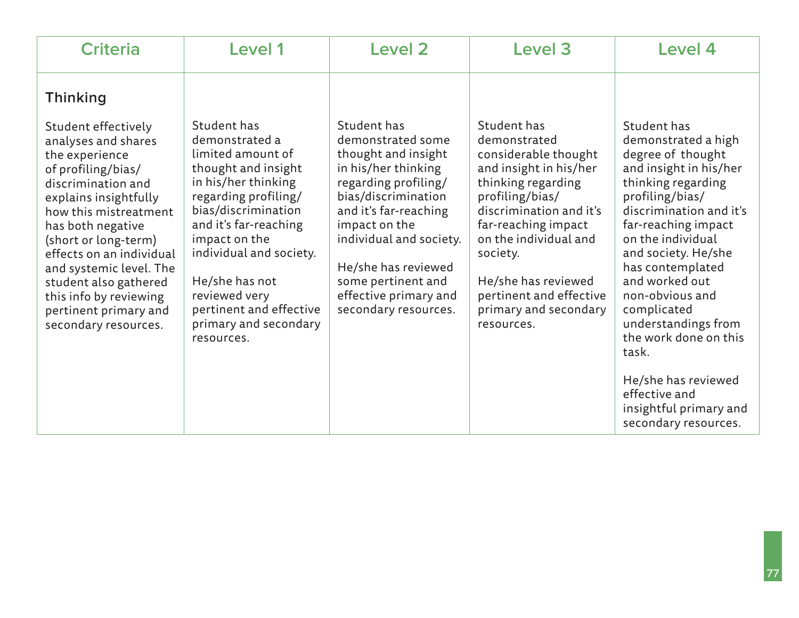| <b>Criteria</b>                                                                                                                                                                                                                                                                                                                                                                       | <b>Level 1</b>                                                                                                                                                                                                                                                                                                            | <b>Level 2</b>                                                                                                                                                                                                                                                                                   | Level 3                                                                                                                                                                                                                                                                                                | Level 4                                                                                                                                                                                                                                                                                                                                                   |
|---------------------------------------------------------------------------------------------------------------------------------------------------------------------------------------------------------------------------------------------------------------------------------------------------------------------------------------------------------------------------------------|---------------------------------------------------------------------------------------------------------------------------------------------------------------------------------------------------------------------------------------------------------------------------------------------------------------------------|--------------------------------------------------------------------------------------------------------------------------------------------------------------------------------------------------------------------------------------------------------------------------------------------------|--------------------------------------------------------------------------------------------------------------------------------------------------------------------------------------------------------------------------------------------------------------------------------------------------------|-----------------------------------------------------------------------------------------------------------------------------------------------------------------------------------------------------------------------------------------------------------------------------------------------------------------------------------------------------------|
| <b>Thinking</b><br>Student effectively<br>analyses and shares<br>the experience<br>of profiling/bias/<br>discrimination and<br>explains insightfully<br>how this mistreatment<br>has both negative<br>(short or long-term)<br>effects on an individual<br>and systemic level. The<br>student also gathered<br>this info by reviewing<br>pertinent primary and<br>secondary resources. | Student has<br>demonstrated a<br>limited amount of<br>thought and insight<br>in his/her thinking<br>regarding profiling/<br>bias/discrimination<br>and it's far-reaching<br>impact on the<br>individual and society.<br>He/she has not<br>reviewed very<br>pertinent and effective<br>primary and secondary<br>resources. | Student has<br>demonstrated some<br>thought and insight<br>in his/her thinking<br>regarding profiling/<br>bias/discrimination<br>and it's far-reaching<br>impact on the<br>individual and society.<br>He/she has reviewed<br>some pertinent and<br>effective primary and<br>secondary resources. | Student has<br>demonstrated<br>considerable thought<br>and insight in his/her<br>thinking regarding<br>profiling/bias/<br>discrimination and it's<br>far-reaching impact<br>on the individual and<br>society.<br>He/she has reviewed<br>pertinent and effective<br>primary and secondary<br>resources. | Student has<br>demonstrated a high<br>degree of thought<br>and insight in his/her<br>thinking regarding<br>profiling/bias/<br>discrimination and it's<br>far-reaching impact<br>on the individual<br>and society. He/she<br>has contemplated<br>and worked out<br>non-obvious and<br>complicated<br>understandings from<br>the work done on this<br>task. |
|                                                                                                                                                                                                                                                                                                                                                                                       |                                                                                                                                                                                                                                                                                                                           |                                                                                                                                                                                                                                                                                                  |                                                                                                                                                                                                                                                                                                        | He/she has reviewed<br>effective and<br>insightful primary and<br>secondary resources.                                                                                                                                                                                                                                                                    |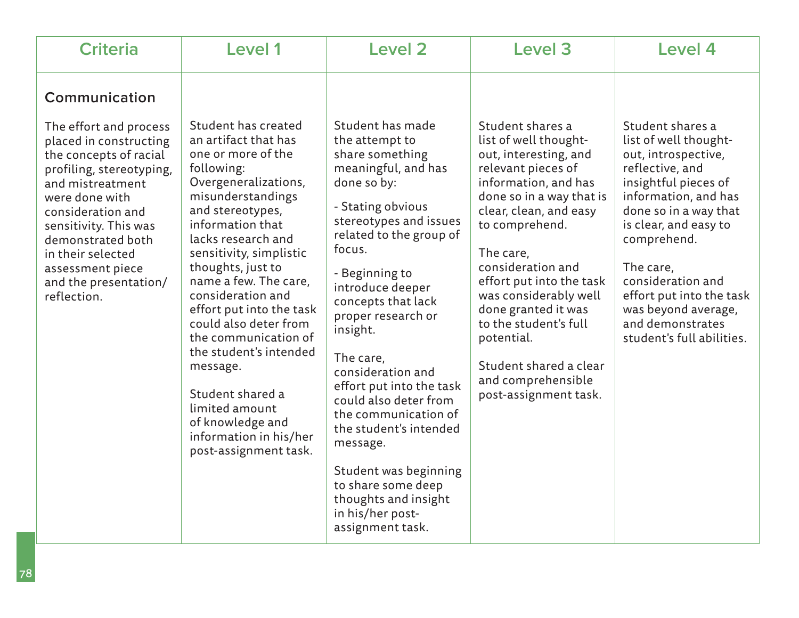| <b>Criteria</b>                                                                                                                                                                                                                                                                                                   | Level 1                                                                                                                                                                                                                                                                                                                                                                                                                                                                                                                  | Level 2                                                                                                                                                                                                                                                                                                                                                                                                                                                                                                                                           | <b>Level 3</b>                                                                                                                                                                                                                                                                                                                                                                                                         | <b>Level 4</b>                                                                                                                                                                                                                                                                                                                             |
|-------------------------------------------------------------------------------------------------------------------------------------------------------------------------------------------------------------------------------------------------------------------------------------------------------------------|--------------------------------------------------------------------------------------------------------------------------------------------------------------------------------------------------------------------------------------------------------------------------------------------------------------------------------------------------------------------------------------------------------------------------------------------------------------------------------------------------------------------------|---------------------------------------------------------------------------------------------------------------------------------------------------------------------------------------------------------------------------------------------------------------------------------------------------------------------------------------------------------------------------------------------------------------------------------------------------------------------------------------------------------------------------------------------------|------------------------------------------------------------------------------------------------------------------------------------------------------------------------------------------------------------------------------------------------------------------------------------------------------------------------------------------------------------------------------------------------------------------------|--------------------------------------------------------------------------------------------------------------------------------------------------------------------------------------------------------------------------------------------------------------------------------------------------------------------------------------------|
| Communication<br>The effort and process<br>placed in constructing<br>the concepts of racial<br>profiling, stereotyping,<br>and mistreatment<br>were done with<br>consideration and<br>sensitivity. This was<br>demonstrated both<br>in their selected<br>assessment piece<br>and the presentation/<br>reflection. | Student has created<br>an artifact that has<br>one or more of the<br>following:<br>Overgeneralizations,<br>misunderstandings<br>and stereotypes,<br>information that<br>lacks research and<br>sensitivity, simplistic<br>thoughts, just to<br>name a few. The care,<br>consideration and<br>effort put into the task<br>could also deter from<br>the communication of<br>the student's intended<br>message.<br>Student shared a<br>limited amount<br>of knowledge and<br>information in his/her<br>post-assignment task. | Student has made<br>the attempt to<br>share something<br>meaningful, and has<br>done so by:<br>- Stating obvious<br>stereotypes and issues<br>related to the group of<br>focus.<br>- Beginning to<br>introduce deeper<br>concepts that lack<br>proper research or<br>insight.<br>The care,<br>consideration and<br>effort put into the task<br>could also deter from<br>the communication of<br>the student's intended<br>message.<br>Student was beginning<br>to share some deep<br>thoughts and insight<br>in his/her post-<br>assignment task. | Student shares a<br>list of well thought-<br>out, interesting, and<br>relevant pieces of<br>information, and has<br>done so in a way that is<br>clear, clean, and easy<br>to comprehend.<br>The care,<br>consideration and<br>effort put into the task<br>was considerably well<br>done granted it was<br>to the student's full<br>potential.<br>Student shared a clear<br>and comprehensible<br>post-assignment task. | Student shares a<br>list of well thought-<br>out, introspective,<br>reflective, and<br>insightful pieces of<br>information, and has<br>done so in a way that<br>is clear, and easy to<br>comprehend.<br>The care,<br>consideration and<br>effort put into the task<br>was beyond average,<br>and demonstrates<br>student's full abilities. |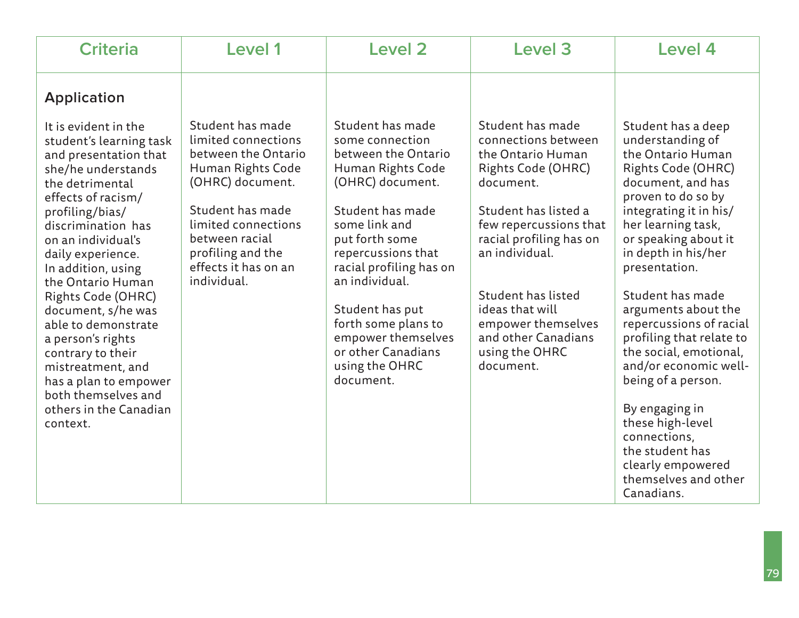| <b>Criteria</b>                                                                                                                                                                                                                                                                                                                                                                                                                                                                                                      | Level 1                                                                                                                                                                                                                          | <b>Level 2</b>                                                                                                                                                                                                                                                                                                                                     | Level <sub>3</sub>                                                                                                                                                                                                                                                                                                  | Level 4                                                                                                                                                                                                                                                                                                                                                                                                                                                                                                                                                     |
|----------------------------------------------------------------------------------------------------------------------------------------------------------------------------------------------------------------------------------------------------------------------------------------------------------------------------------------------------------------------------------------------------------------------------------------------------------------------------------------------------------------------|----------------------------------------------------------------------------------------------------------------------------------------------------------------------------------------------------------------------------------|----------------------------------------------------------------------------------------------------------------------------------------------------------------------------------------------------------------------------------------------------------------------------------------------------------------------------------------------------|---------------------------------------------------------------------------------------------------------------------------------------------------------------------------------------------------------------------------------------------------------------------------------------------------------------------|-------------------------------------------------------------------------------------------------------------------------------------------------------------------------------------------------------------------------------------------------------------------------------------------------------------------------------------------------------------------------------------------------------------------------------------------------------------------------------------------------------------------------------------------------------------|
| <b>Application</b><br>It is evident in the<br>student's learning task<br>and presentation that<br>she/he understands<br>the detrimental<br>effects of racism/<br>profiling/bias/<br>discrimination has<br>on an individual's<br>daily experience.<br>In addition, using<br>the Ontario Human<br>Rights Code (OHRC)<br>document, s/he was<br>able to demonstrate<br>a person's rights<br>contrary to their<br>mistreatment, and<br>has a plan to empower<br>both themselves and<br>others in the Canadian<br>context. | Student has made<br>limited connections<br>between the Ontario<br>Human Rights Code<br>(OHRC) document.<br>Student has made<br>limited connections<br>between racial<br>profiling and the<br>effects it has on an<br>individual. | Student has made<br>some connection<br>between the Ontario<br>Human Rights Code<br>(OHRC) document.<br>Student has made<br>some link and<br>put forth some<br>repercussions that<br>racial profiling has on<br>an individual.<br>Student has put<br>forth some plans to<br>empower themselves<br>or other Canadians<br>using the OHRC<br>document. | Student has made<br>connections between<br>the Ontario Human<br>Rights Code (OHRC)<br>document.<br>Student has listed a<br>few repercussions that<br>racial profiling has on<br>an individual.<br>Student has listed<br>ideas that will<br>empower themselves<br>and other Canadians<br>using the OHRC<br>document. | Student has a deep<br>understanding of<br>the Ontario Human<br>Rights Code (OHRC)<br>document, and has<br>proven to do so by<br>integrating it in his/<br>her learning task,<br>or speaking about it<br>in depth in his/her<br>presentation.<br>Student has made<br>arguments about the<br>repercussions of racial<br>profiling that relate to<br>the social, emotional,<br>and/or economic well-<br>being of a person.<br>By engaging in<br>these high-level<br>connections,<br>the student has<br>clearly empowered<br>themselves and other<br>Canadians. |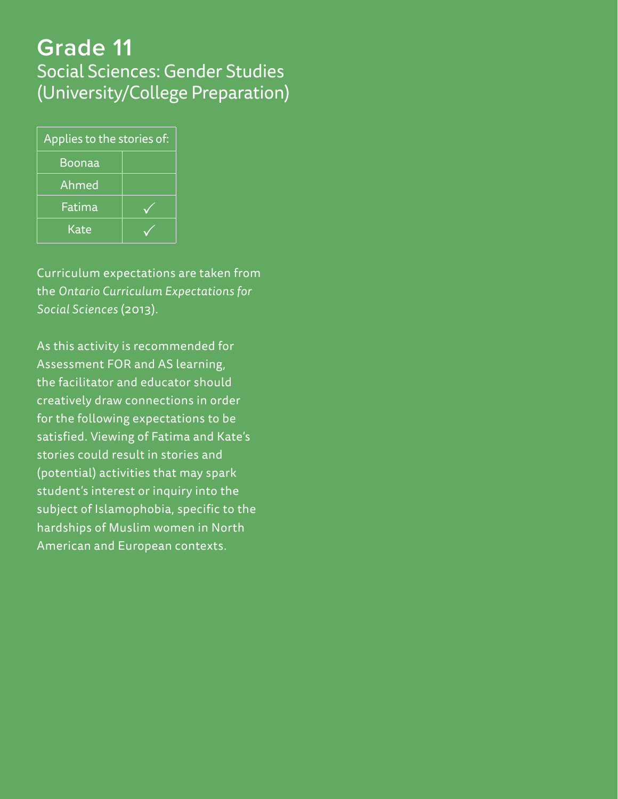# **Grade 11** Social Sciences: Gender Studies (University/College Preparation)

| Applies to the stories of: |  |  |
|----------------------------|--|--|
| <b>Boonaa</b>              |  |  |
| Ahmed                      |  |  |
| Fatima                     |  |  |
| Kate                       |  |  |

Curriculum expectations are taken from the *Ontario Curriculum Expectations for Social Sciences* (2013).

As this activity is recommended for Assessment FOR and AS learning, the facilitator and educator should creatively draw connections in order for the following expectations to be satisfied. Viewing of Fatima and Kate's stories could result in stories and (potential) activities that may spark student's interest or inquiry into the subject of Islamophobia, specific to the hardships of Muslim women in North American and European contexts.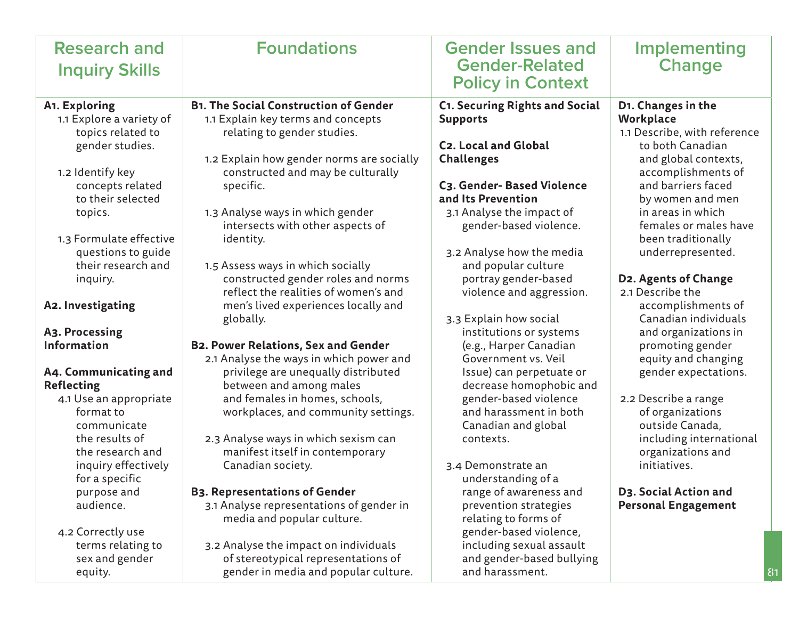| <b>Research and</b>      | <b>Foundations</b>                           | <b>Gender Issues and</b>                          | <b>Implementing</b>                        |
|--------------------------|----------------------------------------------|---------------------------------------------------|--------------------------------------------|
| <b>Inquiry Skills</b>    |                                              | <b>Gender-Related</b>                             | <b>Change</b>                              |
|                          |                                              | <b>Policy in Context</b>                          |                                            |
| A1. Exploring            | <b>B1. The Social Construction of Gender</b> | <b>C1. Securing Rights and Social</b>             | D1. Changes in the                         |
| 1.1 Explore a variety of | 1.1 Explain key terms and concepts           | <b>Supports</b>                                   | Workplace                                  |
| topics related to        | relating to gender studies.                  |                                                   | 1.1 Describe, with reference               |
| gender studies.          |                                              | <b>C2. Local and Global</b>                       | to both Canadian                           |
|                          | 1.2 Explain how gender norms are socially    | <b>Challenges</b>                                 | and global contexts,                       |
| 1.2 Identify key         | constructed and may be culturally            |                                                   | accomplishments of                         |
| concepts related         | specific.                                    | C3. Gender- Based Violence                        | and barriers faced                         |
| to their selected        |                                              | and Its Prevention                                | by women and men                           |
| topics.                  | 1.3 Analyse ways in which gender             | 3.1 Analyse the impact of                         | in areas in which                          |
|                          | intersects with other aspects of             | gender-based violence.                            | females or males have                      |
| 1.3 Formulate effective  | identity.                                    |                                                   | been traditionally                         |
| questions to guide       |                                              | 3.2 Analyse how the media                         | underrepresented.                          |
| their research and       | 1.5 Assess ways in which socially            | and popular culture                               |                                            |
| inquiry.                 | constructed gender roles and norms           | portray gender-based                              | D2. Agents of Change                       |
|                          | reflect the realities of women's and         | violence and aggression.                          | 2.1 Describe the                           |
| A2. Investigating        | men's lived experiences locally and          |                                                   | accomplishments of<br>Canadian individuals |
| A3. Processing           | globally.                                    | 3.3 Explain how social<br>institutions or systems | and organizations in                       |
| <b>Information</b>       | <b>B2. Power Relations, Sex and Gender</b>   | (e.g., Harper Canadian                            | promoting gender                           |
|                          | 2.1 Analyse the ways in which power and      | Government vs. Veil                               | equity and changing                        |
| A4. Communicating and    | privilege are unequally distributed          | Issue) can perpetuate or                          | gender expectations.                       |
| <b>Reflecting</b>        | between and among males                      | decrease homophobic and                           |                                            |
| 4.1 Use an appropriate   | and females in homes, schools,               | gender-based violence                             | 2.2 Describe a range                       |
| format to                | workplaces, and community settings.          | and harassment in both                            | of organizations                           |
| communicate              |                                              | Canadian and global                               | outside Canada,                            |
| the results of           | 2.3 Analyse ways in which sexism can         | contexts.                                         | including international                    |
| the research and         | manifest itself in contemporary              |                                                   | organizations and                          |
| inquiry effectively      | Canadian society.                            | 3.4 Demonstrate an                                | initiatives.                               |
| for a specific           |                                              | understanding of a                                |                                            |
| purpose and              | <b>B3. Representations of Gender</b>         | range of awareness and                            | D3. Social Action and                      |
| audience.                | 3.1 Analyse representations of gender in     | prevention strategies                             | <b>Personal Engagement</b>                 |
|                          | media and popular culture.                   | relating to forms of                              |                                            |
| 4.2 Correctly use        |                                              | gender-based violence,                            |                                            |
| terms relating to        | 3.2 Analyse the impact on individuals        | including sexual assault                          |                                            |
| sex and gender           | of stereotypical representations of          | and gender-based bullying                         |                                            |
| equity.                  | gender in media and popular culture.         | and harassment.                                   | 8                                          |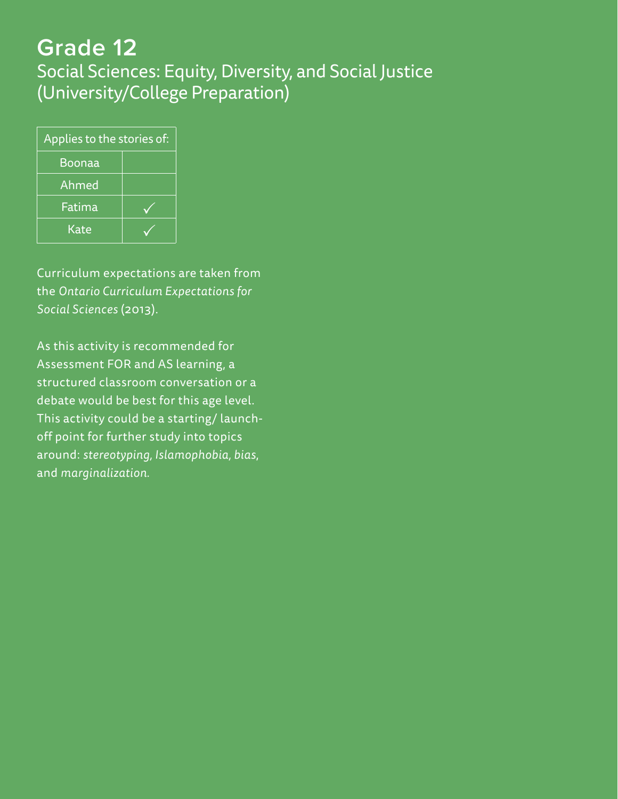# **Grade 12** Social Sciences: Equity, Diversity, and Social Justice (University/College Preparation)

| Applies to the stories of: |  |  |
|----------------------------|--|--|
| <b>Boonaa</b>              |  |  |
| Ahmed                      |  |  |
| Fatima                     |  |  |
| Kate                       |  |  |

Curriculum expectations are taken from the *Ontario Curriculum Expectations for Social Sciences* (2013).

As this activity is recommended for Assessment FOR and AS learning, a structured classroom conversation or a debate would be best for this age level. This activity could be a starting/ launchoff point for further study into topics around: *stereotyping, Islamophobia, bias*, and *marginalization.*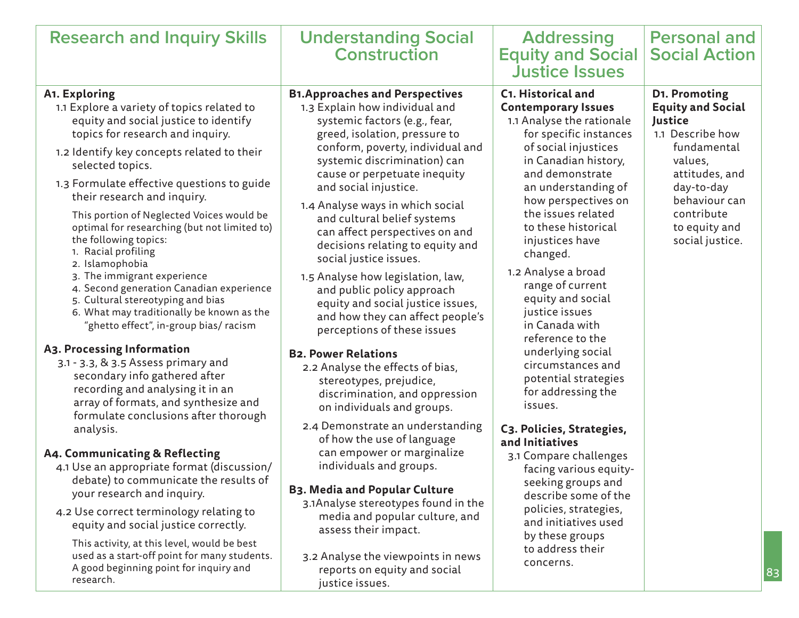| <b>Research and Inquiry Skills</b>                                                                                                                                                                                                                                                                                                                                                                                                                                                                                                                                                                                                                                                                                                                                                                                                                                                                                                                                                                                                                                                                                                                                                                                                                                                                    | <b>Understanding Social</b><br><b>Construction</b>                                                                                                                                                                                                                                                                                                                                                                                                                                                                                                                                                                                                                                                                                                                                                                                                                                                                                                                                                                                                                                                                                             | <b>Addressing</b><br><b>Equity and Social</b><br><b>Justice Issues</b>                                                                                                                                                                                                                                                                                                                                                                                                                                                                                                                                                                                                                                                                                                                 | <b>Personal and</b><br><b>Social Action</b>                                                                                                                                                           |
|-------------------------------------------------------------------------------------------------------------------------------------------------------------------------------------------------------------------------------------------------------------------------------------------------------------------------------------------------------------------------------------------------------------------------------------------------------------------------------------------------------------------------------------------------------------------------------------------------------------------------------------------------------------------------------------------------------------------------------------------------------------------------------------------------------------------------------------------------------------------------------------------------------------------------------------------------------------------------------------------------------------------------------------------------------------------------------------------------------------------------------------------------------------------------------------------------------------------------------------------------------------------------------------------------------|------------------------------------------------------------------------------------------------------------------------------------------------------------------------------------------------------------------------------------------------------------------------------------------------------------------------------------------------------------------------------------------------------------------------------------------------------------------------------------------------------------------------------------------------------------------------------------------------------------------------------------------------------------------------------------------------------------------------------------------------------------------------------------------------------------------------------------------------------------------------------------------------------------------------------------------------------------------------------------------------------------------------------------------------------------------------------------------------------------------------------------------------|----------------------------------------------------------------------------------------------------------------------------------------------------------------------------------------------------------------------------------------------------------------------------------------------------------------------------------------------------------------------------------------------------------------------------------------------------------------------------------------------------------------------------------------------------------------------------------------------------------------------------------------------------------------------------------------------------------------------------------------------------------------------------------------|-------------------------------------------------------------------------------------------------------------------------------------------------------------------------------------------------------|
| A1. Exploring<br>1.1 Explore a variety of topics related to<br>equity and social justice to identify<br>topics for research and inquiry.<br>1.2 Identify key concepts related to their<br>selected topics.<br>1.3 Formulate effective questions to guide<br>their research and inquiry.<br>This portion of Neglected Voices would be<br>optimal for researching (but not limited to)<br>the following topics:<br>1. Racial profiling<br>2. Islamophobia<br>3. The immigrant experience<br>4. Second generation Canadian experience<br>5. Cultural stereotyping and bias<br>6. What may traditionally be known as the<br>"ghetto effect", in-group bias/ racism<br>A3. Processing Information<br>3.1 - 3.3, & 3.5 Assess primary and<br>secondary info gathered after<br>recording and analysing it in an<br>array of formats, and synthesize and<br>formulate conclusions after thorough<br>analysis.<br>A4. Communicating & Reflecting<br>4.1 Use an appropriate format (discussion/<br>debate) to communicate the results of<br>your research and inquiry.<br>4.2 Use correct terminology relating to<br>equity and social justice correctly.<br>This activity, at this level, would be best<br>used as a start-off point for many students.<br>A good beginning point for inquiry and<br>research. | <b>B1.Approaches and Perspectives</b><br>1.3 Explain how individual and<br>systemic factors (e.g., fear,<br>greed, isolation, pressure to<br>conform, poverty, individual and<br>systemic discrimination) can<br>cause or perpetuate inequity<br>and social injustice.<br>1.4 Analyse ways in which social<br>and cultural belief systems<br>can affect perspectives on and<br>decisions relating to equity and<br>social justice issues.<br>1.5 Analyse how legislation, law,<br>and public policy approach<br>equity and social justice issues,<br>and how they can affect people's<br>perceptions of these issues<br><b>B2. Power Relations</b><br>2.2 Analyse the effects of bias,<br>stereotypes, prejudice,<br>discrimination, and oppression<br>on individuals and groups.<br>2.4 Demonstrate an understanding<br>of how the use of language<br>can empower or marginalize<br>individuals and groups.<br><b>B3. Media and Popular Culture</b><br>3.1Analyse stereotypes found in the<br>media and popular culture, and<br>assess their impact.<br>3.2 Analyse the viewpoints in news<br>reports on equity and social<br>justice issues. | C1. Historical and<br><b>Contemporary Issues</b><br>1.1 Analyse the rationale<br>for specific instances<br>of social injustices<br>in Canadian history,<br>and demonstrate<br>an understanding of<br>how perspectives on<br>the issues related<br>to these historical<br>injustices have<br>changed.<br>1.2 Analyse a broad<br>range of current<br>equity and social<br>justice issues<br>in Canada with<br>reference to the<br>underlying social<br>circumstances and<br>potential strategies<br>for addressing the<br>issues.<br>C3. Policies, Strategies,<br>and Initiatives<br>3.1 Compare challenges<br>facing various equity-<br>seeking groups and<br>describe some of the<br>policies, strategies,<br>and initiatives used<br>by these groups<br>to address their<br>concerns. | D1. Promoting<br><b>Equity and Social</b><br>Justice<br>1.1 Describe how<br>fundamental<br>values,<br>attitudes, and<br>day-to-day<br>behaviour can<br>contribute<br>to equity and<br>social justice. |

83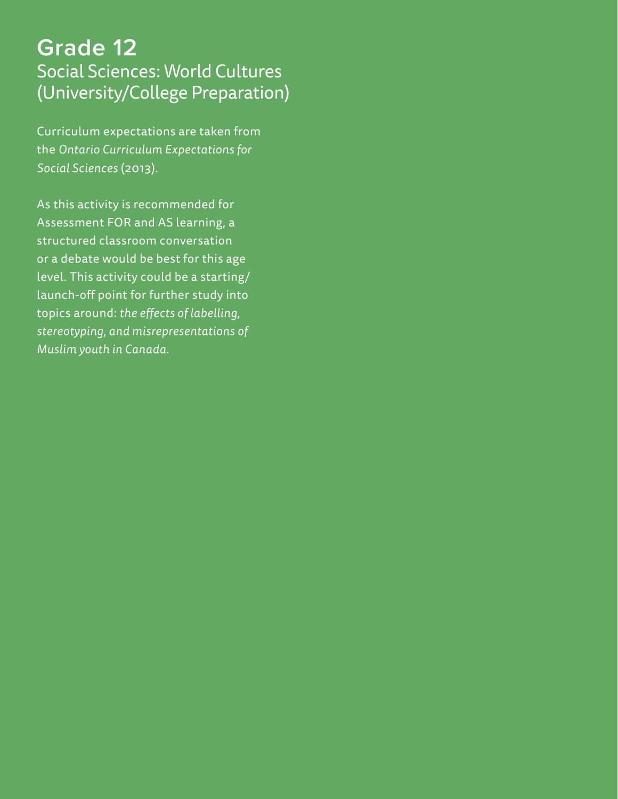# **Grade 12** Social Sciences: World Cultures (University/College Preparation)

Curriculum expectations are taken from the *Ontario Curriculum Expectations for Social Sciences* (2013).

As this activity is recommended for Assessment FOR and AS learning, a structured classroom conversation or a debate would be best for this age level. This activity could be a starting/ launch-off point for further study into topics around: *the effects of labelling, stereotyping, and misrepresentations of Muslim youth in Canada.*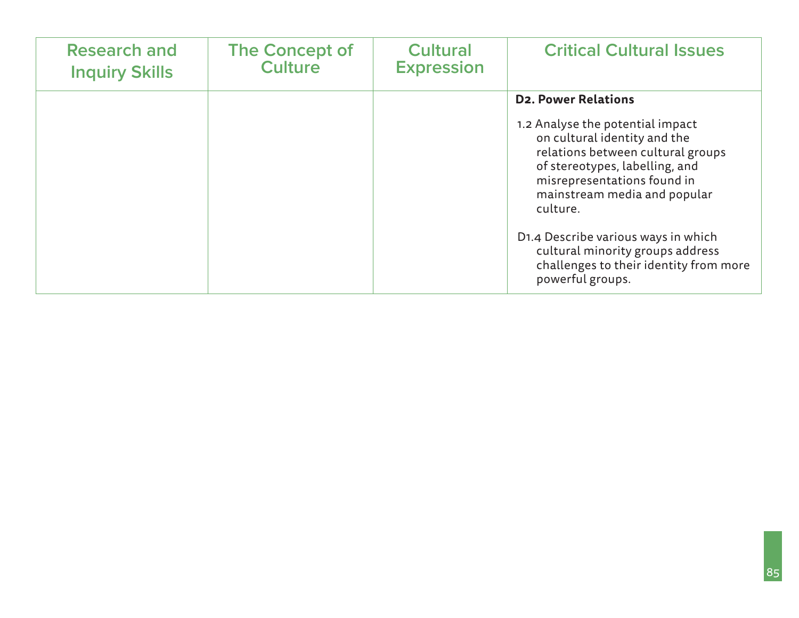| <b>Research and</b>   | <b>The Concept of</b> | <b>Cultural</b>   | <b>Critical Cultural Issues</b>                                                                                                                                                                                                                                                                                                                                                           |
|-----------------------|-----------------------|-------------------|-------------------------------------------------------------------------------------------------------------------------------------------------------------------------------------------------------------------------------------------------------------------------------------------------------------------------------------------------------------------------------------------|
| <b>Inquiry Skills</b> | <b>Culture</b>        | <b>Expression</b> |                                                                                                                                                                                                                                                                                                                                                                                           |
|                       |                       |                   | <b>D2. Power Relations</b><br>1.2 Analyse the potential impact<br>on cultural identity and the<br>relations between cultural groups<br>of stereotypes, labelling, and<br>misrepresentations found in<br>mainstream media and popular<br>culture.<br>D1.4 Describe various ways in which<br>cultural minority groups address<br>challenges to their identity from more<br>powerful groups. |